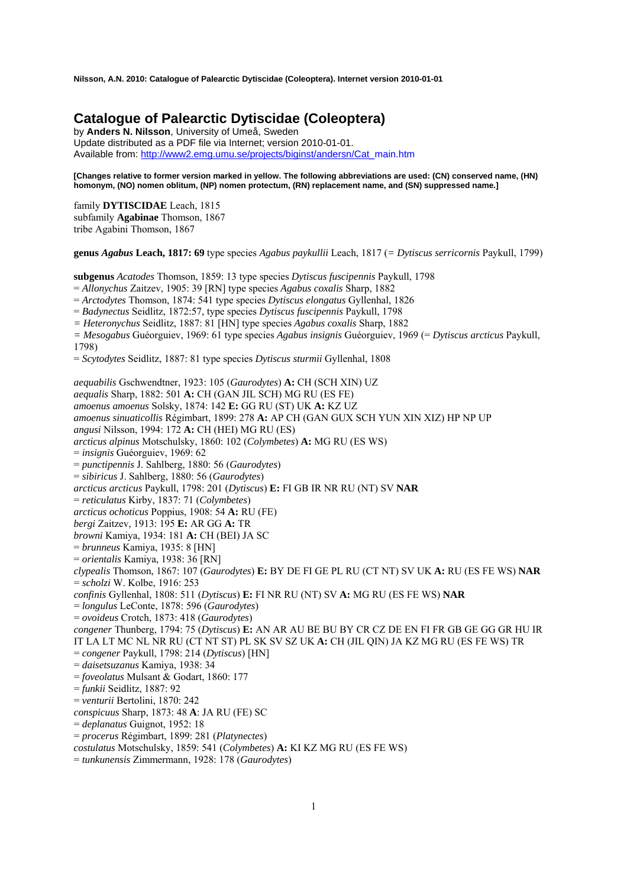# **Catalogue of Palearctic Dytiscidae (Coleoptera)**

by **Anders N. Nilsson**, University of Umeå, Sweden Update distributed as a PDF file via Internet; version 2010-01-01. Available from: http://www2.emg.umu.se/projects/biginst/andersn/Cat\_main.htm

**[Changes relative to former version marked in yellow. The following abbreviations are used: (CN) conserved name, (HN) homonym, (NO) nomen oblitum, (NP) nomen protectum, (RN) replacement name, and (SN) suppressed name.]** 

family **DYTISCIDAE** Leach, 1815 subfamily **Agabinae** Thomson, 1867 tribe Agabini Thomson, 1867

**genus** *Agabus* **Leach, 1817: 69** type species *Agabus paykullii* Leach, 1817 (*= Dytiscus serricornis* Paykull, 1799)

**subgenus** *Acatodes* Thomson, 1859: 13 type species *Dytiscus fuscipennis* Paykull, 1798

= *Allonychus* Zaitzev, 1905: 39 [RN] type species *Agabus coxalis* Sharp, 1882

= *Arctodytes* Thomson, 1874: 541 type species *Dytiscus elongatus* Gyllenhal, 1826

= *Badynectus* Seidlitz, 1872:57, type species *Dytiscus fuscipennis* Paykull, 1798

*= Heteronychus* Seidlitz, 1887: 81 [HN] type species *Agabus coxalis* Sharp, 1882

*= Mesogabus* Guéorguiev, 1969: 61 type species *Agabus insignis* Guéorguiev, 1969 (= *Dytiscus arcticus* Paykull, 1798)

= *Scytodytes* Seidlitz, 1887: 81 type species *Dytiscus sturmii* Gyllenhal, 1808

*aequabilis* Gschwendtner, 1923: 105 (*Gaurodytes*) **A:** CH (SCH XIN) UZ *aequalis* Sharp, 1882: 501 **A:** CH (GAN JIL SCH) MG RU (ES FE) *amoenus amoenus* Solsky, 1874: 142 **E:** GG RU (ST) UK **A:** KZ UZ *amoenus sinuaticollis* Régimbart, 1899: 278 **A:** AP CH (GAN GUX SCH YUN XIN XIZ) HP NP UP *angusi* Nilsson, 1994: 172 **A:** CH (HEI) MG RU (ES) *arcticus alpinus* Motschulsky, 1860: 102 (*Colymbetes*) **A:** MG RU (ES WS) = *insignis* Guéorguiev, 1969: 62 = *punctipennis* J. Sahlberg, 1880: 56 (*Gaurodytes*) = *sibiricus* J. Sahlberg, 1880: 56 (*Gaurodytes*) *arcticus arcticus* Paykull, 1798: 201 (*Dytiscus*) **E:** FI GB IR NR RU (NT) SV **NAR** = *reticulatus* Kirby, 1837: 71 (*Colymbetes*) *arcticus ochoticus* Poppius, 1908: 54 **A:** RU (FE) *bergi* Zaitzev, 1913: 195 **E:** AR GG **A:** TR *browni* Kamiya, 1934: 181 **A:** CH (BEI) JA SC = *brunneus* Kamiya, 1935: 8 [HN] = *orientalis* Kamiya, 1938: 36 [RN] *clypealis* Thomson, 1867: 107 (*Gaurodytes*) **E:** BY DE FI GE PL RU (CT NT) SV UK **A:** RU (ES FE WS) **NAR** = *scholzi* W. Kolbe, 1916: 253 *confinis* Gyllenhal, 1808: 511 (*Dytiscus*) **E:** FI NR RU (NT) SV **A:** MG RU (ES FE WS) **NAR** = *longulus* LeConte, 1878: 596 (*Gaurodytes*) = *ovoideus* Crotch, 1873: 418 (*Gaurodytes*) *congener* Thunberg, 1794: 75 (*Dytiscus*) **E:** AN AR AU BE BU BY CR CZ DE EN FI FR GB GE GG GR HU IR IT LA LT MC NL NR RU (CT NT ST) PL SK SV SZ UK **A:** CH (JIL QIN) JA KZ MG RU (ES FE WS) TR = *congener* Paykull, 1798: 214 (*Dytiscus*) [HN] = *daisetsuzanus* Kamiya, 1938: 34 = *foveolatus* Mulsant & Godart, 1860: 177 = *funkii* Seidlitz, 1887: 92 = *venturii* Bertolini, 1870: 242 *conspicuus* Sharp, 1873: 48 **A**: JA RU (FE) SC = *deplanatus* Guignot, 1952: 18 = *procerus* Régimbart, 1899: 281 (*Platynectes*) *costulatus* Motschulsky, 1859: 541 (*Colymbetes*) **A:** KI KZ MG RU (ES FE WS)

= *tunkunensis* Zimmermann, 1928: 178 (*Gaurodytes*)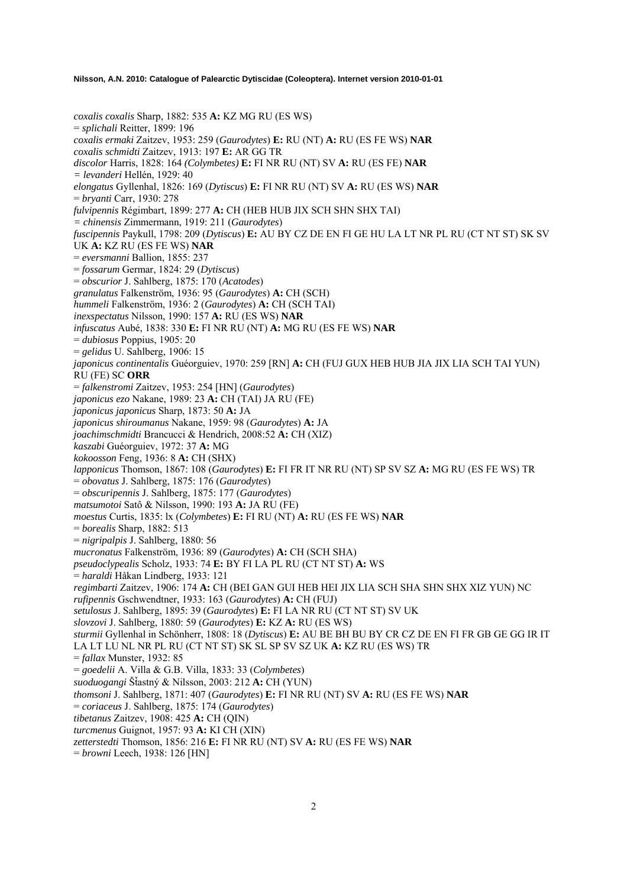*coxalis coxalis* Sharp, 1882: 535 **A:** KZ MG RU (ES WS) = *splichali* Reitter, 1899: 196 *coxalis ermaki* Zaitzev, 1953: 259 (*Gaurodytes*) **E:** RU (NT) **A:** RU (ES FE WS) **NAR** *coxalis schmidti* Zaitzev, 1913: 197 **E:** AR GG TR *discolor* Harris, 1828: 164 *(Colymbetes)* **E:** FI NR RU (NT) SV **A:** RU (ES FE) **NAR** *= levanderi* Hellén, 1929: 40 *elongatus* Gyllenhal, 1826: 169 (*Dytiscus*) **E:** FI NR RU (NT) SV **A:** RU (ES WS) **NAR** = *bryanti* Carr, 1930: 278 *fulvipennis* Régimbart, 1899: 277 **A:** CH (HEB HUB JIX SCH SHN SHX TAI) *= chinensis* Zimmermann, 1919: 211 (*Gaurodytes*) *fuscipennis* Paykull, 1798: 209 (*Dytiscus*) **E:** AU BY CZ DE EN FI GE HU LA LT NR PL RU (CT NT ST) SK SV UK **A:** KZ RU (ES FE WS) **NAR** = *eversmanni* Ballion, 1855: 237 = *fossarum* Germar, 1824: 29 (*Dytiscus*) = *obscurior* J. Sahlberg, 1875: 170 (*Acatodes*) *granulatus* Falkenström, 1936: 95 (*Gaurodytes*) **A:** CH (SCH) *hummeli* Falkenström, 1936: 2 (*Gaurodytes*) **A:** CH (SCH TAI) *inexspectatus* Nilsson, 1990: 157 **A:** RU (ES WS) **NAR** *infuscatus* Aubé, 1838: 330 **E:** FI NR RU (NT) **A:** MG RU (ES FE WS) **NAR** = *dubiosus* Poppius, 1905: 20 = *gelidus* U. Sahlberg, 1906: 15 *japonicus continentalis* Guéorguiev, 1970: 259 [RN] **A:** CH (FUJ GUX HEB HUB JIA JIX LIA SCH TAI YUN) RU (FE) SC **ORR** = *falkenstromi* Zaitzev, 1953: 254 [HN] (*Gaurodytes*) *japonicus ezo* Nakane, 1989: 23 **A:** CH (TAI) JA RU (FE) *japonicus japonicus* Sharp, 1873: 50 **A:** JA *japonicus shiroumanus* Nakane, 1959: 98 (*Gaurodytes*) **A:** JA *joachimschmidti* Brancucci & Hendrich, 2008:52 **A:** CH (XIZ) *kaszabi* Guéorguiev, 1972: 37 **A:** MG *kokoosson* Feng, 1936: 8 **A:** CH (SHX) *lapponicus* Thomson, 1867: 108 (*Gaurodytes*) **E:** FI FR IT NR RU (NT) SP SV SZ **A:** MG RU (ES FE WS) TR = *obovatus* J. Sahlberg, 1875: 176 (*Gaurodytes*) = *obscuripennis* J. Sahlberg, 1875: 177 (*Gaurodytes*) *matsumotoi* Satô & Nilsson, 1990: 193 **A:** JA RU (FE) *moestus* Curtis, 1835: lx (*Colymbetes*) **E:** FI RU (NT) **A:** RU (ES FE WS) **NAR** = *borealis* Sharp, 1882: 513 = *nigripalpis* J. Sahlberg, 1880: 56 *mucronatus* Falkenström, 1936: 89 (*Gaurodytes*) **A:** CH (SCH SHA) *pseudoclypealis* Scholz, 1933: 74 **E:** BY FI LA PL RU (CT NT ST) **A:** WS = *haraldi* Håkan Lindberg, 1933: 121 *regimbarti* Zaitzev, 1906: 174 **A:** CH (BEI GAN GUI HEB HEI JIX LIA SCH SHA SHN SHX XIZ YUN) NC *rufipennis* Gschwendtner, 1933: 163 (*Gaurodytes*) **A:** CH (FUJ) *setulosus* J. Sahlberg, 1895: 39 (*Gaurodytes*) **E:** FI LA NR RU (CT NT ST) SV UK *slovzovi* J. Sahlberg, 1880: 59 (*Gaurodytes*) **E:** KZ **A:** RU (ES WS) *sturmii* Gyllenhal in Schönherr, 1808: 18 (*Dytiscus*) **E:** AU BE BH BU BY CR CZ DE EN FI FR GB GE GG IR IT LA LT LU NL NR PL RU (CT NT ST) SK SL SP SV SZ UK **A:** KZ RU (ES WS) TR = *fallax* Munster, 1932: 85 = *goedelii* A. Villa & G.B. Villa, 1833: 33 (*Colymbetes*) *suoduogangi* ŠÄastný & Nilsson, 2003: 212 **A:** CH (YUN) *thomsoni* J. Sahlberg, 1871: 407 (*Gaurodytes*) **E:** FI NR RU (NT) SV **A:** RU (ES FE WS) **NAR**  = *coriaceus* J. Sahlberg, 1875: 174 (*Gaurodytes*) *tibetanus* Zaitzev, 1908: 425 **A:** CH (QIN) *turcmenus* Guignot, 1957: 93 **A:** KI CH (XIN) *zetterstedti* Thomson, 1856: 216 **E:** FI NR RU (NT) SV **A:** RU (ES FE WS) **NAR** = *browni* Leech, 1938: 126 [HN]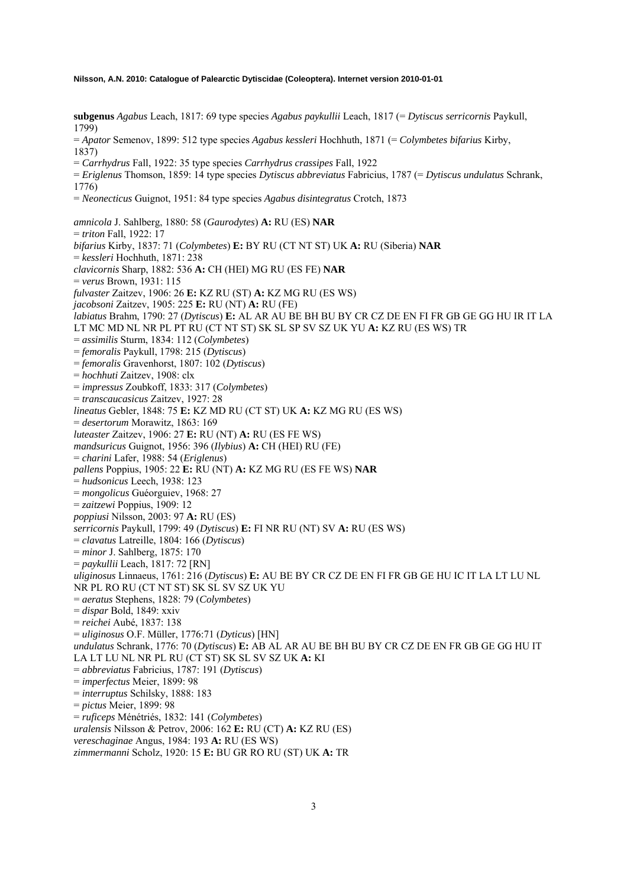**subgenus** *Agabus* Leach, 1817: 69 type species *Agabus paykullii* Leach, 1817 (= *Dytiscus serricornis* Paykull, 1799) = *Apator* Semenov, 1899: 512 type species *Agabus kessleri* Hochhuth, 1871 (= *Colymbetes bifarius* Kirby, 1837) = *Carrhydrus* Fall, 1922: 35 type species *Carrhydrus crassipes* Fall, 1922 = *Eriglenus* Thomson, 1859: 14 type species *Dytiscus abbreviatus* Fabricius, 1787 (= *Dytiscus undulatus* Schrank, 1776) = *Neonecticus* Guignot, 1951: 84 type species *Agabus disintegratus* Crotch, 1873 *amnicola* J. Sahlberg, 1880: 58 (*Gaurodytes*) **A:** RU (ES) **NAR**  = *triton* Fall, 1922: 17 *bifarius* Kirby, 1837: 71 (*Colymbetes*) **E:** BY RU (CT NT ST) UK **A:** RU (Siberia) **NAR**  = *kessleri* Hochhuth, 1871: 238 *clavicornis* Sharp, 1882: 536 **A:** CH (HEI) MG RU (ES FE) **NAR**  = *verus* Brown, 1931: 115 *fulvaster* Zaitzev, 1906: 26 **E:** KZ RU (ST) **A:** KZ MG RU (ES WS) *jacobsoni* Zaitzev, 1905: 225 **E:** RU (NT) **A:** RU (FE) *labiatus* Brahm, 1790: 27 (*Dytiscus*) **E:** AL AR AU BE BH BU BY CR CZ DE EN FI FR GB GE GG HU IR IT LA LT MC MD NL NR PL PT RU (CT NT ST) SK SL SP SV SZ UK YU **A:** KZ RU (ES WS) TR = *assimilis* Sturm, 1834: 112 (*Colymbetes*) = *femoralis* Paykull, 1798: 215 (*Dytiscus*) = *femoralis* Gravenhorst, 1807: 102 (*Dytiscus*) = *hochhuti* Zaitzev, 1908: clx = *impressus* Zoubkoff, 1833: 317 (*Colymbetes*) = *transcaucasicus* Zaitzev, 1927: 28 *lineatus* Gebler, 1848: 75 **E:** KZ MD RU (CT ST) UK **A:** KZ MG RU (ES WS) = *desertorum* Morawitz, 1863: 169 *luteaster* Zaitzev, 1906: 27 **E:** RU (NT) **A:** RU (ES FE WS) *mandsuricus* Guignot, 1956: 396 (*Ilybius*) **A:** CH (HEI) RU (FE) = *charini* Lafer, 1988: 54 (*Eriglenus*) *pallens* Poppius, 1905: 22 **E:** RU (NT) **A:** KZ MG RU (ES FE WS) **NAR**  = *hudsonicus* Leech, 1938: 123 = *mongolicus* Guéorguiev, 1968: 27 = *zaitzewi* Poppius, 1909: 12 *poppiusi* Nilsson, 2003: 97 **A:** RU (ES) *serricornis* Paykull, 1799: 49 (*Dytiscus*) **E:** FI NR RU (NT) SV **A:** RU (ES WS) = *clavatus* Latreille, 1804: 166 (*Dytiscus*) = *minor* J. Sahlberg, 1875: 170 = *paykullii* Leach, 1817: 72 [RN] *uliginosus* Linnaeus, 1761: 216 (*Dytiscus*) **E:** AU BE BY CR CZ DE EN FI FR GB GE HU IC IT LA LT LU NL NR PL RO RU (CT NT ST) SK SL SV SZ UK YU = *aeratus* Stephens, 1828: 79 (*Colymbetes*) = *dispar* Bold, 1849: xxiv = *reichei* Aubé, 1837: 138 = *uliginosus* O.F. Müller, 1776:71 (*Dyticus*) [HN] *undulatus* Schrank, 1776: 70 (*Dytiscus*) **E:** AB AL AR AU BE BH BU BY CR CZ DE EN FR GB GE GG HU IT LA LT LU NL NR PL RU (CT ST) SK SL SV SZ UK **A:** KI = *abbreviatus* Fabricius, 1787: 191 (*Dytiscus*) = *imperfectus* Meier, 1899: 98 = *interruptus* Schilsky, 1888: 183 = *pictus* Meier, 1899: 98 = *ruficeps* Ménétriés, 1832: 141 (*Colymbetes*) *uralensis* Nilsson & Petrov, 2006: 162 **E:** RU (CT) **A:** KZ RU (ES) *vereschaginae* Angus, 1984: 193 **A:** RU (ES WS) *zimmermanni* Scholz, 1920: 15 **E:** BU GR RO RU (ST) UK **A:** TR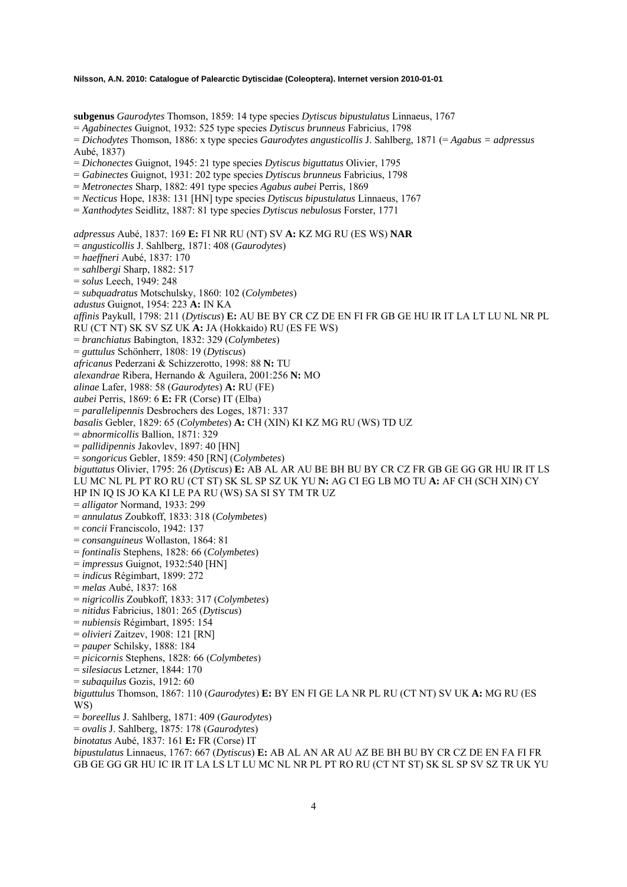**subgenus** *Gaurodytes* Thomson, 1859: 14 type species *Dytiscus bipustulatus* Linnaeus, 1767

= *Agabinectes* Guignot, 1932: 525 type species *Dytiscus brunneus* Fabricius, 1798

= *Dichodytes* Thomson, 1886: x type species *Gaurodytes angusticollis* J. Sahlberg, 1871 (= *Agabus = adpressus* Aubé, 1837)

= *Dichonectes* Guignot, 1945: 21 type species *Dytiscus biguttatus* Olivier, 1795

= *Gabinectes* Guignot, 1931: 202 type species *Dytiscus brunneus* Fabricius, 1798

= *Metronectes* Sharp, 1882: 491 type species *Agabus aubei* Perris, 1869

= *Necticus* Hope, 1838: 131 [HN] type species *Dytiscus bipustulatus* Linnaeus, 1767

= *Xanthodytes* Seidlitz, 1887: 81 type species *Dytiscus nebulosus* Forster, 1771

*adpressus* Aubé, 1837: 169 **E:** FI NR RU (NT) SV **A:** KZ MG RU (ES WS) **NAR** 

= *angusticollis* J. Sahlberg, 1871: 408 (*Gaurodytes*)

= *haeffneri* Aubé, 1837: 170

= *sahlbergi* Sharp, 1882: 517

= *solus* Leech, 1949: 248

= *subquadratus* Motschulsky, 1860: 102 (*Colymbetes*)

*adustus* Guignot, 1954: 223 **A:** IN KA

*affinis* Paykull, 1798: 211 (*Dytiscus*) **E:** AU BE BY CR CZ DE EN FI FR GB GE HU IR IT LA LT LU NL NR PL

RU (CT NT) SK SV SZ UK **A:** JA (Hokkaido) RU (ES FE WS)

= *branchiatus* Babington, 1832: 329 (*Colymbetes*)

= *guttulus* Schönherr, 1808: 19 (*Dytiscus*)

*africanus* Pederzani & Schizzerotto, 1998: 88 **N:** TU

*alexandrae* Ribera, Hernando & Aguilera, 2001:256 **N:** MO

*alinae* Lafer, 1988: 58 (*Gaurodytes*) **A:** RU (FE)

*aubei* Perris, 1869: 6 **E:** FR (Corse) IT (Elba)

= *parallelipennis* Desbrochers des Loges, 1871: 337

*basalis* Gebler, 1829: 65 (*Colymbetes*) **A:** CH (XIN) KI KZ MG RU (WS) TD UZ

= *abnormicollis* Ballion, 1871: 329

= *pallidipennis* Jakovlev, 1897: 40 [HN]

= *songoricus* Gebler, 1859: 450 [RN] (*Colymbetes*)

*biguttatus* Olivier, 1795: 26 (*Dytiscus*) **E:** AB AL AR AU BE BH BU BY CR CZ FR GB GE GG GR HU IR IT LS LU MC NL PL PT RO RU (CT ST) SK SL SP SZ UK YU **N:** AG CI EG LB MO TU **A:** AF CH (SCH XIN) CY

HP IN IQ IS JO KA KI LE PA RU (WS) SA SI SY TM TR UZ

- = *alligator* Normand, 1933: 299
- = *annulatus* Zoubkoff, 1833: 318 (*Colymbetes*)
- = *concii* Franciscolo, 1942: 137

= *consanguineus* Wollaston, 1864: 81

= *fontinalis* Stephens, 1828: 66 (*Colymbetes*)

= *impressus* Guignot, 1932:540 [HN]

= *indicus* Régimbart, 1899: 272

= *melas* Aubé, 1837: 168

= *nigricollis* Zoubkoff, 1833: 317 (*Colymbetes*)

= *nitidus* Fabricius, 1801: 265 (*Dytiscus*)

= *nubiensis* Régimbart, 1895: 154

= *olivieri* Zaitzev, 1908: 121 [RN]

= *pauper* Schilsky, 1888: 184

= *picicornis* Stephens, 1828: 66 (*Colymbetes*)

= *silesiacus* Letzner, 1844: 170

= *subaquilus* Gozis, 1912: 60

*biguttulus* Thomson, 1867: 110 (*Gaurodytes*) **E:** BY EN FI GE LA NR PL RU (CT NT) SV UK **A:** MG RU (ES WS)

= *boreellus* J. Sahlberg, 1871: 409 (*Gaurodytes*)

= *ovalis* J. Sahlberg, 1875: 178 (*Gaurodytes*)

*binotatus* Aubé, 1837: 161 **E:** FR (Corse) IT

*bipustulatus* Linnaeus, 1767: 667 (*Dytiscus*) **E:** AB AL AN AR AU AZ BE BH BU BY CR CZ DE EN FA FI FR GB GE GG GR HU IC IR IT LA LS LT LU MC NL NR PL PT RO RU (CT NT ST) SK SL SP SV SZ TR UK YU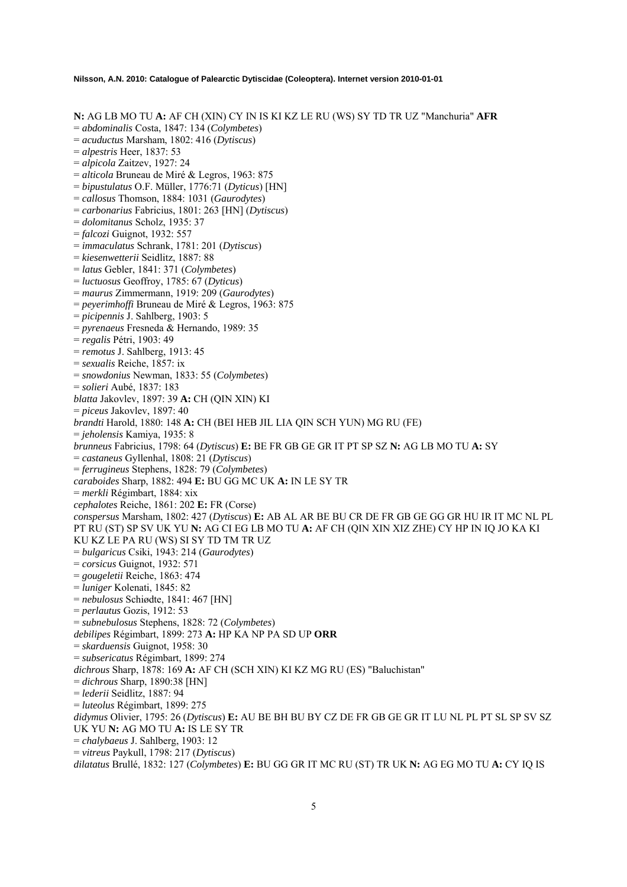**N:** AG LB MO TU **A:** AF CH (XIN) CY IN IS KI KZ LE RU (WS) SY TD TR UZ "Manchuria" **AFR** 

= *abdominalis* Costa, 1847: 134 (*Colymbetes*)

- = *acuductus* Marsham, 1802: 416 (*Dytiscus*)
- = *alpestris* Heer, 1837: 53
- = *alpicola* Zaitzev, 1927: 24
- = *alticola* Bruneau de Miré & Legros, 1963: 875
- = *bipustulatus* O.F. Müller, 1776:71 (*Dyticus*) [HN]
- = *callosus* Thomson, 1884: 1031 (*Gaurodytes*)
- = *carbonarius* Fabricius, 1801: 263 [HN] (*Dytiscus*)
- = *dolomitanus* Scholz, 1935: 37
- = *falcozi* Guignot, 1932: 557
- = *immaculatus* Schrank, 1781: 201 (*Dytiscus*)
- = *kiesenwetterii* Seidlitz, 1887: 88
- = *latus* Gebler, 1841: 371 (*Colymbetes*)
- = *luctuosus* Geoffroy, 1785: 67 (*Dyticus*)
- = *maurus* Zimmermann, 1919: 209 (*Gaurodytes*)
- = *peyerimhoffi* Bruneau de Miré & Legros, 1963: 875
- = *picipennis* J. Sahlberg, 1903: 5
- = *pyrenaeus* Fresneda & Hernando, 1989: 35
- = *regalis* Pétri, 1903: 49
- = *remotus* J. Sahlberg, 1913: 45
- = *sexualis* Reiche, 1857: ix
- = *snowdonius* Newman, 1833: 55 (*Colymbetes*)
- = *solieri* Aubé, 1837: 183
- *blatta* Jakovlev, 1897: 39 **A:** CH (QIN XIN) KI
- = *piceus* Jakovlev, 1897: 40
- *brandti* Harold, 1880: 148 **A:** CH (BEI HEB JIL LIA QIN SCH YUN) MG RU (FE)
- = *jeholensis* Kamiya, 1935: 8
- *brunneus* Fabricius, 1798: 64 (*Dytiscus*) **E:** BE FR GB GE GR IT PT SP SZ **N:** AG LB MO TU **A:** SY
- = *castaneus* Gyllenhal, 1808: 21 (*Dytiscus*)
- = *ferrugineus* Stephens, 1828: 79 (*Colymbetes*)
- *caraboides* Sharp, 1882: 494 **E:** BU GG MC UK **A:** IN LE SY TR
- = *merkli* Régimbart, 1884: xix
- *cephalotes* Reiche, 1861: 202 **E:** FR (Corse)
- *conspersus* Marsham, 1802: 427 (*Dytiscus*) **E:** AB AL AR BE BU CR DE FR GB GE GG GR HU IR IT MC NL PL PT RU (ST) SP SV UK YU **N:** AG CI EG LB MO TU **A:** AF CH (QIN XIN XIZ ZHE) CY HP IN IQ JO KA KI KU KZ LE PA RU (WS) SI SY TD TM TR UZ
- = *bulgaricus* Csiki, 1943: 214 (*Gaurodytes*)
- = *corsicus* Guignot, 1932: 571
- = *gougeletii* Reiche, 1863: 474
- = *luniger* Kolenati, 1845: 82
- = *nebulosus* Schiødte, 1841: 467 [HN]
- = *perlautus* Gozis, 1912: 53

= *subnebulosus* Stephens, 1828: 72 (*Colymbetes*)

*debilipes* Régimbart, 1899: 273 **A:** HP KA NP PA SD UP **ORR** 

- = *skarduensis* Guignot, 1958: 30
- = *subsericatus* Régimbart, 1899: 274
- *dichrous* Sharp, 1878: 169 **A:** AF CH (SCH XIN) KI KZ MG RU (ES) "Baluchistan"
- = *dichrous* Sharp, 1890:38 [HN]
- = *lederii* Seidlitz, 1887: 94
- = *luteolus* Régimbart, 1899: 275
- *didymus* Olivier, 1795: 26 (*Dytiscus*) **E:** AU BE BH BU BY CZ DE FR GB GE GR IT LU NL PL PT SL SP SV SZ UK YU **N:** AG MO TU **A:** IS LE SY TR
- = *chalybaeus* J. Sahlberg, 1903: 12
- = *vitreus* Paykull, 1798: 217 (*Dytiscus*)

*dilatatus* Brullé, 1832: 127 (*Colymbetes*) **E:** BU GG GR IT MC RU (ST) TR UK **N:** AG EG MO TU **A:** CY IQ IS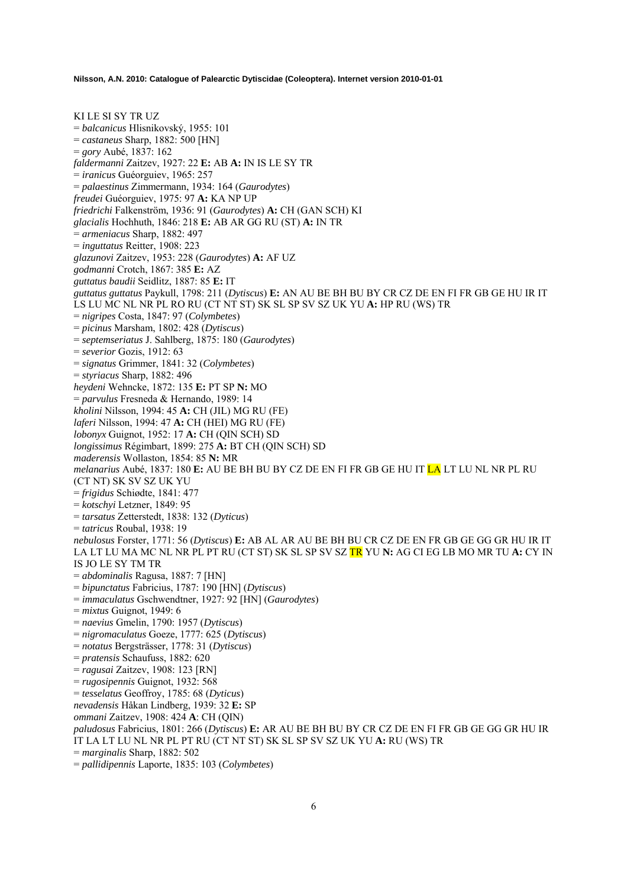KI LE SI SY TR UZ = *balcanicus* Hlisnikovský, 1955: 101 = *castaneus* Sharp, 1882: 500 [HN] = *gory* Aubé, 1837: 162 *faldermanni* Zaitzev, 1927: 22 **E:** AB **A:** IN IS LE SY TR = *iranicus* Guéorguiev, 1965: 257 = *palaestinus* Zimmermann, 1934: 164 (*Gaurodytes*) *freudei* Guéorguiev, 1975: 97 **A:** KA NP UP *friedrichi* Falkenström, 1936: 91 (*Gaurodytes*) **A:** CH (GAN SCH) KI *glacialis* Hochhuth, 1846: 218 **E:** AB AR GG RU (ST) **A:** IN TR = *armeniacus* Sharp, 1882: 497 = *inguttatus* Reitter, 1908: 223 *glazunovi* Zaitzev, 1953: 228 (*Gaurodytes*) **A:** AF UZ *godmanni* Crotch, 1867: 385 **E:** AZ *guttatus baudii* Seidlitz, 1887: 85 **E:** IT *guttatus guttatus* Paykull, 1798: 211 (*Dytiscus*) **E:** AN AU BE BH BU BY CR CZ DE EN FI FR GB GE HU IR IT LS LU MC NL NR PL RO RU (CT NT ST) SK SL SP SV SZ UK YU **A:** HP RU (WS) TR = *nigripes* Costa, 1847: 97 (*Colymbetes*) = *picinus* Marsham, 1802: 428 (*Dytiscus*) = *septemseriatus* J. Sahlberg, 1875: 180 (*Gaurodytes*) = *severior* Gozis, 1912: 63 = *signatus* Grimmer, 1841: 32 (*Colymbetes*) = *styriacus* Sharp, 1882: 496 *heydeni* Wehncke, 1872: 135 **E:** PT SP **N:** MO = *parvulus* Fresneda & Hernando, 1989: 14 *kholini* Nilsson, 1994: 45 **A:** CH (JIL) MG RU (FE) *laferi* Nilsson, 1994: 47 **A:** CH (HEI) MG RU (FE) *lobonyx* Guignot, 1952: 17 **A:** CH (QIN SCH) SD *longissimus* Régimbart, 1899: 275 **A:** BT CH (QIN SCH) SD *maderensis* Wollaston, 1854: 85 **N:** MR *melanarius* Aubé, 1837: 180 **E:** AU BE BH BU BY CZ DE EN FI FR GB GE HU IT LA LT LU NL NR PL RU (CT NT) SK SV SZ UK YU = *frigidus* Schiødte, 1841: 477 = *kotschyi* Letzner, 1849: 95 = *tarsatus* Zetterstedt, 1838: 132 (*Dyticus*) = *tatricus* Roubal, 1938: 19 *nebulosus* Forster, 1771: 56 (*Dytiscus*) **E:** AB AL AR AU BE BH BU CR CZ DE EN FR GB GE GG GR HU IR IT LA LT LU MA MC NL NR PL PT RU (CT ST) SK SL SP SV SZ TR YU **N:** AG CI EG LB MO MR TU **A:** CY IN IS JO LE SY TM TR = *abdominalis* Ragusa, 1887: 7 [HN] = *bipunctatus* Fabricius, 1787: 190 [HN] (*Dytiscus*) = *immaculatus* Gschwendtner, 1927: 92 [HN] (*Gaurodytes*) = *mixtus* Guignot, 1949: 6 = *naevius* Gmelin, 1790: 1957 (*Dytiscus*) = *nigromaculatus* Goeze, 1777: 625 (*Dytiscus*) = *notatus* Bergsträsser, 1778: 31 (*Dytiscus*) = *pratensis* Schaufuss, 1882: 620 = *ragusai* Zaitzev, 1908: 123 [RN] = *rugosipennis* Guignot, 1932: 568 = *tesselatus* Geoffroy, 1785: 68 (*Dyticus*) *nevadensis* Håkan Lindberg, 1939: 32 **E:** SP *ommani* Zaitzev, 1908: 424 **A**: CH (QIN) *paludosus* Fabricius, 1801: 266 (*Dytiscus*) **E:** AR AU BE BH BU BY CR CZ DE EN FI FR GB GE GG GR HU IR IT LA LT LU NL NR PL PT RU (CT NT ST) SK SL SP SV SZ UK YU **A:** RU (WS) TR = *marginalis* Sharp, 1882: 502

= *pallidipennis* Laporte, 1835: 103 (*Colymbetes*)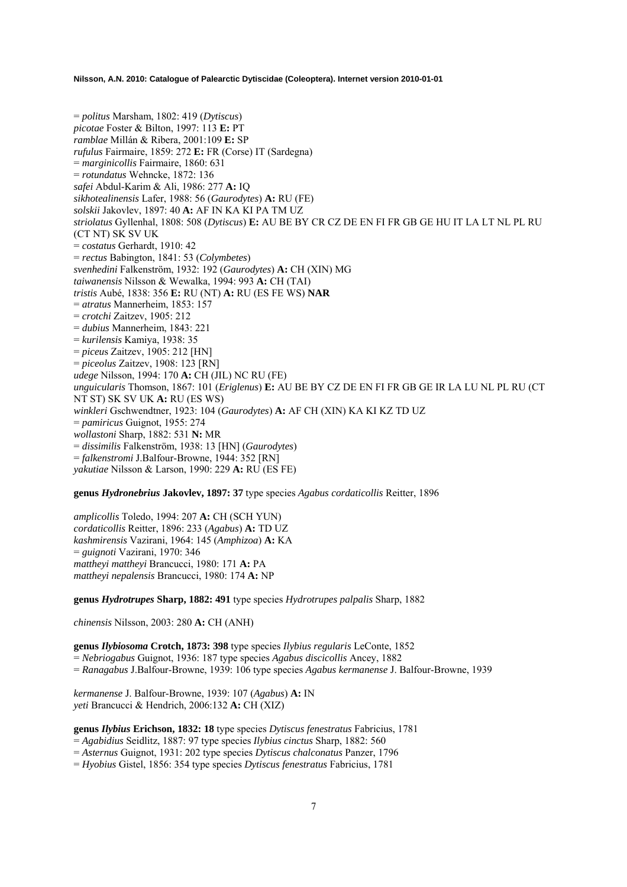= *politus* Marsham, 1802: 419 (*Dytiscus*) *picotae* Foster & Bilton, 1997: 113 **E:** PT *ramblae* Millán & Ribera, 2001:109 **E:** SP *rufulus* Fairmaire, 1859: 272 **E:** FR (Corse) IT (Sardegna) = *marginicollis* Fairmaire, 1860: 631 = *rotundatus* Wehncke, 1872: 136 *safei* Abdul-Karim & Ali, 1986: 277 **A:** IQ *sikhotealinensis* Lafer, 1988: 56 (*Gaurodytes*) **A:** RU (FE) *solskii* Jakovlev, 1897: 40 **A:** AF IN KA KI PA TM UZ *striolatus* Gyllenhal, 1808: 508 (*Dytiscus*) **E:** AU BE BY CR CZ DE EN FI FR GB GE HU IT LA LT NL PL RU (CT NT) SK SV UK = *costatus* Gerhardt, 1910: 42 = *rectus* Babington, 1841: 53 (*Colymbetes*) *svenhedini* Falkenström, 1932: 192 (*Gaurodytes*) **A:** CH (XIN) MG *taiwanensis* Nilsson & Wewalka, 1994: 993 **A:** CH (TAI) *tristis* Aubé, 1838: 356 **E:** RU (NT) **A:** RU (ES FE WS) **NAR**  = *atratus* Mannerheim, 1853: 157 = *crotchi* Zaitzev, 1905: 212 = *dubius* Mannerheim, 1843: 221 = *kurilensis* Kamiya, 1938: 35 = *piceu*s Zaitzev, 1905: 212 [HN] = *piceolus* Zaitzev, 1908: 123 [RN] *udege* Nilsson, 1994: 170 **A:** CH (JIL) NC RU (FE) *unguicularis* Thomson, 1867: 101 (*Eriglenus*) **E:** AU BE BY CZ DE EN FI FR GB GE IR LA LU NL PL RU (CT NT ST) SK SV UK **A:** RU (ES WS) *winkleri* Gschwendtner, 1923: 104 (*Gaurodytes*) **A:** AF CH (XIN) KA KI KZ TD UZ = *pamiricus* Guignot, 1955: 274 *wollastoni* Sharp, 1882: 531 **N:** MR = *dissimilis* Falkenström, 1938: 13 [HN] (*Gaurodytes*) = *falkenstromi* J.Balfour-Browne, 1944: 352 [RN] *yakutiae* Nilsson & Larson, 1990: 229 **A:** RU (ES FE)

**genus** *Hydronebrius* **Jakovlev, 1897: 37** type species *Agabus cordaticollis* Reitter, 1896

*amplicollis* Toledo, 1994: 207 **A:** CH (SCH YUN) *cordaticollis* Reitter, 1896: 233 (*Agabus*) **A:** TD UZ *kashmirensis* Vazirani, 1964: 145 (*Amphizoa*) **A:** KA = *guignoti* Vazirani, 1970: 346 *mattheyi mattheyi* Brancucci, 1980: 171 **A:** PA *mattheyi nepalensis* Brancucci, 1980: 174 **A:** NP

**genus** *Hydrotrupes* **Sharp, 1882: 491** type species *Hydrotrupes palpalis* Sharp, 1882

*chinensis* Nilsson, 2003: 280 **A:** CH (ANH)

**genus** *Ilybiosoma* **Crotch, 1873: 398** type species *Ilybius regularis* LeConte, 1852 = *Nebriogabus* Guignot, 1936: 187 type species *Agabus discicollis* Ancey, 1882 = *Ranagabus* J.Balfour-Browne, 1939: 106 type species *Agabus kermanense* J. Balfour-Browne, 1939

*kermanense* J. Balfour-Browne, 1939: 107 (*Agabus*) **A:** IN *yeti* Brancucci & Hendrich, 2006:132 **A:** CH (XIZ)

**genus** *Ilybius* **Erichson, 1832: 18** type species *Dytiscus fenestratus* Fabricius, 1781

= *Agabidius* Seidlitz, 1887: 97 type species *Ilybius cinctus* Sharp, 1882: 560

= *Asternus* Guignot, 1931: 202 type species *Dytiscus chalconatus* Panzer, 1796

= *Hyobius* Gistel, 1856: 354 type species *Dytiscus fenestratus* Fabricius, 1781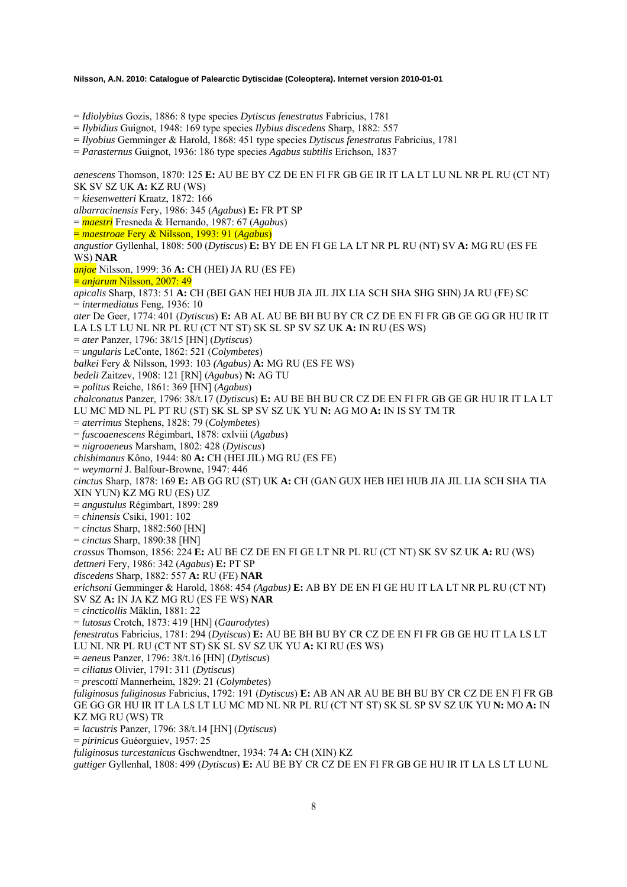= *Idiolybius* Gozis, 1886: 8 type species *Dytiscus fenestratus* Fabricius, 1781

= *Ilybidius* Guignot, 1948: 169 type species *Ilybius discedens* Sharp, 1882: 557

= *Ilyobius* Gemminger & Harold, 1868: 451 type species *Dytiscus fenestratus* Fabricius, 1781

= *Parasternus* Guignot, 1936: 186 type species *Agabus subtilis* Erichson, 1837

*aenescens* Thomson, 1870: 125 **E:** AU BE BY CZ DE EN FI FR GB GE IR IT LA LT LU NL NR PL RU (CT NT) SK SV SZ UK **A:** KZ RU (WS) = *kiesenwetteri* Kraatz, 1872: 166 *albarracinensis* Fery, 1986: 345 (*Agabus*) **E:** FR PT SP = *maestri* Fresneda & Hernando, 1987: 67 (*Agabus*) = *maestroae* Fery & Nilsson, 1993: 91 (*Agabus*) *angustior* Gyllenhal, 1808: 500 (*Dytiscus*) **E:** BY DE EN FI GE LA LT NR PL RU (NT) SV **A:** MG RU (ES FE WS) **NAR**  *anjae* Nilsson, 1999: 36 **A:** CH (HEI) JA RU (ES FE) **=** *anjarum* Nilsson, 2007: 49 *apicalis* Sharp, 1873: 51 **A:** CH (BEI GAN HEI HUB JIA JIL JIX LIA SCH SHA SHG SHN) JA RU (FE) SC = *intermediatus* Feng, 1936: 10 *ater* De Geer, 1774: 401 (*Dytiscus*) **E:** AB AL AU BE BH BU BY CR CZ DE EN FI FR GB GE GG GR HU IR IT LA LS LT LU NL NR PL RU (CT NT ST) SK SL SP SV SZ UK **A:** IN RU (ES WS) = *ater* Panzer, 1796: 38/15 [HN] (*Dytiscus*) = *ungularis* LeConte, 1862: 521 (*Colymbetes*) *balkei* Fery & Nilsson, 1993: 103 *(Agabus)* **A:** MG RU (ES FE WS) *bedeli* Zaitzev, 1908: 121 [RN] (*Agabus*) **N:** AG TU = *politus* Reiche, 1861: 369 [HN] (*Agabus*) *chalconatus* Panzer, 1796: 38/t.17 (*Dytiscus*) **E:** AU BE BH BU CR CZ DE EN FI FR GB GE GR HU IR IT LA LT LU MC MD NL PL PT RU (ST) SK SL SP SV SZ UK YU **N:** AG MO **A:** IN IS SY TM TR = *aterrimus* Stephens, 1828: 79 (*Colymbetes*) = *fuscoaenescens* Régimbart, 1878: cxlviii (*Agabus*) = *nigroaeneus* Marsham, 1802: 428 (*Dytiscus*) *chishimanus* Kôno, 1944: 80 **A:** CH (HEI JIL) MG RU (ES FE) = *weymarni* J. Balfour-Browne, 1947: 446 *cinctus* Sharp, 1878: 169 **E:** AB GG RU (ST) UK **A:** CH (GAN GUX HEB HEI HUB JIA JIL LIA SCH SHA TIA XIN YUN) KZ MG RU (ES) UZ = *angustulus* Régimbart, 1899: 289 = *chinensis* Csiki, 1901: 102 = *cinctus* Sharp, 1882:560 [HN] = *cinctus* Sharp, 1890:38 [HN] *crassus* Thomson, 1856: 224 **E:** AU BE CZ DE EN FI GE LT NR PL RU (CT NT) SK SV SZ UK **A:** RU (WS) *dettneri* Fery, 1986: 342 (*Agabus*) **E:** PT SP *discedens* Sharp, 1882: 557 **A:** RU (FE) **NAR**  *erichsoni* Gemminger & Harold, 1868: 454 *(Agabus)* **E:** AB BY DE EN FI GE HU IT LA LT NR PL RU (CT NT) SV SZ **A:** IN JA KZ MG RU (ES FE WS) **NAR**  = *cincticollis* Mäklin, 1881: 22 = *lutosus* Crotch, 1873: 419 [HN] (*Gaurodytes*) *fenestratus* Fabricius, 1781: 294 (*Dytiscus*) **E:** AU BE BH BU BY CR CZ DE EN FI FR GB GE HU IT LA LS LT LU NL NR PL RU (CT NT ST) SK SL SV SZ UK YU **A:** KI RU (ES WS) = *aeneus* Panzer, 1796: 38/t.16 [HN] (*Dytiscus*) = *ciliatus* Olivier, 1791: 311 (*Dytiscus*) = *prescotti* Mannerheim, 1829: 21 (*Colymbetes*) *fuliginosus fuliginosus* Fabricius, 1792: 191 (*Dytiscus*) **E:** AB AN AR AU BE BH BU BY CR CZ DE EN FI FR GB GE GG GR HU IR IT LA LS LT LU MC MD NL NR PL RU (CT NT ST) SK SL SP SV SZ UK YU **N:** MO **A:** IN KZ MG RU (WS) TR = *lacustris* Panzer, 1796: 38/t.14 [HN] (*Dytiscus*) = *pirinicus* Guéorguiev, 1957: 25 *fuliginosus turcestanicus* Gschwendtner, 1934: 74 **A:** CH (XIN) KZ *guttiger* Gyllenhal, 1808: 499 (*Dytiscus*) **E:** AU BE BY CR CZ DE EN FI FR GB GE HU IR IT LA LS LT LU NL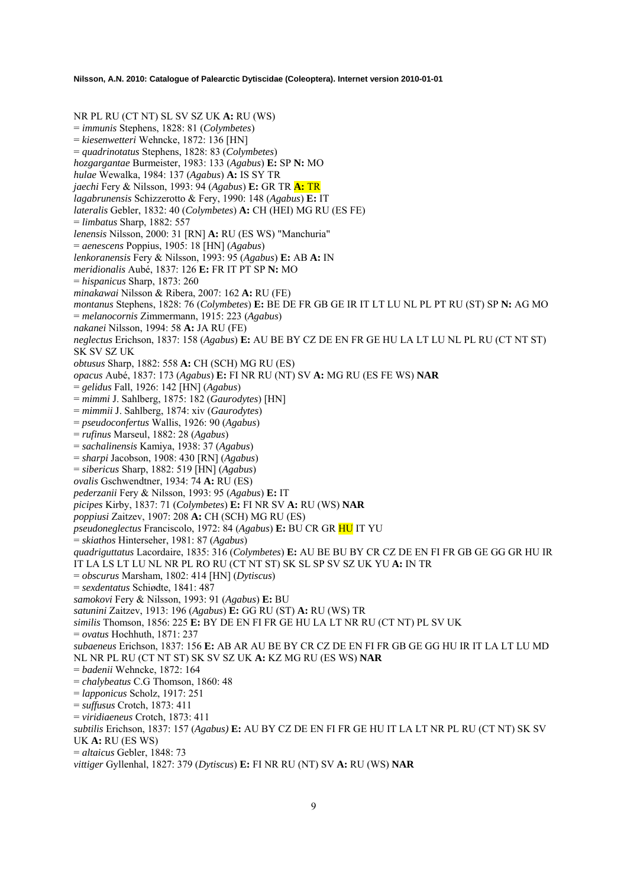NR PL RU (CT NT) SL SV SZ UK **A:** RU (WS) = *immunis* Stephens, 1828: 81 (*Colymbetes*) = *kiesenwetteri* Wehncke, 1872: 136 [HN] = *quadrinotatus* Stephens, 1828: 83 (*Colymbetes*) *hozgargantae* Burmeister, 1983: 133 (*Agabus*) **E:** SP **N:** MO *hulae* Wewalka, 1984: 137 (*Agabus*) **A:** IS SY TR *jaechi* Fery & Nilsson, 1993: 94 (*Agabus*) **E:** GR TR **A:** TR *lagabrunensis* Schizzerotto & Fery, 1990: 148 (*Agabus*) **E:** IT *lateralis* Gebler, 1832: 40 (*Colymbetes*) **A:** CH (HEI) MG RU (ES FE) = *limbatus* Sharp, 1882: 557 *lenensis* Nilsson, 2000: 31 [RN] **A:** RU (ES WS) "Manchuria" = *aenescens* Poppius, 1905: 18 [HN] (*Agabus*) *lenkoranensis* Fery & Nilsson, 1993: 95 (*Agabus*) **E:** AB **A:** IN *meridionalis* Aubé, 1837: 126 **E:** FR IT PT SP **N:** MO = *hispanicus* Sharp, 1873: 260 *minakawai* Nilsson & Ribera, 2007: 162 **A:** RU (FE) *montanus* Stephens, 1828: 76 (*Colymbetes*) **E:** BE DE FR GB GE IR IT LT LU NL PL PT RU (ST) SP **N:** AG MO = *melanocornis* Zimmermann, 1915: 223 (*Agabus*) *nakanei* Nilsson, 1994: 58 **A:** JA RU (FE) *neglectus* Erichson, 1837: 158 (*Agabus*) **E:** AU BE BY CZ DE EN FR GE HU LA LT LU NL PL RU (CT NT ST) SK SV SZ UK *obtusus* Sharp, 1882: 558 **A:** CH (SCH) MG RU (ES) *opacus* Aubé, 1837: 173 (*Agabus*) **E:** FI NR RU (NT) SV **A:** MG RU (ES FE WS) **NAR** = *gelidus* Fall, 1926: 142 [HN] (*Agabus*) = *mimmi* J. Sahlberg, 1875: 182 (*Gaurodytes*) [HN] = *mimmii* J. Sahlberg, 1874: xiv (*Gaurodytes*) = *pseudoconfertus* Wallis, 1926: 90 (*Agabus*) = *rufinus* Marseul, 1882: 28 (*Agabus*) = *sachalinensis* Kamiya, 1938: 37 (*Agabus*) = *sharpi* Jacobson, 1908: 430 [RN] (*Agabus*) = *sibericus* Sharp, 1882: 519 [HN] (*Agabus*) *ovalis* Gschwendtner, 1934: 74 **A:** RU (ES) *pederzanii* Fery & Nilsson, 1993: 95 (*Agabus*) **E:** IT *picipes* Kirby, 1837: 71 (*Colymbetes*) **E:** FI NR SV **A:** RU (WS) **NAR**  *poppiusi* Zaitzev, 1907: 208 **A:** CH (SCH) MG RU (ES) *pseudoneglectus* Franciscolo, 1972: 84 (*Agabus*) **E:** BU CR GR HU IT YU = *skiathos* Hinterseher, 1981: 87 (*Agabus*) *quadriguttatus* Lacordaire, 1835: 316 (*Colymbetes*) **E:** AU BE BU BY CR CZ DE EN FI FR GB GE GG GR HU IR IT LA LS LT LU NL NR PL RO RU (CT NT ST) SK SL SP SV SZ UK YU **A:** IN TR = *obscurus* Marsham, 1802: 414 [HN] (*Dytiscus*) = *sexdentatus* Schiødte, 1841: 487 *samokovi* Fery & Nilsson, 1993: 91 (*Agabus*) **E:** BU *satunini* Zaitzev, 1913: 196 (*Agabus*) **E:** GG RU (ST) **A:** RU (WS) TR *similis* Thomson, 1856: 225 **E:** BY DE EN FI FR GE HU LA LT NR RU (CT NT) PL SV UK = *ovatus* Hochhuth, 1871: 237 *subaeneus* Erichson, 1837: 156 **E:** AB AR AU BE BY CR CZ DE EN FI FR GB GE GG HU IR IT LA LT LU MD NL NR PL RU (CT NT ST) SK SV SZ UK **A:** KZ MG RU (ES WS) **NAR**  = *badenii* Wehncke, 1872: 164 = *chalybeatus* C.G Thomson, 1860: 48 = *lapponicus* Scholz, 1917: 251 = *suffusus* Crotch, 1873: 411 = *viridiaeneus* Crotch, 1873: 411 *subtilis* Erichson, 1837: 157 (*Agabus)* **E:** AU BY CZ DE EN FI FR GE HU IT LA LT NR PL RU (CT NT) SK SV UK **A:** RU (ES WS) = *altaicus* Gebler, 1848: 73

*vittiger* Gyllenhal, 1827: 379 (*Dytiscus*) **E:** FI NR RU (NT) SV **A:** RU (WS) **NAR**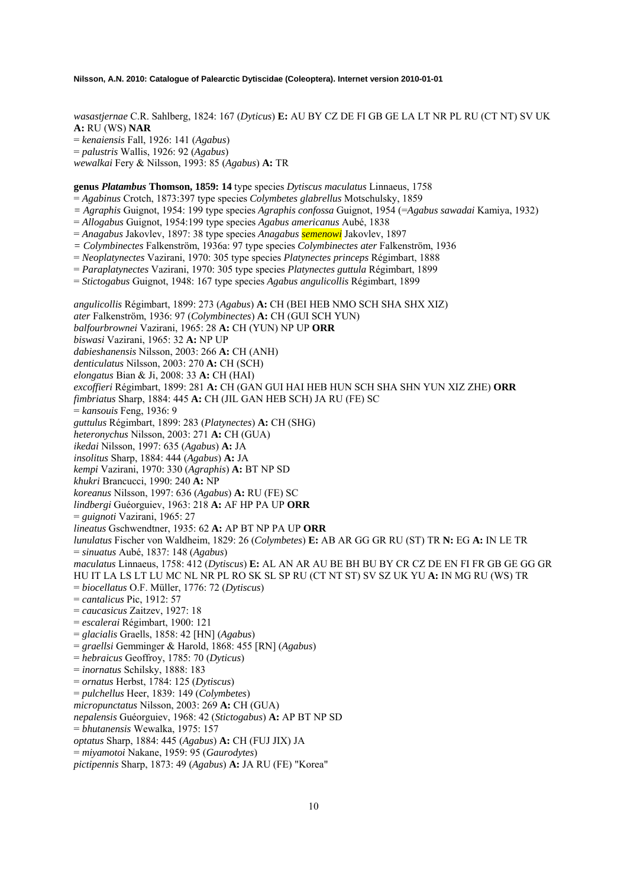*wasastjernae* C.R. Sahlberg, 1824: 167 (*Dyticus*) **E:** AU BY CZ DE FI GB GE LA LT NR PL RU (CT NT) SV UK **A:** RU (WS) **NAR**  = *kenaiensis* Fall, 1926: 141 (*Agabus*) = *palustris* Wallis, 1926: 92 (*Agabus*) *wewalkai* Fery & Nilsson, 1993: 85 (*Agabus*) **A:** TR

**genus** *Platambus* **Thomson, 1859: 14** type species *Dytiscus maculatus* Linnaeus, 1758

= *Agabinus* Crotch, 1873:397 type species *Colymbetes glabrellus* Motschulsky, 1859

*= Agraphis* Guignot, 1954: 199 type species *Agraphis confossa* Guignot, 1954 (=*Agabus sawadai* Kamiya, 1932)

= *Allogabus* Guignot, 1954:199 type species *Agabus americanus* Aubé, 1838

= *Anagabus* Jakovlev, 1897: 38 type species *Anagabus semenowi* Jakovlev, 1897

*= Colymbinectes* Falkenström, 1936a: 97 type species *Colymbinectes ater* Falkenström, 1936

= *Neoplatynectes* Vazirani, 1970: 305 type species *Platynectes princeps* Régimbart, 1888

= *Paraplatynectes* Vazirani, 1970: 305 type species *Platynectes guttula* Régimbart, 1899

= *Stictogabus* Guignot, 1948: 167 type species *Agabus angulicollis* Régimbart, 1899

*angulicollis* Régimbart, 1899: 273 (*Agabus*) **A:** CH (BEI HEB NMO SCH SHA SHX XIZ) *ater* Falkenström, 1936: 97 (*Colymbinectes*) **A:** CH (GUI SCH YUN) *balfourbrownei* Vazirani, 1965: 28 **A:** CH (YUN) NP UP **ORR**  *biswasi* Vazirani, 1965: 32 **A:** NP UP *dabieshanensis* Nilsson, 2003: 266 **A:** CH (ANH) *denticulatus* Nilsson, 2003: 270 **A:** CH (SCH) *elongatus* Bian & Ji, 2008: 33 **A:** CH (HAI) *excoffieri* Régimbart, 1899: 281 **A:** CH (GAN GUI HAI HEB HUN SCH SHA SHN YUN XIZ ZHE) **ORR**  *fimbriatus* Sharp, 1884: 445 **A:** CH (JIL GAN HEB SCH) JA RU (FE) SC = *kansouis* Feng, 1936: 9 *guttulus* Régimbart, 1899: 283 (*Platynectes*) **A:** CH (SHG) *heteronychus* Nilsson, 2003: 271 **A:** CH (GUA) *ikedai* Nilsson, 1997: 635 (*Agabus*) **A:** JA *insolitus* Sharp, 1884: 444 (*Agabus*) **A:** JA *kempi* Vazirani, 1970: 330 (*Agraphis*) **A:** BT NP SD *khukri* Brancucci, 1990: 240 **A:** NP *koreanus* Nilsson, 1997: 636 (*Agabus*) **A:** RU (FE) SC *lindbergi* Guéorguiev, 1963: 218 **A:** AF HP PA UP **ORR**  = *guignoti* Vazirani, 1965: 27 *lineatus* Gschwendtner, 1935: 62 **A:** AP BT NP PA UP **ORR** *lunulatus* Fischer von Waldheim, 1829: 26 (*Colymbetes*) **E:** AB AR GG GR RU (ST) TR **N:** EG **A:** IN LE TR = *sinuatus* Aubé, 1837: 148 (*Agabus*) *maculatus* Linnaeus, 1758: 412 (*Dytiscus*) **E:** AL AN AR AU BE BH BU BY CR CZ DE EN FI FR GB GE GG GR HU IT LA LS LT LU MC NL NR PL RO SK SL SP RU (CT NT ST) SV SZ UK YU **A:** IN MG RU (WS) TR = *biocellatus* O.F. Müller, 1776: 72 (*Dytiscus*) = *cantalicus* Pic, 1912: 57 = *caucasicus* Zaitzev, 1927: 18 = *escalerai* Régimbart, 1900: 121 = *glacialis* Graells, 1858: 42 [HN] (*Agabus*) = *graellsi* Gemminger & Harold, 1868: 455 [RN] (*Agabus*) = *hebraicus* Geoffroy, 1785: 70 (*Dyticus*) = *inornatus* Schilsky, 1888: 183 = *ornatus* Herbst, 1784: 125 (*Dytiscus*) = *pulchellus* Heer, 1839: 149 (*Colymbetes*) *micropunctatus* Nilsson, 2003: 269 **A:** CH (GUA) *nepalensis* Guéorguiev, 1968: 42 (*Stictogabus*) **A:** AP BT NP SD = *bhutanensis* Wewalka, 1975: 157 *optatus* Sharp, 1884: 445 (*Agabus*) **A:** CH (FUJ JIX) JA = *miyamotoi* Nakane, 1959: 95 (*Gaurodytes*)

*pictipennis* Sharp, 1873: 49 (*Agabus*) **A:** JA RU (FE) "Korea"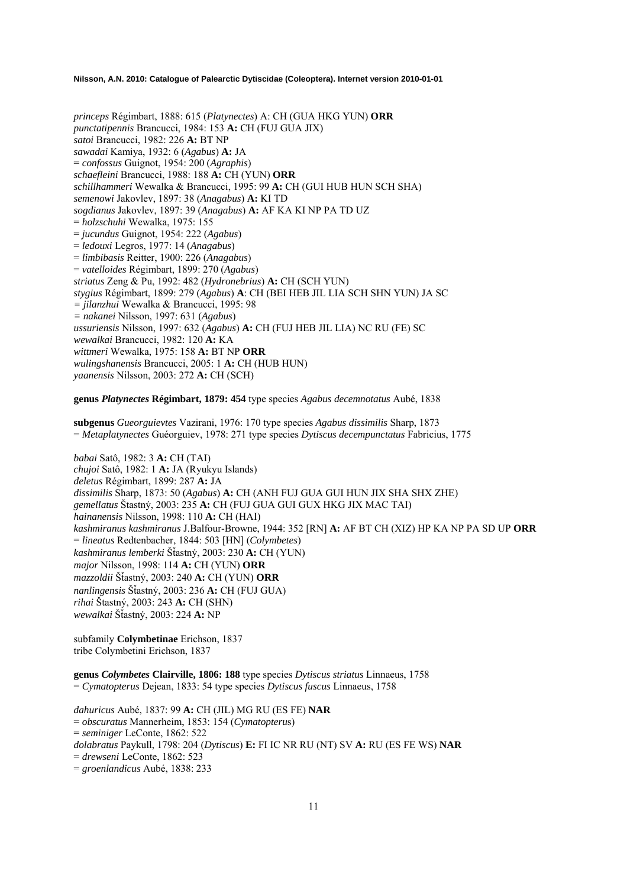*princeps* Régimbart, 1888: 615 (*Platynectes*) A: CH (GUA HKG YUN) **ORR**  *punctatipennis* Brancucci, 1984: 153 **A:** CH (FUJ GUA JIX) *satoi* Brancucci, 1982: 226 **A:** BT NP *sawadai* Kamiya, 1932: 6 (*Agabus*) **A:** JA = *confossus* Guignot, 1954: 200 (*Agraphis*) *schaefleini* Brancucci, 1988: 188 **A:** CH (YUN) **ORR**  *schillhammeri* Wewalka & Brancucci, 1995: 99 **A:** CH (GUI HUB HUN SCH SHA) *semenowi* Jakovlev, 1897: 38 (*Anagabus*) **A:** KI TD *sogdianus* Jakovlev, 1897: 39 (*Anagabus*) **A:** AF KA KI NP PA TD UZ = *holzschuhi* Wewalka, 1975: 155 = *jucundus* Guignot, 1954: 222 (*Agabus*) = *ledouxi* Legros, 1977: 14 (*Anagabus*) = *limbibasis* Reitter, 1900: 226 (*Anagabus*) = *vatelloides* Régimbart, 1899: 270 (*Agabus*) *striatus* Zeng & Pu, 1992: 482 (*Hydronebrius*) **A:** CH (SCH YUN) *stygius* Régimbart, 1899: 279 (*Agabus*) **A**: CH (BEI HEB JIL LIA SCH SHN YUN) JA SC *= jilanzhui* Wewalka & Brancucci, 1995: 98 *= nakanei* Nilsson, 1997: 631 (*Agabus*) *ussuriensis* Nilsson, 1997: 632 (*Agabus*) **A:** CH (FUJ HEB JIL LIA) NC RU (FE) SC *wewalkai* Brancucci, 1982: 120 **A:** KA *wittmeri* Wewalka, 1975: 158 **A:** BT NP **ORR**  *wulingshanensis* Brancucci, 2005: 1 **A:** CH (HUB HUN) *yaanensis* Nilsson, 2003: 272 **A:** CH (SCH)

**genus** *Platynectes* **Régimbart, 1879: 454** type species *Agabus decemnotatus* Aubé, 1838

**subgenus** *Gueorguievtes* Vazirani, 1976: 170 type species *Agabus dissimilis* Sharp, 1873 = *Metaplatynectes* Guéorguiev, 1978: 271 type species *Dytiscus decempunctatus* Fabricius, 1775

*babai* Satô, 1982: 3 **A:** CH (TAI) *chujoi* Satô, 1982: 1 **A:** JA (Ryukyu Islands) *deletus* Régimbart, 1899: 287 **A:** JA *dissimilis* Sharp, 1873: 50 (*Agabus*) **A:** CH (ANH FUJ GUA GUI HUN JIX SHA SHX ZHE) *gemellatus* Štastný, 2003: 235 **A:** CH (FUJ GUA GUI GUX HKG JIX MAC TAI) *hainanensis* Nilsson, 1998: 110 **A:** CH (HAI) *kashmiranus kashmiranus* J.Balfour-Browne, 1944: 352 [RN] **A:** AF BT CH (XIZ) HP KA NP PA SD UP **ORR** = *lineatus* Redtenbacher, 1844: 503 [HN] (*Colymbetes*) *kashmiranus lemberki* ŠÄastný, 2003: 230 **A:** CH (YUN) *major* Nilsson, 1998: 114 **A:** CH (YUN) **ORR**  *mazzoldii* ŠÄastný, 2003: 240 **A:** CH (YUN) **ORR** *nanlingensis* ŠÄastný, 2003: 236 **A:** CH (FUJ GUA) *rihai* Štastný, 2003: 243 **A:** CH (SHN) *wewalkai* ŠÄastný, 2003: 224 **A:** NP

subfamily **Colymbetinae** Erichson, 1837 tribe Colymbetini Erichson, 1837

**genus** *Colymbetes* **Clairville, 1806: 188** type species *Dytiscus striatus* Linnaeus, 1758 = *Cymatopterus* Dejean, 1833: 54 type species *Dytiscus fuscus* Linnaeus, 1758

*dahuricus* Aubé, 1837: 99 **A:** CH (JIL) MG RU (ES FE) **NAR** = *obscuratus* Mannerheim, 1853: 154 (*Cymatopteru*s) = *seminiger* LeConte, 1862: 522 *dolabratus* Paykull, 1798: 204 (*Dytiscus*) **E:** FI IC NR RU (NT) SV **A:** RU (ES FE WS) **NAR**  = *drewseni* LeConte, 1862: 523 = *groenlandicus* Aubé, 1838: 233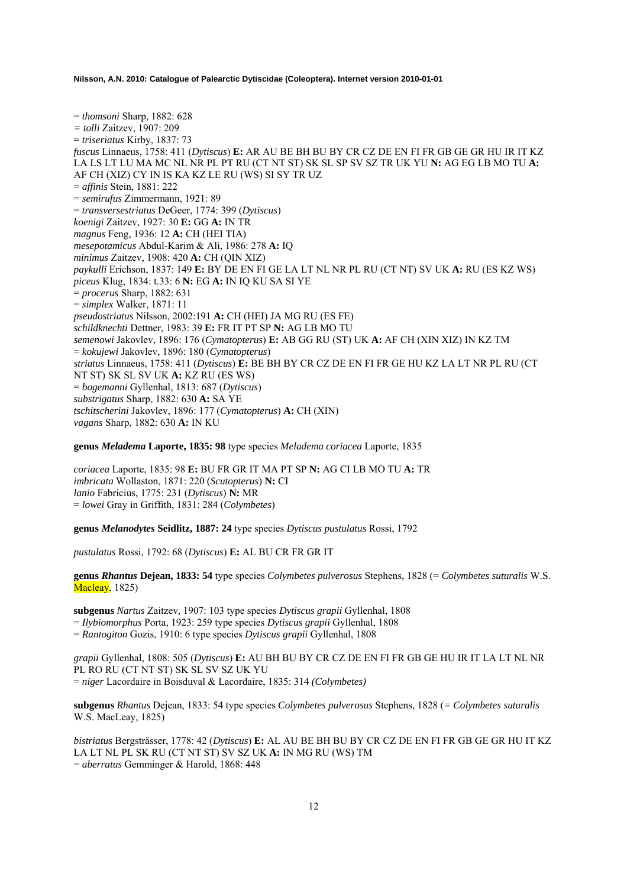= *thomsoni* Sharp, 1882: 628 *= tolli* Zaitzev, 1907: 209 = *triseriatus* Kirby, 1837: 73 *fuscus* Linnaeus, 1758: 411 (*Dytiscus*) **E:** AR AU BE BH BU BY CR CZ DE EN FI FR GB GE GR HU IR IT KZ LA LS LT LU MA MC NL NR PL PT RU (CT NT ST) SK SL SP SV SZ TR UK YU **N:** AG EG LB MO TU **A:**  AF CH (XIZ) CY IN IS KA KZ LE RU (WS) SI SY TR UZ = *affinis* Stein, 1881: 222 = *semirufus* Zimmermann, 1921: 89 = *transversestriatus* DeGeer, 1774: 399 (*Dytiscus*) *koenigi* Zaitzev, 1927: 30 **E:** GG **A:** IN TR *magnus* Feng, 1936: 12 **A:** CH (HEI TIA) *mesepotamicus* Abdul-Karim & Ali, 1986: 278 **A:** IQ *minimus* Zaitzev, 1908: 420 **A:** CH (QIN XIZ) *paykulli* Erichson, 1837: 149 **E:** BY DE EN FI GE LA LT NL NR PL RU (CT NT) SV UK **A:** RU (ES KZ WS) *piceus* Klug, 1834: t.33: 6 **N:** EG **A:** IN IQ KU SA SI YE = *procerus* Sharp, 1882: 631 = *simplex* Walker, 1871: 11 *pseudostriatus* Nilsson, 2002:191 **A:** CH (HEI) JA MG RU (ES FE) *schildknechti* Dettner, 1983: 39 **E:** FR IT PT SP **N:** AG LB MO TU *semenowi* Jakovlev, 1896: 176 (*Cymatopterus*) **E:** AB GG RU (ST) UK **A:** AF CH (XIN XIZ) IN KZ TM = *kokujewi* Jakovlev, 1896: 180 (*Cymatopterus*) *striatus* Linnaeus, 1758: 411 (*Dytiscus*) **E:** BE BH BY CR CZ DE EN FI FR GE HU KZ LA LT NR PL RU (CT NT ST) SK SL SV UK **A:** KZ RU (ES WS) = *bogemanni* Gyllenhal, 1813: 687 (*Dytiscus*) *substrigatus* Sharp, 1882: 630 **A:** SA YE *tschitscherini* Jakovlev, 1896: 177 (*Cymatopterus*) **A:** CH (XIN) *vagans* Sharp, 1882: 630 **A:** IN KU

**genus** *Meladema* **Laporte, 1835: 98** type species *Meladema coriacea* Laporte, 1835

*coriacea* Laporte, 1835: 98 **E:** BU FR GR IT MA PT SP **N:** AG CI LB MO TU **A:** TR *imbricata* Wollaston, 1871: 220 (*Scutopterus*) **N:** CI *lanio* Fabricius, 1775: 231 (*Dytiscus*) **N:** MR = *lowei* Gray in Griffith, 1831: 284 (*Colymbetes*)

**genus** *Melanodytes* **Seidlitz, 1887: 24** type species *Dytiscus pustulatus* Rossi, 1792

*pustulatus* Rossi, 1792: 68 (*Dytiscus*) **E:** AL BU CR FR GR IT

**genus** *Rhantus* **Dejean, 1833: 54** type species *Colymbetes pulverosus* Stephens, 1828 (= *Colymbetes suturalis* W.S. Macleay, 1825)

**subgenus** *Nartus* Zaitzev, 1907: 103 type species *Dytiscus grapii* Gyllenhal, 1808 = *Ilybiomorphus* Porta, 1923: 259 type species *Dytiscus grapii* Gyllenhal, 1808 = *Rantogiton* Gozis, 1910: 6 type species *Dytiscus grapii* Gyllenhal, 1808

*grapii* Gyllenhal, 1808: 505 (*Dytiscus*) **E:** AU BH BU BY CR CZ DE EN FI FR GB GE HU IR IT LA LT NL NR PL RO RU (CT NT ST) SK SL SV SZ UK YU = *niger* Lacordaire in Boisduval & Lacordaire, 1835: 314 *(Colymbetes)* 

**subgenus** *Rhantus* Dejean, 1833: 54 type species *Colymbetes pulverosus* Stephens, 1828 (*= Colymbetes suturalis* W.S. MacLeay, 1825)

*bistriatus* Bergsträsser, 1778: 42 (*Dytiscus*) **E:** AL AU BE BH BU BY CR CZ DE EN FI FR GB GE GR HU IT KZ LA LT NL PL SK RU (CT NT ST) SV SZ UK **A:** IN MG RU (WS) TM = *aberratus* Gemminger & Harold, 1868: 448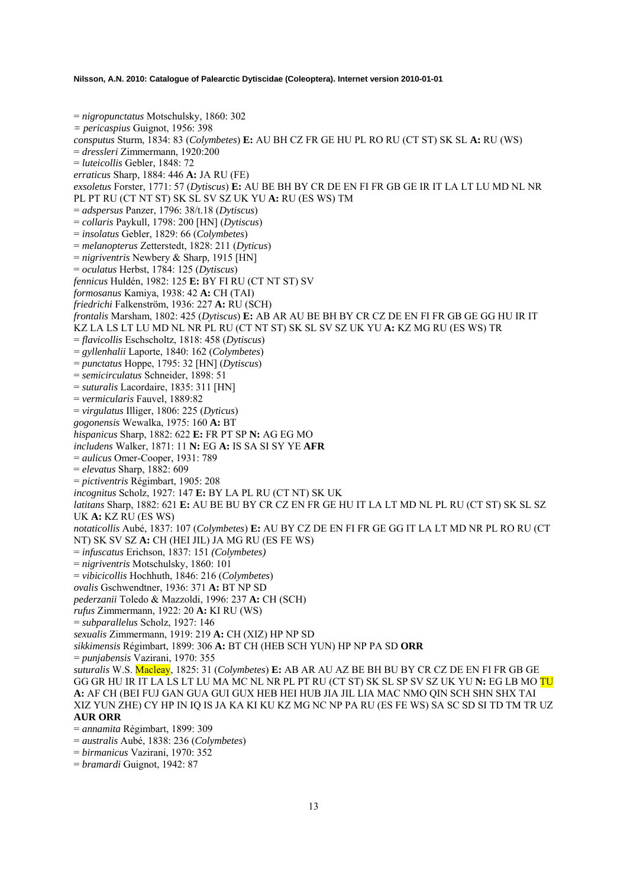= *nigropunctatus* Motschulsky, 1860: 302 *= pericaspius* Guignot, 1956: 398 *consputus* Sturm, 1834: 83 (*Colymbetes*) **E:** AU BH CZ FR GE HU PL RO RU (CT ST) SK SL **A:** RU (WS) = *dressleri* Zimmermann, 1920:200 = *luteicollis* Gebler, 1848: 72 *erraticus* Sharp, 1884: 446 **A:** JA RU (FE) *exsoletus* Forster, 1771: 57 (*Dytiscus*) **E:** AU BE BH BY CR DE EN FI FR GB GE IR IT LA LT LU MD NL NR PL PT RU (CT NT ST) SK SL SV SZ UK YU **A:** RU (ES WS) TM = *adspersus* Panzer, 1796: 38/t.18 (*Dytiscus*) = *collaris* Paykull, 1798: 200 [HN] (*Dytiscus*) = *insolatus* Gebler, 1829: 66 (*Colymbetes*) = *melanopterus* Zetterstedt, 1828: 211 (*Dyticus*) = *nigriventris* Newbery & Sharp, 1915 [HN] = *oculatus* Herbst, 1784: 125 (*Dytiscus*) *fennicus* Huldén, 1982: 125 **E:** BY FI RU (CT NT ST) SV *formosanus* Kamiya, 1938: 42 **A:** CH (TAI) *friedrichi* Falkenström, 1936: 227 **A:** RU (SCH) *frontalis* Marsham, 1802: 425 (*Dytiscus*) **E:** AB AR AU BE BH BY CR CZ DE EN FI FR GB GE GG HU IR IT KZ LA LS LT LU MD NL NR PL RU (CT NT ST) SK SL SV SZ UK YU **A:** KZ MG RU (ES WS) TR = *flavicollis* Eschscholtz, 1818: 458 (*Dytiscus*) = *gyllenhalii* Laporte, 1840: 162 (*Colymbetes*) = *punctatus* Hoppe, 1795: 32 [HN] (*Dytiscus*) = *semicirculatus* Schneider, 1898: 51 = *suturalis* Lacordaire, 1835: 311 [HN] = *vermicularis* Fauvel, 1889:82 = *virgulatus* Illiger, 1806: 225 (*Dyticus*) *gogonensis* Wewalka, 1975: 160 **A:** BT *hispanicus* Sharp, 1882: 622 **E:** FR PT SP **N:** AG EG MO *includens* Walker, 1871: 11 **N:** EG **A:** IS SA SI SY YE **AFR**  = *aulicus* Omer-Cooper, 1931: 789 = *elevatus* Sharp, 1882: 609 = *pictiventris* Régimbart, 1905: 208 *incognitus* Scholz, 1927: 147 **E:** BY LA PL RU (CT NT) SK UK *latitans* Sharp, 1882: 621 **E:** AU BE BU BY CR CZ EN FR GE HU IT LA LT MD NL PL RU (CT ST) SK SL SZ UK **A:** KZ RU (ES WS) *notaticollis* Aubé, 1837: 107 (*Colymbetes*) **E:** AU BY CZ DE EN FI FR GE GG IT LA LT MD NR PL RO RU (CT NT) SK SV SZ **A:** CH (HEI JIL) JA MG RU (ES FE WS) = *infuscatus* Erichson, 1837: 151 *(Colymbetes)*  = *nigriventris* Motschulsky, 1860: 101 = *vibicicollis* Hochhuth, 1846: 216 (*Colymbetes*) *ovalis* Gschwendtner, 1936: 371 **A:** BT NP SD *pederzanii* Toledo & Mazzoldi, 1996: 237 **A:** CH (SCH) *rufus* Zimmermann, 1922: 20 **A:** KI RU (WS) = *subparallelus* Scholz, 1927: 146 *sexualis* Zimmermann, 1919: 219 **A:** CH (XIZ) HP NP SD *sikkimensis* Régimbart, 1899: 306 **A:** BT CH (HEB SCH YUN) HP NP PA SD **ORR**  = *punjabensis* Vazirani, 1970: 355 *suturalis* W.S. Macleay, 1825: 31 (*Colymbetes*) **E:** AB AR AU AZ BE BH BU BY CR CZ DE EN FI FR GB GE GG GR HU IR IT LA LS LT LU MA MC NL NR PL PT RU (CT ST) SK SL SP SV SZ UK YU **N:** EG LB MO TU **A:** AF CH (BEI FUJ GAN GUA GUI GUX HEB HEI HUB JIA JIL LIA MAC NMO QIN SCH SHN SHX TAI XIZ YUN ZHE) CY HP IN IQ IS JA KA KI KU KZ MG NC NP PA RU (ES FE WS) SA SC SD SI TD TM TR UZ **AUR ORR**  = *annamita* Régimbart, 1899: 309 = *australis* Aubé, 1838: 236 (*Colymbetes*)

## = *birmanicus* Vazirani, 1970: 352

= *bramardi* Guignot, 1942: 87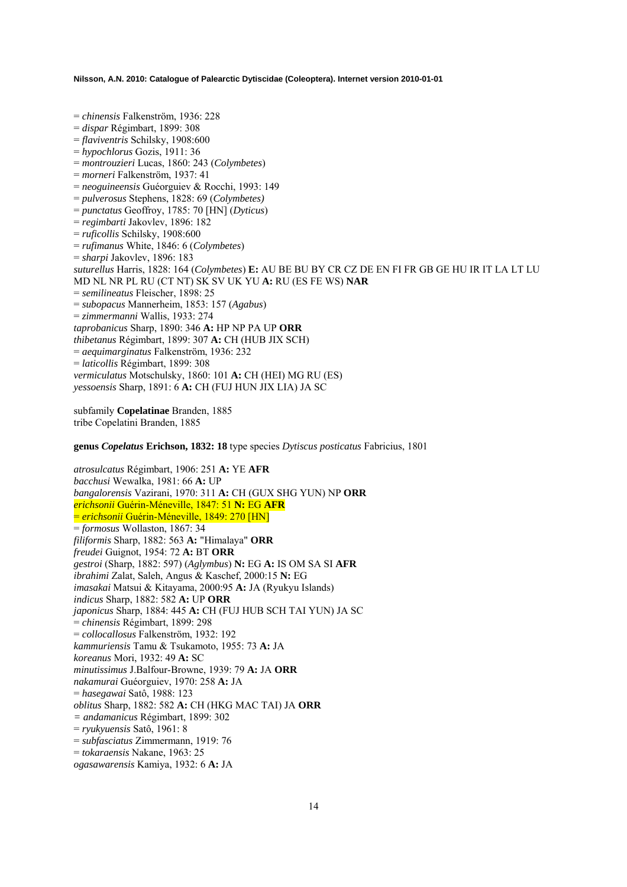= *chinensis* Falkenström, 1936: 228 = *dispar* Régimbart, 1899: 308 = *flaviventris* Schilsky, 1908:600 = *hypochlorus* Gozis, 1911: 36 = *montrouzieri* Lucas, 1860: 243 (*Colymbetes*) = *morneri* Falkenström, 1937: 41 = *neoguineensis* Guéorguiev & Rocchi, 1993: 149 = *pulverosus* Stephens, 1828: 69 (*Colymbetes)* = *punctatus* Geoffroy, 1785: 70 [HN] (*Dyticus*) = *regimbarti* Jakovlev, 1896: 182 = *ruficollis* Schilsky, 1908:600 = *rufimanus* White, 1846: 6 (*Colymbetes*) = *sharpi* Jakovlev, 1896: 183 *suturellus* Harris, 1828: 164 (*Colymbetes*) **E:** AU BE BU BY CR CZ DE EN FI FR GB GE HU IR IT LA LT LU MD NL NR PL RU (CT NT) SK SV UK YU **A:** RU (ES FE WS) **NAR**  = *semilineatus* Fleischer, 1898: 25 = *subopacus* Mannerheim, 1853: 157 (*Agabus*) = *zimmermanni* Wallis, 1933: 274 *taprobanicus* Sharp, 1890: 346 **A:** HP NP PA UP **ORR**  *thibetanus* Régimbart, 1899: 307 **A:** CH (HUB JIX SCH) = *aequimarginatus* Falkenström, 1936: 232 = *laticollis* Régimbart, 1899: 308 *vermiculatus* Motschulsky, 1860: 101 **A:** CH (HEI) MG RU (ES) *yessoensis* Sharp, 1891: 6 **A:** CH (FUJ HUN JIX LIA) JA SC

subfamily **Copelatinae** Branden, 1885 tribe Copelatini Branden, 1885

**genus** *Copelatus* **Erichson, 1832: 18** type species *Dytiscus posticatus* Fabricius, 1801

*atrosulcatus* Régimbart, 1906: 251 **A:** YE **AFR**  *bacchusi* Wewalka, 1981: 66 **A:** UP *bangalorensis* Vazirani, 1970: 311 **A:** CH (GUX SHG YUN) NP **ORR**  *erichsonii* Guérin-Méneville, 1847: 51 **N:** EG **AFR**  = *erichsonii* Guérin-Méneville, 1849: 270 [HN] = *formosus* Wollaston, 1867: 34 *filiformis* Sharp, 1882: 563 **A:** "Himalaya" **ORR**  *freudei* Guignot, 1954: 72 **A:** BT **ORR**  *gestroi* (Sharp, 1882: 597) (*Aglymbus*) **N:** EG **A:** IS OM SA SI **AFR**  *ibrahimi* Zalat, Saleh, Angus & Kaschef, 2000:15 **N:** EG *imasakai* Matsui & Kitayama, 2000:95 **A:** JA (Ryukyu Islands) *indicus* Sharp, 1882: 582 **A:** UP **ORR**  *japonicus* Sharp, 1884: 445 **A:** CH (FUJ HUB SCH TAI YUN) JA SC = *chinensis* Régimbart, 1899: 298 = *collocallosus* Falkenström, 1932: 192 *kammuriensis* Tamu & Tsukamoto, 1955: 73 **A:** JA *koreanus* Mori, 1932: 49 **A:** SC *minutissimus* J.Balfour-Browne, 1939: 79 **A:** JA **ORR**  *nakamurai* Guéorguiev, 1970: 258 **A:** JA = *hasegawai* Satô, 1988: 123 *oblitus* Sharp, 1882: 582 **A:** CH (HKG MAC TAI) JA **ORR** *= andamanicus* Régimbart, 1899: 302 = *ryukyuensis* Satô, 1961: 8 = *subfasciatus* Zimmermann, 1919: 76 = *tokaraensis* Nakane, 1963: 25 *ogasawarensis* Kamiya, 1932: 6 **A:** JA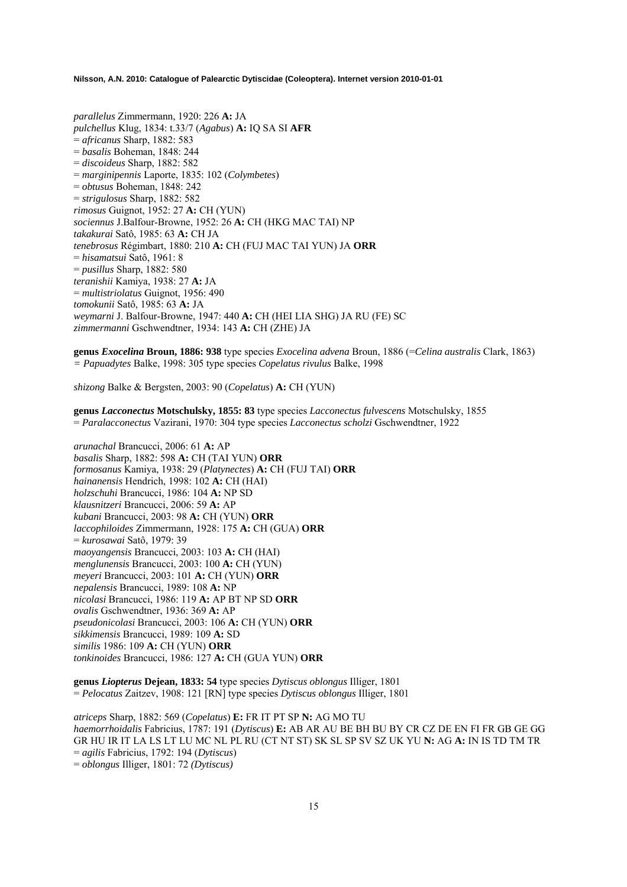*parallelus* Zimmermann, 1920: 226 **A:** JA *pulchellus* Klug, 1834: t.33/7 (*Agabus*) **A:** IQ SA SI **AFR**  = *africanus* Sharp, 1882: 583 = *basalis* Boheman, 1848: 244 = *discoideus* Sharp, 1882: 582 = *marginipennis* Laporte, 1835: 102 (*Colymbetes*) = *obtusus* Boheman, 1848: 242 = *strigulosus* Sharp, 1882: 582 *rimosus* Guignot, 1952: 27 **A:** CH (YUN) *sociennus* J.Balfour-Browne, 1952: 26 **A:** CH (HKG MAC TAI) NP *takakurai* Satô, 1985: 63 **A:** CH JA *tenebrosus* Régimbart, 1880: 210 **A:** CH (FUJ MAC TAI YUN) JA **ORR**  = *hisamatsui* Satô, 1961: 8 = *pusillus* Sharp, 1882: 580 *teranishii* Kamiya, 1938: 27 **A:** JA = *multistriolatus* Guignot, 1956: 490 *tomokunii* Satô, 1985: 63 **A:** JA *weymarni* J. Balfour-Browne, 1947: 440 **A:** CH (HEI LIA SHG) JA RU (FE) SC *zimmermanni* Gschwendtner, 1934: 143 **A:** CH (ZHE) JA

**genus** *Exocelina* **Broun, 1886: 938** type species *Exocelina advena* Broun, 1886 (=*Celina australis* Clark, 1863) *= Papuadytes* Balke, 1998: 305 type species *Copelatus rivulus* Balke, 1998

*shizong* Balke & Bergsten, 2003: 90 (*Copelatus*) **A:** CH (YUN)

**genus** *Lacconectus* **Motschulsky, 1855: 83** type species *Lacconectus fulvescens* Motschulsky, 1855 = *Paralacconectus* Vazirani, 1970: 304 type species *Lacconectus scholzi* Gschwendtner, 1922

*arunachal* Brancucci, 2006: 61 **A:** AP *basalis* Sharp, 1882: 598 **A:** CH (TAI YUN) **ORR**  *formosanus* Kamiya, 1938: 29 (*Platynectes*) **A:** CH (FUJ TAI) **ORR** *hainanensis* Hendrich, 1998: 102 **A:** CH (HAI) *holzschuhi* Brancucci, 1986: 104 **A:** NP SD *klausnitzeri* Brancucci, 2006: 59 **A:** AP *kubani* Brancucci, 2003: 98 **A:** CH (YUN) **ORR** *laccophiloides* Zimmermann, 1928: 175 **A:** CH (GUA) **ORR**  = *kurosawai* Satô, 1979: 39 *maoyangensis* Brancucci, 2003: 103 **A:** CH (HAI) *menglunensis* Brancucci, 2003: 100 **A:** CH (YUN) *meyeri* Brancucci, 2003: 101 **A:** CH (YUN) **ORR** *nepalensis* Brancucci, 1989: 108 **A:** NP *nicolasi* Brancucci, 1986: 119 **A:** AP BT NP SD **ORR**  *ovalis* Gschwendtner, 1936: 369 **A:** AP *pseudonicolasi* Brancucci, 2003: 106 **A:** CH (YUN) **ORR** *sikkimensis* Brancucci, 1989: 109 **A:** SD *similis* 1986: 109 **A:** CH (YUN) **ORR** *tonkinoides* Brancucci, 1986: 127 **A:** CH (GUA YUN) **ORR**

**genus** *Liopterus* **Dejean, 1833: 54** type species *Dytiscus oblongus* Illiger, 1801 = *Pelocatus* Zaitzev, 1908: 121 [RN] type species *Dytiscus oblongus* Illiger, 1801

*atriceps* Sharp, 1882: 569 (*Copelatus*) **E:** FR IT PT SP **N:** AG MO TU *haemorrhoidalis* Fabricius, 1787: 191 (*Dytiscus*) **E:** AB AR AU BE BH BU BY CR CZ DE EN FI FR GB GE GG GR HU IR IT LA LS LT LU MC NL PL RU (CT NT ST) SK SL SP SV SZ UK YU **N:** AG **A:** IN IS TD TM TR = *agilis* Fabricius, 1792: 194 (*Dytiscus*) = *oblongus* Illiger, 1801: 72 *(Dytiscus)*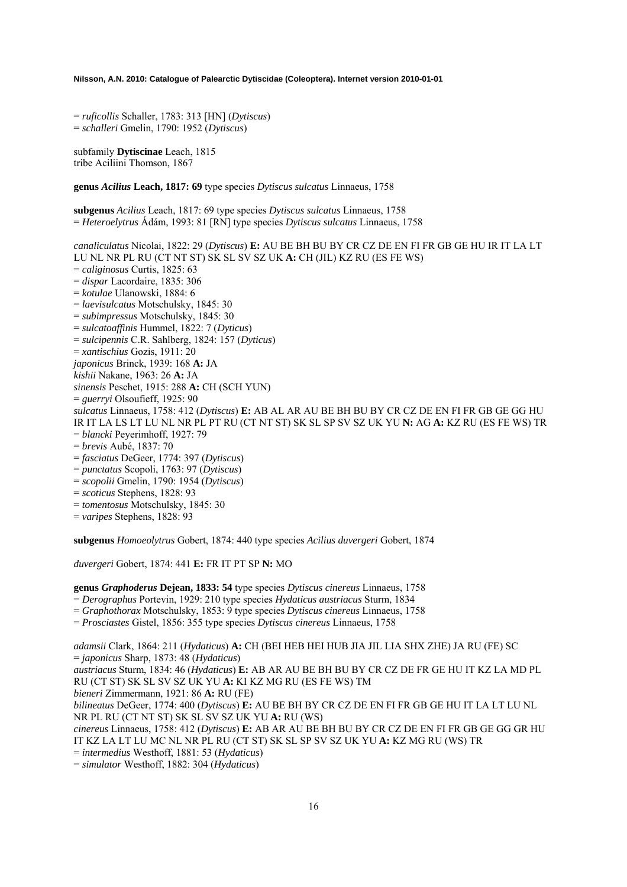= *ruficollis* Schaller, 1783: 313 [HN] (*Dytiscus*) = *schalleri* Gmelin, 1790: 1952 (*Dytiscus*)

subfamily **Dytiscinae** Leach, 1815 tribe Aciliini Thomson, 1867

**genus** *Acilius* **Leach, 1817: 69** type species *Dytiscus sulcatus* Linnaeus, 1758

**subgenus** *Acilius* Leach, 1817: 69 type species *Dytiscus sulcatus* Linnaeus, 1758 = *Heteroelytrus* Ádám, 1993: 81 [RN] type species *Dytiscus sulcatus* Linnaeus, 1758

*canaliculatus* Nicolai, 1822: 29 (*Dytiscus*) **E:** AU BE BH BU BY CR CZ DE EN FI FR GB GE HU IR IT LA LT LU NL NR PL RU (CT NT ST) SK SL SV SZ UK **A:** CH (JIL) KZ RU (ES FE WS) = *caliginosus* Curtis, 1825: 63 = *dispar* Lacordaire, 1835: 306 = *kotulae* Ulanowski, 1884: 6 = *laevisulcatus* Motschulsky, 1845: 30 = *subimpressus* Motschulsky, 1845: 30 = *sulcatoaffinis* Hummel, 1822: 7 (*Dyticus*) = *sulcipennis* C.R. Sahlberg, 1824: 157 (*Dyticus*) = *xantischius* Gozis, 1911: 20 *japonicus* Brinck, 1939: 168 **A:** JA *kishii* Nakane, 1963: 26 **A:** JA *sinensis* Peschet, 1915: 288 **A:** CH (SCH YUN) = *guerryi* Olsoufieff, 1925: 90 *sulcatus* Linnaeus, 1758: 412 (*Dytiscus*) **E:** AB AL AR AU BE BH BU BY CR CZ DE EN FI FR GB GE GG HU IR IT LA LS LT LU NL NR PL PT RU (CT NT ST) SK SL SP SV SZ UK YU **N:** AG **A:** KZ RU (ES FE WS) TR = *blancki* Peyerimhoff, 1927: 79 = *brevis* Aubé, 1837: 70 = *fasciatus* DeGeer, 1774: 397 (*Dytiscus*) = *punctatus* Scopoli, 1763: 97 (*Dytiscus*) = *scopolii* Gmelin, 1790: 1954 (*Dytiscus*) = *scoticus* Stephens, 1828: 93 = *tomentosus* Motschulsky, 1845: 30

= *varipes* Stephens, 1828: 93

**subgenus** *Homoeolytrus* Gobert, 1874: 440 type species *Acilius duvergeri* Gobert, 1874

*duvergeri* Gobert, 1874: 441 **E:** FR IT PT SP **N:** MO

**genus** *Graphoderus* **Dejean, 1833: 54** type species *Dytiscus cinereus* Linnaeus, 1758

= *Derographus* Portevin, 1929: 210 type species *Hydaticus austriacus* Sturm, 1834

= *Graphothorax* Motschulsky, 1853: 9 type species *Dytiscus cinereus* Linnaeus, 1758

= *Prosciastes* Gistel, 1856: 355 type species *Dytiscus cinereus* Linnaeus, 1758

*adamsii* Clark, 1864: 211 (*Hydaticus*) **A:** CH (BEI HEB HEI HUB JIA JIL LIA SHX ZHE) JA RU (FE) SC = *japonicus* Sharp, 1873: 48 (*Hydaticus*)

*austriacus* Sturm, 1834: 46 (*Hydaticus*) **E:** AB AR AU BE BH BU BY CR CZ DE FR GE HU IT KZ LA MD PL RU (CT ST) SK SL SV SZ UK YU **A:** KI KZ MG RU (ES FE WS) TM

*bieneri* Zimmermann, 1921: 86 **A:** RU (FE)

*bilineatus* DeGeer, 1774: 400 (*Dytiscus*) **E:** AU BE BH BY CR CZ DE EN FI FR GB GE HU IT LA LT LU NL NR PL RU (CT NT ST) SK SL SV SZ UK YU **A:** RU (WS)

*cinereus* Linnaeus, 1758: 412 (*Dytiscus*) **E:** AB AR AU BE BH BU BY CR CZ DE EN FI FR GB GE GG GR HU IT KZ LA LT LU MC NL NR PL RU (CT ST) SK SL SP SV SZ UK YU **A:** KZ MG RU (WS) TR

= *intermedius* Westhoff, 1881: 53 (*Hydaticus*)

= *simulator* Westhoff, 1882: 304 (*Hydaticus*)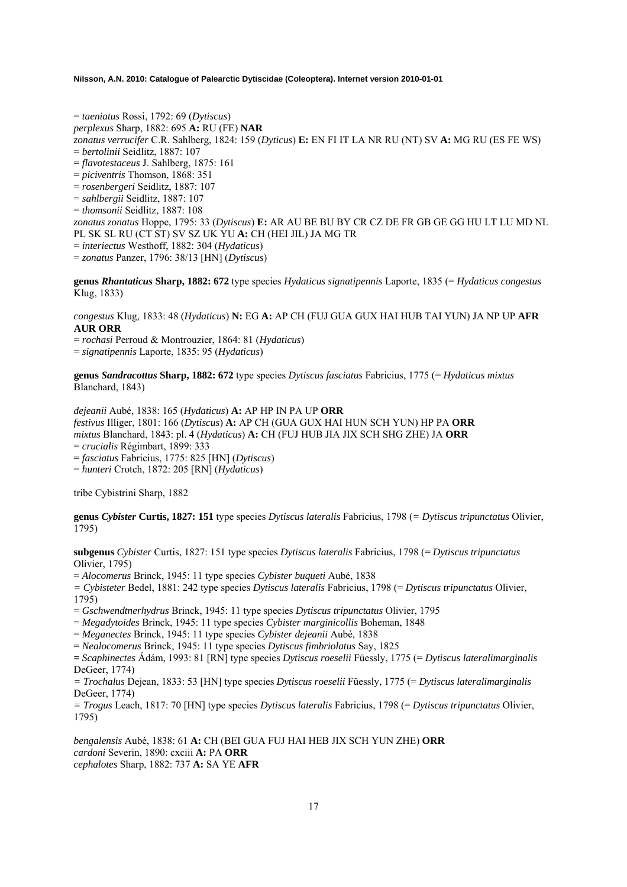= *taeniatus* Rossi, 1792: 69 (*Dytiscus*) *perplexus* Sharp, 1882: 695 **A:** RU (FE) **NAR** *zonatus verrucifer* C.R. Sahlberg, 1824: 159 (*Dyticus*) **E:** EN FI IT LA NR RU (NT) SV **A:** MG RU (ES FE WS) = *bertolinii* Seidlitz, 1887: 107 = *flavotestaceus* J. Sahlberg, 1875: 161 = *piciventris* Thomson, 1868: 351 = *rosenbergeri* Seidlitz, 1887: 107 = *sahlbergii* Seidlitz, 1887: 107 = *thomsonii* Seidlitz, 1887: 108 *zonatus zonatus* Hoppe, 1795: 33 (*Dytiscus*) **E:** AR AU BE BU BY CR CZ DE FR GB GE GG HU LT LU MD NL PL SK SL RU (CT ST) SV SZ UK YU **A:** CH (HEI JIL) JA MG TR = *interiectus* Westhoff, 1882: 304 (*Hydaticus*) = *zonatus* Panzer, 1796: 38/13 [HN] (*Dytiscus*)

**genus** *Rhantaticus* **Sharp, 1882: 672** type species *Hydaticus signatipennis* Laporte, 1835 (= *Hydaticus congestus*  Klug, 1833)

*congestus* Klug, 1833: 48 (*Hydaticus*) **N:** EG **A:** AP CH (FUJ GUA GUX HAI HUB TAI YUN) JA NP UP **AFR AUR ORR**

= *rochasi* Perroud & Montrouzier, 1864: 81 (*Hydaticus*)

= *signatipennis* Laporte, 1835: 95 (*Hydaticus*)

**genus** *Sandracottus* **Sharp, 1882: 672** type species *Dytiscus fasciatus* Fabricius, 1775 (= *Hydaticus mixtus* Blanchard, 1843)

*dejeanii* Aubé, 1838: 165 (*Hydaticus*) **A:** AP HP IN PA UP **ORR**  *festivus* Illiger, 1801: 166 (*Dytiscus*) **A:** AP CH (GUA GUX HAI HUN SCH YUN) HP PA **ORR**  *mixtus* Blanchard, 1843: pl. 4 (*Hydaticus*) **A:** CH (FUJ HUB JIA JIX SCH SHG ZHE) JA **ORR**  = *crucialis* Régimbart, 1899: 333 = *fasciatus* Fabricius, 1775: 825 [HN] (*Dytiscus*)

= *hunteri* Crotch, 1872: 205 [RN] (*Hydaticus*)

tribe Cybistrini Sharp, 1882

**genus** *Cybister* **Curtis, 1827: 151** type species *Dytiscus lateralis* Fabricius, 1798 (*= Dytiscus tripunctatus* Olivier, 1795)

**subgenus** *Cybister* Curtis, 1827: 151 type species *Dytiscus lateralis* Fabricius, 1798 (= *Dytiscus tripunctatus* Olivier, 1795)

= *Alocomerus* Brinck, 1945: 11 type species *Cybister buqueti* Aubé, 1838

*= Cybisteter* Bedel, 1881: 242 type species *Dytiscus lateralis* Fabricius, 1798 (= *Dytiscus tripunctatus* Olivier, 1795)

= *Gschwendtnerhydrus* Brinck, 1945: 11 type species *Dytiscus tripunctatus* Olivier, 1795

= *Megadytoides* Brinck, 1945: 11 type species *Cybister marginicollis* Boheman, 1848

= *Meganectes* Brinck, 1945: 11 type species *Cybister dejeanii* Aubé, 1838

= *Nealocomerus* Brinck, 1945: 11 type species *Dytiscus fimbriolatus* Say, 1825

**=** *Scaphinectes* Ádám, 1993: 81 [RN] type species *Dytiscus roeselii* Füessly, 1775 (= *Dytiscus lateralimarginalis* DeGeer, 1774)

*= Trochalus* Dejean, 1833: 53 [HN] type species *Dytiscus roeselii* Füessly, 1775 (= *Dytiscus lateralimarginalis* DeGeer, 1774)

*= Trogus* Leach, 1817: 70 [HN] type species *Dytiscus lateralis* Fabricius, 1798 (= *Dytiscus tripunctatus* Olivier, 1795)

*bengalensis* Aubé, 1838: 61 **A:** CH (BEI GUA FUJ HAI HEB JIX SCH YUN ZHE) **ORR**  *cardoni* Severin, 1890: cxciii **A:** PA **ORR**  *cephalotes* Sharp, 1882: 737 **A:** SA YE **AFR**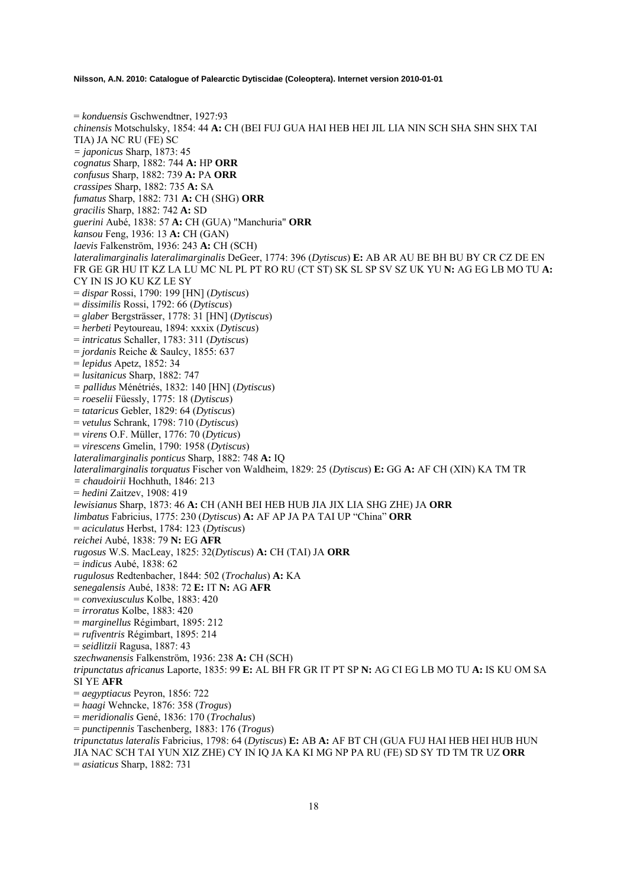= *konduensis* Gschwendtner, 1927:93 *chinensis* Motschulsky, 1854: 44 **A:** CH (BEI FUJ GUA HAI HEB HEI JIL LIA NIN SCH SHA SHN SHX TAI TIA) JA NC RU (FE) SC *= japonicus* Sharp, 1873: 45 *cognatus* Sharp, 1882: 744 **A:** HP **ORR**  *confusus* Sharp, 1882: 739 **A:** PA **ORR**  *crassipes* Sharp, 1882: 735 **A:** SA *fumatus* Sharp, 1882: 731 **A:** CH (SHG) **ORR**  *gracilis* Sharp, 1882: 742 **A:** SD *guerini* Aubé, 1838: 57 **A:** CH (GUA) "Manchuria" **ORR**  *kansou* Feng, 1936: 13 **A:** CH (GAN) *laevis* Falkenström, 1936: 243 **A:** CH (SCH) *lateralimarginalis lateralimarginalis* DeGeer, 1774: 396 (*Dytiscus*) **E:** AB AR AU BE BH BU BY CR CZ DE EN FR GE GR HU IT KZ LA LU MC NL PL PT RO RU (CT ST) SK SL SP SV SZ UK YU **N:** AG EG LB MO TU **A:**  CY IN IS JO KU KZ LE SY = *dispar* Rossi, 1790: 199 [HN] (*Dytiscus*) = *dissimilis* Rossi, 1792: 66 (*Dytiscus*) = *glaber* Bergsträsser, 1778: 31 [HN] (*Dytiscus*) = *herbeti* Peytoureau, 1894: xxxix (*Dytiscus*) = *intricatus* Schaller, 1783: 311 (*Dytiscus*) = *jordanis* Reiche & Saulcy, 1855: 637 = *lepidus* Apetz, 1852: 34 = *lusitanicus* Sharp, 1882: 747 *= pallidus* Ménétriés, 1832: 140 [HN] (*Dytiscus*) = *roeselii* Füessly, 1775: 18 (*Dytiscus*) = *tataricus* Gebler, 1829: 64 (*Dytiscus*) = *vetulus* Schrank, 1798: 710 (*Dytiscus*) = *virens* O.F. Müller, 1776: 70 (*Dyticus*) = *virescens* Gmelin, 1790: 1958 (*Dytiscus*) *lateralimarginalis ponticus* Sharp, 1882: 748 **A:** IQ *lateralimarginalis torquatus* Fischer von Waldheim, 1829: 25 (*Dytiscus*) **E:** GG **A:** AF CH (XIN) KA TM TR *= chaudoirii* Hochhuth, 1846: 213 = *hedini* Zaitzev, 1908: 419 *lewisianus* Sharp, 1873: 46 **A:** CH (ANH BEI HEB HUB JIA JIX LIA SHG ZHE) JA **ORR**  *limbatus* Fabricius, 1775: 230 (*Dytiscus*) **A:** AF AP JA PA TAI UP "China" **ORR**  = *aciculatus* Herbst, 1784: 123 (*Dytiscus*) *reichei* Aubé, 1838: 79 **N:** EG **AFR**  *rugosus* W.S. MacLeay, 1825: 32(*Dytiscus*) **A:** CH (TAI) JA **ORR**  = *indicus* Aubé, 1838: 62 *rugulosus* Redtenbacher, 1844: 502 (*Trochalus*) **A:** KA *senegalensis* Aubé, 1838: 72 **E:** IT **N:** AG **AFR**  = *convexiusculus* Kolbe, 1883: 420 = *irroratus* Kolbe, 1883: 420 = *marginellus* Régimbart, 1895: 212 = *rufiventris* Régimbart, 1895: 214 = *seidlitzii* Ragusa, 1887: 43 *szechwanensis* Falkenström, 1936: 238 **A:** CH (SCH) *tripunctatus africanus* Laporte, 1835: 99 **E:** AL BH FR GR IT PT SP **N:** AG CI EG LB MO TU **A:** IS KU OM SA SI YE **AFR**  = *aegyptiacus* Peyron, 1856: 722 = *haagi* Wehncke, 1876: 358 (*Trogus*) = *meridionalis* Gené, 1836: 170 (*Trochalus*) = *punctipennis* Taschenberg, 1883: 176 (*Trogus*) *tripunctatus lateralis* Fabricius, 1798: 64 (*Dytiscus*) **E:** AB **A:** AF BT CH (GUA FUJ HAI HEB HEI HUB HUN JIA NAC SCH TAI YUN XIZ ZHE) CY IN IQ JA KA KI MG NP PA RU (FE) SD SY TD TM TR UZ **ORR**  = *asiaticus* Sharp, 1882: 731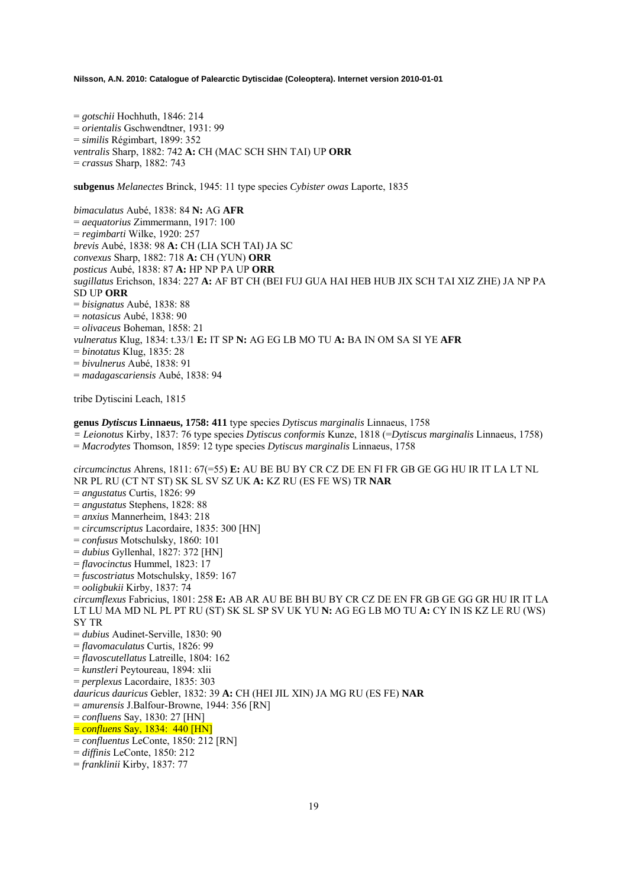= *gotschii* Hochhuth, 1846: 214 = *orientalis* Gschwendtner, 1931: 99 = *similis* Régimbart, 1899: 352 *ventralis* Sharp, 1882: 742 **A:** CH (MAC SCH SHN TAI) UP **ORR**  = *crassus* Sharp, 1882: 743

**subgenus** *Melanectes* Brinck, 1945: 11 type species *Cybister owas* Laporte, 1835

*bimaculatus* Aubé, 1838: 84 **N:** AG **AFR**  = *aequatorius* Zimmermann, 1917: 100 = *regimbarti* Wilke, 1920: 257 *brevis* Aubé, 1838: 98 **A:** CH (LIA SCH TAI) JA SC *convexus* Sharp, 1882: 718 **A:** CH (YUN) **ORR**  *posticus* Aubé, 1838: 87 **A:** HP NP PA UP **ORR**  *sugillatus* Erichson, 1834: 227 **A:** AF BT CH (BEI FUJ GUA HAI HEB HUB JIX SCH TAI XIZ ZHE) JA NP PA SD UP **ORR**  = *bisignatus* Aubé, 1838: 88 = *notasicus* Aubé, 1838: 90 = *olivaceus* Boheman, 1858: 21 *vulneratus* Klug, 1834: t.33/1 **E:** IT SP **N:** AG EG LB MO TU **A:** BA IN OM SA SI YE **AFR**  = *binotatus* Klug, 1835: 28 = *bivulnerus* Aubé, 1838: 91 = *madagascariensis* Aubé, 1838: 94

tribe Dytiscini Leach, 1815

**genus** *Dytiscus* **Linnaeus, 1758: 411** type species *Dytiscus marginalis* Linnaeus, 1758

*= Leionotus* Kirby, 1837: 76 type species *Dytiscus conformis* Kunze, 1818 (=*Dytiscus marginalis* Linnaeus, 1758)

= *Macrodytes* Thomson, 1859: 12 type species *Dytiscus marginalis* Linnaeus, 1758

*circumcinctus* Ahrens, 1811: 67(=55) **E:** AU BE BU BY CR CZ DE EN FI FR GB GE GG HU IR IT LA LT NL NR PL RU (CT NT ST) SK SL SV SZ UK **A:** KZ RU (ES FE WS) TR **NAR**  = *angustatus* Curtis, 1826: 99 = *angustatus* Stephens, 1828: 88 = *anxius* Mannerheim, 1843: 218 = *circumscriptus* Lacordaire, 1835: 300 [HN] = *confusus* Motschulsky, 1860: 101 = *dubius* Gyllenhal, 1827: 372 [HN] = *flavocinctus* Hummel, 1823: 17 = *fuscostriatus* Motschulsky, 1859: 167 = *ooligbukii* Kirby, 1837: 74 *circumflexus* Fabricius, 1801: 258 **E:** AB AR AU BE BH BU BY CR CZ DE EN FR GB GE GG GR HU IR IT LA LT LU MA MD NL PL PT RU (ST) SK SL SP SV UK YU **N:** AG EG LB MO TU **A:** CY IN IS KZ LE RU (WS) SY TR = *dubius* Audinet-Serville, 1830: 90 = *flavomaculatus* Curtis, 1826: 99 = *flavoscutellatus* Latreille, 1804: 162 = *kunstleri* Peytoureau, 1894: xlii = *perplexus* Lacordaire, 1835: 303 *dauricus dauricus* Gebler, 1832: 39 **A:** CH (HEI JIL XIN) JA MG RU (ES FE) **NAR**  = *amurensis* J.Balfour-Browne, 1944: 356 [RN] = *confluens* Say, 1830: 27 [HN] = *confluens* Say, 1834: 440 [HN] = *confluentus* LeConte, 1850: 212 [RN]

= *diffinis* LeConte, 1850: 212

= *franklinii* Kirby, 1837: 77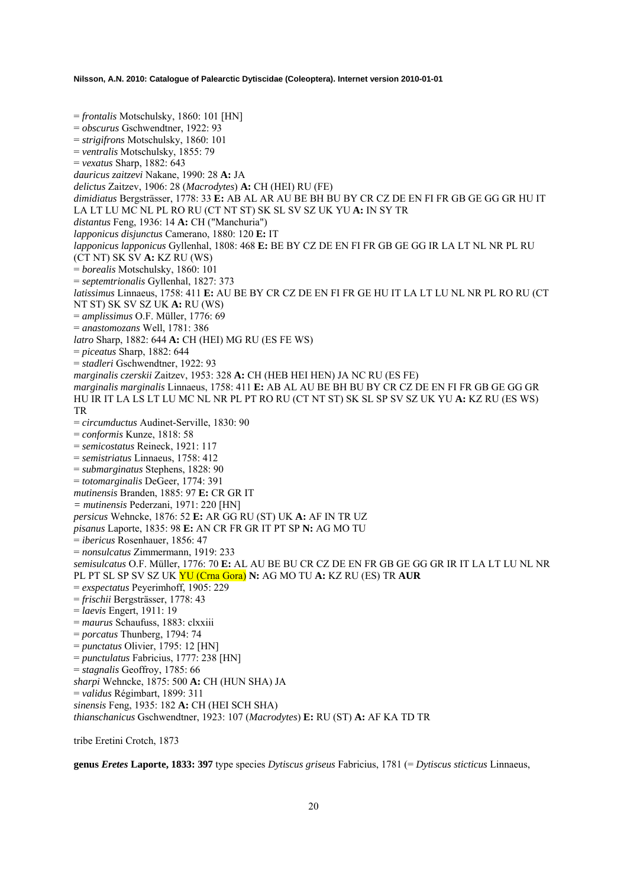= *frontalis* Motschulsky, 1860: 101 [HN] = *obscurus* Gschwendtner, 1922: 93 = *strigifrons* Motschulsky, 1860: 101 = *ventralis* Motschulsky, 1855: 79 = *vexatus* Sharp, 1882: 643 *dauricus zaitzevi* Nakane, 1990: 28 **A:** JA *delictus* Zaitzev, 1906: 28 (*Macrodytes*) **A:** CH (HEI) RU (FE) *dimidiatus* Bergsträsser, 1778: 33 **E:** AB AL AR AU BE BH BU BY CR CZ DE EN FI FR GB GE GG GR HU IT LA LT LU MC NL PL RO RU (CT NT ST) SK SL SV SZ UK YU **A:** IN SY TR *distantus* Feng, 1936: 14 **A:** CH ("Manchuria") *lapponicus disjunctus* Camerano, 1880: 120 **E:** IT *lapponicus lapponicus* Gyllenhal, 1808: 468 **E:** BE BY CZ DE EN FI FR GB GE GG IR LA LT NL NR PL RU (CT NT) SK SV **A:** KZ RU (WS) = *borealis* Motschulsky, 1860: 101 = *septemtrionalis* Gyllenhal, 1827: 373 *latissimus* Linnaeus, 1758: 411 **E:** AU BE BY CR CZ DE EN FI FR GE HU IT LA LT LU NL NR PL RO RU (CT NT ST) SK SV SZ UK **A:** RU (WS) = *amplissimus* O.F. Müller, 1776: 69 = *anastomozans* Well, 1781: 386 *latro* Sharp, 1882: 644 **A:** CH (HEI) MG RU (ES FE WS) = *piceatus* Sharp, 1882: 644 = *stadleri* Gschwendtner, 1922: 93 *marginalis czerskii* Zaitzev, 1953: 328 **A:** CH (HEB HEI HEN) JA NC RU (ES FE) *marginalis marginalis* Linnaeus, 1758: 411 **E:** AB AL AU BE BH BU BY CR CZ DE EN FI FR GB GE GG GR HU IR IT LA LS LT LU MC NL NR PL PT RO RU (CT NT ST) SK SL SP SV SZ UK YU **A:** KZ RU (ES WS) TR = *circumductus* Audinet-Serville, 1830: 90 = *conformis* Kunze, 1818: 58 = *semicostatus* Reineck, 1921: 117 = *semistriatus* Linnaeus, 1758: 412 = *submarginatus* Stephens, 1828: 90 = *totomarginalis* DeGeer, 1774: 391 *mutinensis* Branden, 1885: 97 **E:** CR GR IT *= mutinensis* Pederzani, 1971: 220 [HN] *persicus* Wehncke, 1876: 52 **E:** AR GG RU (ST) UK **A:** AF IN TR UZ *pisanus* Laporte, 1835: 98 **E:** AN CR FR GR IT PT SP **N:** AG MO TU = *ibericus* Rosenhauer, 1856: 47 = *nonsulcatus* Zimmermann, 1919: 233 *semisulcatus* O.F. Müller, 1776: 70 **E:** AL AU BE BU CR CZ DE EN FR GB GE GG GR IR IT LA LT LU NL NR PL PT SL SP SV SZ UK YU (Crna Gora) **N:** AG MO TU **A:** KZ RU (ES) TR **AUR**  = *exspectatus* Peyerimhoff, 1905: 229 = *frischii* Bergsträsser, 1778: 43 = *laevis* Engert, 1911: 19 = *maurus* Schaufuss, 1883: clxxiii = *porcatus* Thunberg, 1794: 74 = *punctatus* Olivier, 1795: 12 [HN] = *punctulatus* Fabricius, 1777: 238 [HN] = *stagnalis* Geoffroy, 1785: 66 *sharpi* Wehncke, 1875: 500 **A:** CH (HUN SHA) JA = *validus* Régimbart, 1899: 311 *sinensis* Feng, 1935: 182 **A:** CH (HEI SCH SHA) *thianschanicus* Gschwendtner, 1923: 107 (*Macrodytes*) **E:** RU (ST) **A:** AF KA TD TR

tribe Eretini Crotch, 1873

**genus** *Eretes* **Laporte, 1833: 397** type species *Dytiscus griseus* Fabricius, 1781 (= *Dytiscus sticticus* Linnaeus,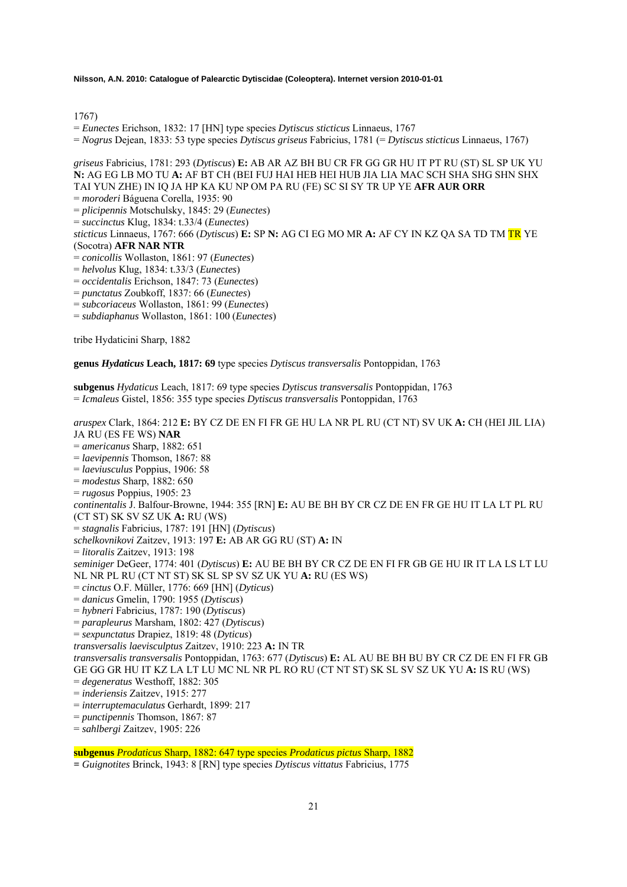1767)

= *Eunectes* Erichson, 1832: 17 [HN] type species *Dytiscus sticticus* Linnaeus, 1767

= *Nogrus* Dejean, 1833: 53 type species *Dytiscus griseus* Fabricius, 1781 (= *Dytiscus sticticus* Linnaeus, 1767)

*griseus* Fabricius, 1781: 293 (*Dytiscus*) **E:** AB AR AZ BH BU CR FR GG GR HU IT PT RU (ST) SL SP UK YU **N:** AG EG LB MO TU **A:** AF BT CH (BEI FUJ HAI HEB HEI HUB JIA LIA MAC SCH SHA SHG SHN SHX TAI YUN ZHE) IN IQ JA HP KA KU NP OM PA RU (FE) SC SI SY TR UP YE **AFR AUR ORR**

= *moroderi* Báguena Corella, 1935: 90

= *plicipennis* Motschulsky, 1845: 29 (*Eunectes*)

= *succinctus* Klug, 1834: t.33/4 (*Eunectes*)

*sticticus* Linnaeus, 1767: 666 (*Dytiscus*) **E:** SP **N:** AG CI EG MO MR **A:** AF CY IN KZ QA SA TD TM TR YE (Socotra) **AFR NAR NTR**

= *conicollis* Wollaston, 1861: 97 (*Eunectes*)

- = *helvolus* Klug, 1834: t.33/3 (*Eunectes*)
- = *occidentalis* Erichson, 1847: 73 (*Eunectes*)
- = *punctatus* Zoubkoff, 1837: 66 (*Eunectes*)
- = *subcoriaceus* Wollaston, 1861: 99 (*Eunectes*)
- = *subdiaphanus* Wollaston, 1861: 100 (*Eunectes*)

tribe Hydaticini Sharp, 1882

**genus** *Hydaticus* **Leach, 1817: 69** type species *Dytiscus transversalis* Pontoppidan, 1763

**subgenus** *Hydaticus* Leach, 1817: 69 type species *Dytiscus transversalis* Pontoppidan, 1763 = *Icmaleus* Gistel, 1856: 355 type species *Dytiscus transversalis* Pontoppidan, 1763

*aruspex* Clark, 1864: 212 **E:** BY CZ DE EN FI FR GE HU LA NR PL RU (CT NT) SV UK **A:** CH (HEI JIL LIA) JA RU (ES FE WS) **NAR** = *americanus* Sharp, 1882: 651 = *laevipennis* Thomson, 1867: 88 = *laeviusculus* Poppius, 1906: 58 = *modestus* Sharp, 1882: 650 = *rugosus* Poppius, 1905: 23 *continentalis* J. Balfour-Browne, 1944: 355 [RN] **E:** AU BE BH BY CR CZ DE EN FR GE HU IT LA LT PL RU (CT ST) SK SV SZ UK **A:** RU (WS) = *stagnalis* Fabricius, 1787: 191 [HN] (*Dytiscus*) *schelkovnikovi* Zaitzev, 1913: 197 **E:** AB AR GG RU (ST) **A:** IN = *litoralis* Zaitzev, 1913: 198 *seminiger* DeGeer, 1774: 401 (*Dytiscus*) **E:** AU BE BH BY CR CZ DE EN FI FR GB GE HU IR IT LA LS LT LU NL NR PL RU (CT NT ST) SK SL SP SV SZ UK YU **A:** RU (ES WS) = *cinctus* O.F. Müller, 1776: 669 [HN] (*Dyticus*) = *danicus* Gmelin, 1790: 1955 (*Dytiscus*) = *hybneri* Fabricius, 1787: 190 (*Dytiscus*) = *parapleurus* Marsham, 1802: 427 (*Dytiscus*) = *sexpunctatus* Drapiez, 1819: 48 (*Dyticus*) *transversalis laevisculptus* Zaitzev, 1910: 223 **A:** IN TR *transversalis transversalis* Pontoppidan, 1763: 677 (*Dytiscus*) **E:** AL AU BE BH BU BY CR CZ DE EN FI FR GB GE GG GR HU IT KZ LA LT LU MC NL NR PL RO RU (CT NT ST) SK SL SV SZ UK YU **A:** IS RU (WS) = *degeneratus* Westhoff, 1882: 305 = *inderiensis* Zaitzev, 1915: 277 = *interruptemaculatus* Gerhardt, 1899: 217 = *punctipennis* Thomson, 1867: 87 = *sahlbergi* Zaitzev, 1905: 226

**subgenus** *Prodaticus* Sharp, 1882: 647 type species *Prodaticus pictus* Sharp, 1882

**=** *Guignotites* Brinck, 1943: 8 [RN] type species *Dytiscus vittatus* Fabricius, 1775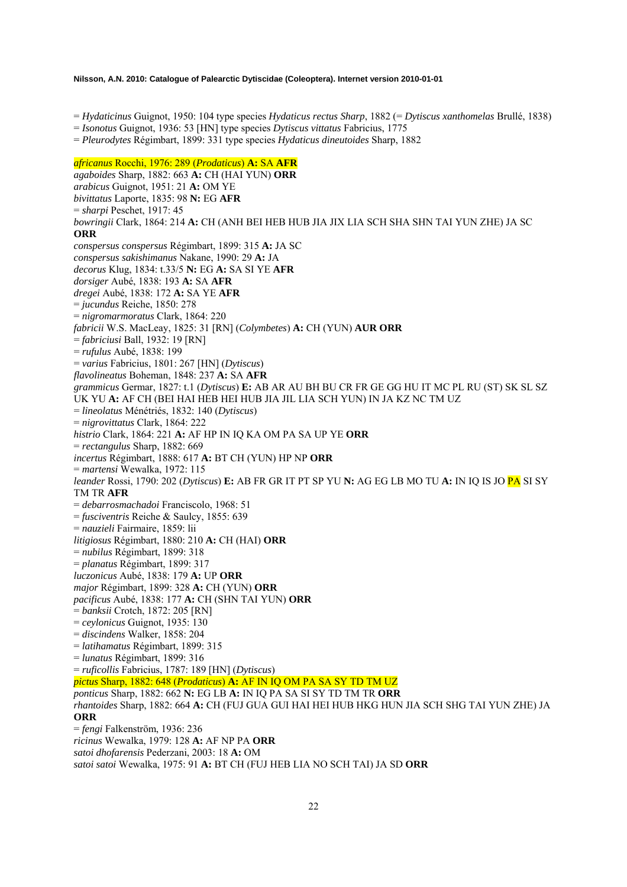= *Hydaticinus* Guignot, 1950: 104 type species *Hydaticus rectus Sharp*, 1882 (= *Dytiscus xanthomelas* Brullé, 1838)

= *Isonotus* Guignot, 1936: 53 [HN] type species *Dytiscus vittatus* Fabricius, 1775

= *Pleurodytes* Régimbart, 1899: 331 type species *Hydaticus dineutoides* Sharp, 1882

### *africanus* Rocchi, 1976: 289 (*Prodaticus*) **A:** SA **AFR**

*agaboides* Sharp, 1882: 663 **A:** CH (HAI YUN) **ORR**  *arabicus* Guignot, 1951: 21 **A:** OM YE *bivittatus* Laporte, 1835: 98 **N:** EG **AFR**  = *sharpi* Peschet, 1917: 45 *bowringii* Clark, 1864: 214 **A:** CH (ANH BEI HEB HUB JIA JIX LIA SCH SHA SHN TAI YUN ZHE) JA SC **ORR** *conspersus conspersus* Régimbart, 1899: 315 **A:** JA SC *conspersus sakishimanus* Nakane, 1990: 29 **A:** JA *decorus* Klug, 1834: t.33/5 **N:** EG **A:** SA SI YE **AFR** *dorsiger* Aubé, 1838: 193 **A:** SA **AFR** *dregei* Aubé, 1838: 172 **A:** SA YE **AFR** = *jucundus* Reiche, 1850: 278 = *nigromarmoratus* Clark, 1864: 220 *fabricii* W.S. MacLeay, 1825: 31 [RN] (*Colymbetes*) **A:** CH (YUN) **AUR ORR**  = *fabriciusi* Ball, 1932: 19 [RN] = *rufulus* Aubé, 1838: 199 = *varius* Fabricius, 1801: 267 [HN] (*Dytiscus*) *flavolineatus* Boheman, 1848: 237 **A:** SA **AFR** *grammicus* Germar, 1827: t.1 (*Dytiscus*) **E:** AB AR AU BH BU CR FR GE GG HU IT MC PL RU (ST) SK SL SZ UK YU **A:** AF CH (BEI HAI HEB HEI HUB JIA JIL LIA SCH YUN) IN JA KZ NC TM UZ = *lineolatus* Ménétriés, 1832: 140 (*Dytiscus*) = *nigrovittatus* Clark, 1864: 222 *histrio* Clark, 1864: 221 **A:** AF HP IN IQ KA OM PA SA UP YE **ORR** = *rectangulus* Sharp, 1882: 669 *incertus* Régimbart, 1888: 617 **A:** BT CH (YUN) HP NP **ORR** = *martensi* Wewalka, 1972: 115 *leander* Rossi, 1790: 202 (*Dytiscus*) **E:** AB FR GR IT PT SP YU **N:** AG EG LB MO TU **A:** IN IQ IS JO PA SI SY TM TR **AFR** = *debarrosmachadoi* Franciscolo, 1968: 51 = *fusciventris* Reiche & Saulcy, 1855: 639 = *nauzieli* Fairmaire, 1859: lii *litigiosus* Régimbart, 1880: 210 **A:** CH (HAI) **ORR** = *nubilus* Régimbart, 1899: 318 = *planatus* Régimbart, 1899: 317 *luczonicus* Aubé, 1838: 179 **A:** UP **ORR** *major* Régimbart, 1899: 328 **A:** CH (YUN) **ORR** *pacificus* Aubé, 1838: 177 **A:** CH (SHN TAI YUN) **ORR** = *banksii* Crotch, 1872: 205 [RN] = *ceylonicus* Guignot, 1935: 130 = *discindens* Walker, 1858: 204 = *latihamatus* Régimbart, 1899: 315 = *lunatus* Régimbart, 1899: 316 = *ruficollis* Fabricius, 1787: 189 [HN] (*Dytiscus*) *pictus* Sharp, 1882: 648 (*Prodaticus*) **A:** AF IN IQ OM PA SA SY TD TM UZ *ponticus* Sharp, 1882: 662 **N:** EG LB **A:** IN IQ PA SA SI SY TD TM TR **ORR** *rhantoides* Sharp, 1882: 664 **A:** CH (FUJ GUA GUI HAI HEI HUB HKG HUN JIA SCH SHG TAI YUN ZHE) JA **ORR** = *fengi* Falkenström, 1936: 236 *ricinus* Wewalka, 1979: 128 **A:** AF NP PA **ORR** *satoi dhofarensis* Pederzani, 2003: 18 **A:** OM *satoi satoi* Wewalka, 1975: 91 **A:** BT CH (FUJ HEB LIA NO SCH TAI) JA SD **ORR**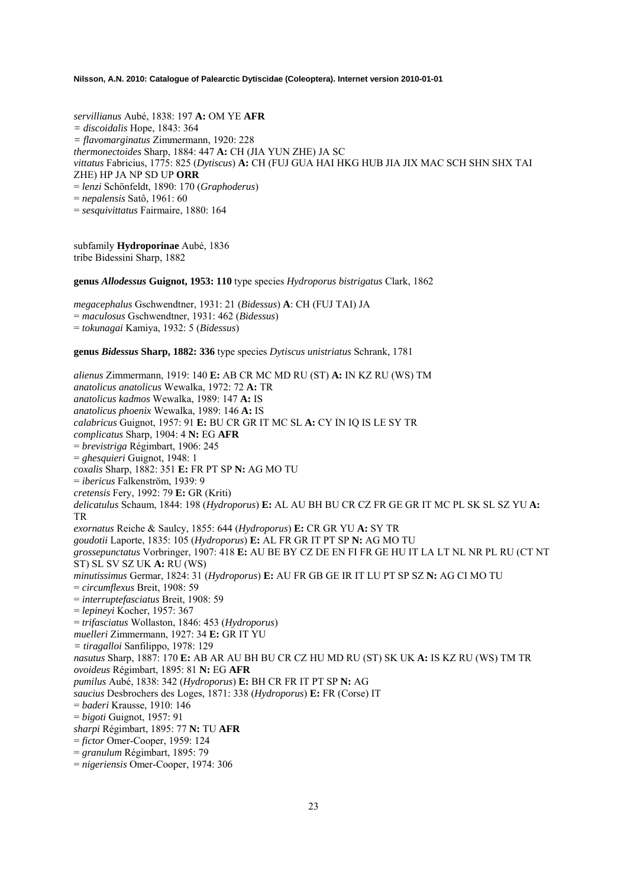*servillianus* Aubé, 1838: 197 **A:** OM YE **AFR** *= discoidalis* Hope, 1843: 364 *= flavomarginatus* Zimmermann, 1920: 228 *thermonectoides* Sharp, 1884: 447 **A:** CH (JIA YUN ZHE) JA SC *vittatus* Fabricius, 1775: 825 (*Dytiscus*) **A:** CH (FUJ GUA HAI HKG HUB JIA JIX MAC SCH SHN SHX TAI ZHE) HP JA NP SD UP **ORR** = *lenzi* Schönfeldt, 1890: 170 (*Graphoderus*) = *nepalensis* Satô, 1961: 60 = *sesquivittatus* Fairmaire, 1880: 164

subfamily **Hydroporinae** Aubé, 1836 tribe Bidessini Sharp, 1882

**genus** *Allodessus* **Guignot, 1953: 110** type species *Hydroporus bistrigatus* Clark, 1862

*megacephalus* Gschwendtner, 1931: 21 (*Bidessus*) **A**: CH (FUJ TAI) JA = *maculosus* Gschwendtner, 1931: 462 (*Bidessus*) = *tokunagai* Kamiya, 1932: 5 (*Bidessus*)

**genus** *Bidessus* **Sharp, 1882: 336** type species *Dytiscus unistriatus* Schrank, 1781

*alienus* Zimmermann, 1919: 140 **E:** AB CR MC MD RU (ST) **A:** IN KZ RU (WS) TM *anatolicus anatolicus* Wewalka, 1972: 72 **A:** TR *anatolicus kadmos* Wewalka, 1989: 147 **A:** IS *anatolicus phoenix* Wewalka, 1989: 146 **A:** IS *calabricus* Guignot, 1957: 91 **E:** BU CR GR IT MC SL **A:** CY IN IQ IS LE SY TR *complicatus* Sharp, 1904: 4 **N:** EG **AFR** = *brevistriga* Régimbart, 1906: 245 = *ghesquieri* Guignot, 1948: 1 *coxalis* Sharp, 1882: 351 **E:** FR PT SP **N:** AG MO TU = *ibericus* Falkenström, 1939: 9 *cretensis* Fery, 1992: 79 **E:** GR (Kriti) *delicatulus* Schaum, 1844: 198 (*Hydroporus*) **E:** AL AU BH BU CR CZ FR GE GR IT MC PL SK SL SZ YU **A:**  TR *exornatus* Reiche & Saulcy, 1855: 644 (*Hydroporus*) **E:** CR GR YU **A:** SY TR *goudotii* Laporte, 1835: 105 (*Hydroporus*) **E:** AL FR GR IT PT SP **N:** AG MO TU *grossepunctatus* Vorbringer, 1907: 418 **E:** AU BE BY CZ DE EN FI FR GE HU IT LA LT NL NR PL RU (CT NT ST) SL SV SZ UK **A:** RU (WS) *minutissimus* Germar, 1824: 31 (*Hydroporus*) **E:** AU FR GB GE IR IT LU PT SP SZ **N:** AG CI MO TU = *circumflexus* Breit, 1908: 59 = *interruptefasciatus* Breit, 1908: 59 = *lepineyi* Kocher, 1957: 367 = *trifasciatus* Wollaston, 1846: 453 (*Hydroporus*) *muelleri* Zimmermann, 1927: 34 **E:** GR IT YU *= tiragalloi* Sanfilippo, 1978: 129 *nasutus* Sharp, 1887: 170 **E:** AB AR AU BH BU CR CZ HU MD RU (ST) SK UK **A:** IS KZ RU (WS) TM TR *ovoideus* Régimbart, 1895: 81 **N:** EG **AFR** *pumilus* Aubé, 1838: 342 (*Hydroporus*) **E:** BH CR FR IT PT SP **N:** AG *saucius* Desbrochers des Loges, 1871: 338 (*Hydroporus*) **E:** FR (Corse) IT = *baderi* Krausse, 1910: 146 = *bigoti* Guignot, 1957: 91 *sharpi* Régimbart, 1895: 77 **N:** TU **AFR** = *fictor* Omer-Cooper, 1959: 124 = *granulum* Régimbart, 1895: 79 = *nigeriensis* Omer-Cooper, 1974: 306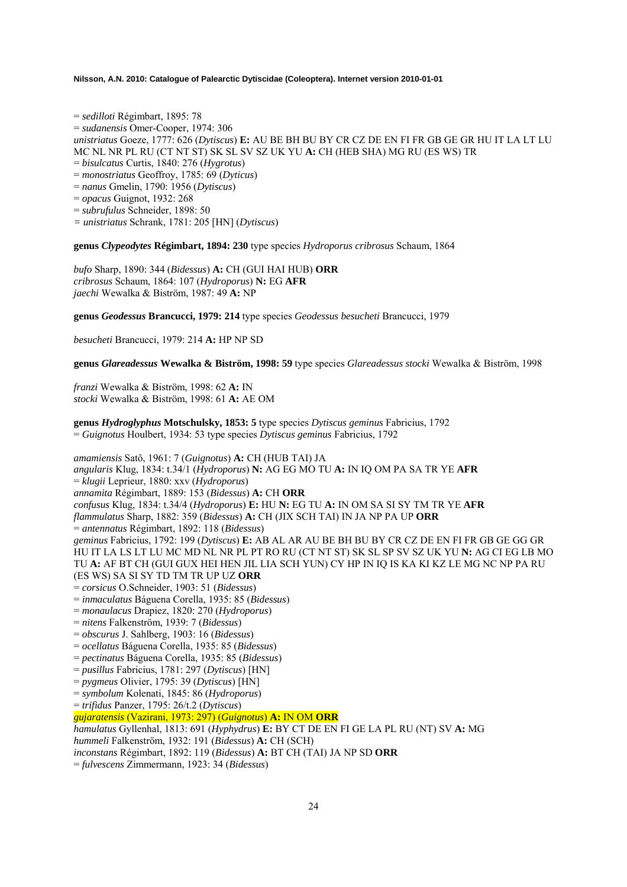= *sedilloti* Régimbart, 1895: 78 = *sudanensis* Omer-Cooper, 1974: 306 *unistriatus* Goeze, 1777: 626 (*Dytiscus*) **E:** AU BE BH BU BY CR CZ DE EN FI FR GB GE GR HU IT LA LT LU MC NL NR PL RU (CT NT ST) SK SL SV SZ UK YU **A:** CH (HEB SHA) MG RU (ES WS) TR = *bisulcatus* Curtis, 1840: 276 (*Hygrotus*) = *monostriatus* Geoffroy, 1785: 69 (*Dyticus*) = *nanus* Gmelin, 1790: 1956 (*Dytiscus*) = *opacus* Guignot, 1932: 268 = *subrufulus* Schneider, 1898: 50

*= unistriatus* Schrank, 1781: 205 [HN] (*Dytiscus*)

**genus** *Clypeodytes* **Régimbart, 1894: 230** type species *Hydroporus cribrosus* Schaum, 1864

*bufo* Sharp, 1890: 344 (*Bidessus*) **A:** CH (GUI HAI HUB) **ORR**  *cribrosus* Schaum, 1864: 107 (*Hydroporus*) **N:** EG **AFR**  *jaechi* Wewalka & Biström, 1987: 49 **A:** NP

**genus** *Geodessus* **Brancucci, 1979: 214** type species *Geodessus besucheti* Brancucci, 1979

*besucheti* Brancucci, 1979: 214 **A:** HP NP SD

**genus** *Glareadessus* **Wewalka & Biström, 1998: 59** type species *Glareadessus stocki* Wewalka & Biström, 1998

*franzi* Wewalka & Biström, 1998: 62 **A:** IN *stocki* Wewalka & Biström, 1998: 61 **A:** AE OM

**genus** *Hydroglyphus* **Motschulsky, 1853: 5** type species *Dytiscus geminus* Fabricius, 1792 = *Guignotus* Houlbert, 1934: 53 type species *Dytiscus geminus* Fabricius, 1792

*amamiensis* Satô, 1961: 7 (*Guignotus*) **A:** CH (HUB TAI) JA *angularis* Klug, 1834: t.34/1 (*Hydroporus*) **N:** AG EG MO TU **A:** IN IQ OM PA SA TR YE **AFR**  = *klugii* Leprieur, 1880: xxv (*Hydroporus*) *annamita* Régimbart, 1889: 153 (*Bidessus*) **A:** CH **ORR**  *confusus* Klug, 1834: t.34/4 (*Hydroporus*) **E:** HU **N:** EG TU **A:** IN OM SA SI SY TM TR YE **AFR**  *flammulatus* Sharp, 1882: 359 (*Bidessus*) **A:** CH (JIX SCH TAI) IN JA NP PA UP **ORR**  = *antennatus* Régimbart, 1892: 118 (*Bidessus*) *geminus* Fabricius, 1792: 199 (*Dytiscus*) **E:** AB AL AR AU BE BH BU BY CR CZ DE EN FI FR GB GE GG GR HU IT LA LS LT LU MC MD NL NR PL PT RO RU (CT NT ST) SK SL SP SV SZ UK YU **N:** AG CI EG LB MO TU **A:** AF BT CH (GUI GUX HEI HEN JIL LIA SCH YUN) CY HP IN IQ IS KA KI KZ LE MG NC NP PA RU (ES WS) SA SI SY TD TM TR UP UZ **ORR**  = *corsicus* O.Schneider, 1903: 51 (*Bidessus*) = *inmaculatus* Báguena Corella, 1935: 85 (*Bidessus*) = *monaulacus* Drapiez, 1820: 270 (*Hydroporus*) = *nitens* Falkenström, 1939: 7 (*Bidessus*) = *obscurus* J. Sahlberg, 1903: 16 (*Bidessus*) = *ocellatus* Báguena Corella, 1935: 85 (*Bidessus*) = *pectinatus* Báguena Corella, 1935: 85 (*Bidessus*) = *pusillus* Fabricius, 1781: 297 (*Dytiscus*) [HN] = *pygmeus* Olivier, 1795: 39 (*Dytiscus*) [HN] = *symbolum* Kolenati, 1845: 86 (*Hydroporus*) = *trifidus* Panzer, 1795: 26/t.2 (*Dytiscus*) *gujaratensis* (Vazirani, 1973: 297) (*Guignotus*) **A:** IN OM **ORR** *hamulatus* Gyllenhal, 1813: 691 (*Hyphydrus*) **E:** BY CT DE EN FI GE LA PL RU (NT) SV **A:** MG *hummeli* Falkenström, 1932: 191 (*Bidessus*) **A:** CH (SCH) *inconstans* Régimbart, 1892: 119 (*Bidessus*) **A:** BT CH (TAI) JA NP SD **ORR**  = *fulvescens* Zimmermann, 1923: 34 (*Bidessus*)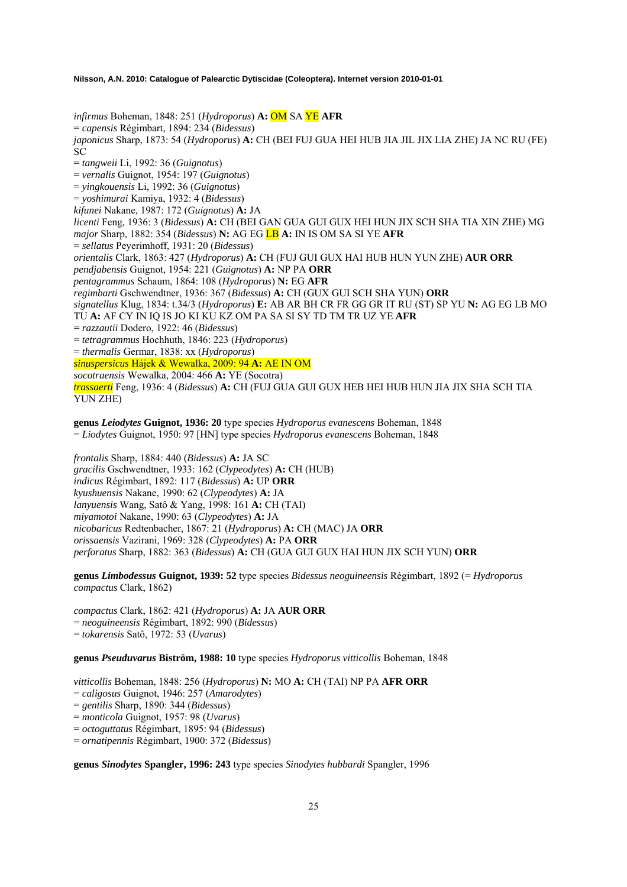*infirmus* Boheman, 1848: 251 (*Hydroporus*) **A:** OM SA YE **AFR**  = *capensis* Régimbart, 1894: 234 (*Bidessus*) *japonicus* Sharp, 1873: 54 (*Hydroporus*) **A:** CH (BEI FUJ GUA HEI HUB JIA JIL JIX LIA ZHE) JA NC RU (FE) SC = *tangweii* Li, 1992: 36 (*Guignotus*) = *vernalis* Guignot, 1954: 197 (*Guignotus*) = *yingkouensis* Li, 1992: 36 (*Guignotus*) = *yoshimurai* Kamiya, 1932: 4 (*Bidessus*) *kifunei* Nakane, 1987: 172 (*Guignotus*) **A:** JA *licenti* Feng, 1936: 3 (*Bidessus*) **A:** CH (BEI GAN GUA GUI GUX HEI HUN JIX SCH SHA TIA XIN ZHE) MG *major* Sharp, 1882: 354 (*Bidessus*) **N:** AG EG LB **A:** IN IS OM SA SI YE **AFR**  = *sellatus* Peyerimhoff, 1931: 20 (*Bidessus*) *orientalis* Clark, 1863: 427 (*Hydroporus*) **A:** CH (FUJ GUI GUX HAI HUB HUN YUN ZHE) **AUR ORR**  *pendjabensis* Guignot, 1954: 221 (*Guignotus*) **A:** NP PA **ORR**  *pentagrammus* Schaum, 1864: 108 (*Hydroporus*) **N:** EG **AFR**  *regimbarti* Gschwendtner, 1936: 367 (*Bidessus*) **A:** CH (GUX GUI SCH SHA YUN) **ORR**  *signatellus* Klug, 1834: t.34/3 (*Hydroporus*) **E:** AB AR BH CR FR GG GR IT RU (ST) SP YU **N:** AG EG LB MO TU **A:** AF CY IN IQ IS JO KI KU KZ OM PA SA SI SY TD TM TR UZ YE **AFR**  = *razzautii* Dodero, 1922: 46 (*Bidessus*) = *tetragrammus* Hochhuth, 1846: 223 (*Hydroporus*) = *thermalis* Germar, 1838: xx (*Hydroporus*) *sinuspersicus* Hájek & Wewalka, 2009: 94 **A:** AE IN OM *socotraensis* Wewalka, 2004: 466 **A:** YE (Socotra) *trassaerti* Feng, 1936: 4 (*Bidessus*) **A:** CH (FUJ GUA GUI GUX HEB HEI HUB HUN JIA JIX SHA SCH TIA YUN ZHE)

**genus** *Leiodytes* **Guignot, 1936: 20** type species *Hydroporus evanescens* Boheman, 1848 = *Liodytes* Guignot, 1950: 97 [HN] type species *Hydroporus evanescens* Boheman, 1848

*frontalis* Sharp, 1884: 440 (*Bidessus*) **A:** JA SC *gracilis* Gschwendtner, 1933: 162 (*Clypeodytes*) **A:** CH (HUB) *indicus* Régimbart, 1892: 117 (*Bidessus*) **A:** UP **ORR**  *kyushuensis* Nakane, 1990: 62 (*Clypeodytes*) **A:** JA *lanyuensis* Wang, Satô & Yang, 1998: 161 **A:** CH (TAI) *miyamotoi* Nakane, 1990: 63 (*Clypeodytes*) **A:** JA *nicobaricus* Redtenbacher, 1867: 21 (*Hydroporus*) **A:** CH (MAC) JA **ORR**  *orissaensis* Vazirani, 1969: 328 (*Clypeodytes*) **A:** PA **ORR**  *perforatus* Sharp, 1882: 363 (*Bidessus*) **A:** CH (GUA GUI GUX HAI HUN JIX SCH YUN) **ORR** 

**genus** *Limbodessus* **Guignot, 1939: 52** type species *Bidessus neoguineensis* Régimbart, 1892 (= *Hydroporus compactus* Clark, 1862)

*compactus* Clark, 1862: 421 (*Hydroporus*) **A:** JA **AUR ORR**  = *neoguineensis* Régimbart, 1892: 990 (*Bidessus*) = *tokarensis* Satô, 1972: 53 (*Uvarus*)

**genus** *Pseuduvarus* **Biström, 1988: 10** type species *Hydroporus vitticollis* Boheman, 1848

*vitticollis* Boheman, 1848: 256 (*Hydroporus*) **N:** MO **A:** CH (TAI) NP PA **AFR ORR**  = *caligosus* Guignot, 1946: 257 (*Amarodytes*) = *gentilis* Sharp, 1890: 344 (*Bidessus*) = *monticola* Guignot, 1957: 98 (*Uvarus*) = *octoguttatus* Régimbart, 1895: 94 (*Bidessus*) = *ornatipennis* Régimbart, 1900: 372 (*Bidessus*)

**genus** *Sinodytes* **Spangler, 1996: 243** type species *Sinodytes hubbardi* Spangler, 1996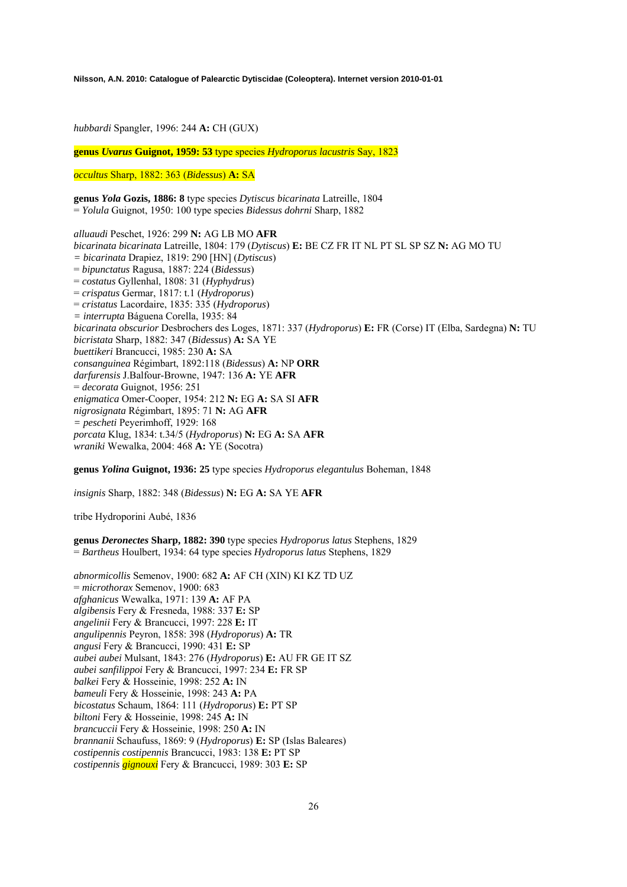*hubbardi* Spangler, 1996: 244 **A:** CH (GUX)

**genus** *Uvarus* **Guignot, 1959: 53** type species *Hydroporus lacustris* Say, 1823

*occultus* Sharp, 1882: 363 (*Bidessus*) **A:** SA

**genus** *Yola* **Gozis, 1886: 8** type species *Dytiscus bicarinata* Latreille, 1804 = *Yolula* Guignot, 1950: 100 type species *Bidessus dohrni* Sharp, 1882

*alluaudi* Peschet, 1926: 299 **N:** AG LB MO **AFR**  *bicarinata bicarinata* Latreille, 1804: 179 (*Dytiscus*) **E:** BE CZ FR IT NL PT SL SP SZ **N:** AG MO TU *= bicarinata* Drapiez, 1819: 290 [HN] (*Dytiscus*) = *bipunctatus* Ragusa, 1887: 224 (*Bidessus*) = *costatus* Gyllenhal, 1808: 31 (*Hyphydrus*) = *crispatus* Germar, 1817: t.1 (*Hydroporus*) = *cristatus* Lacordaire, 1835: 335 (*Hydroporus*) *= interrupta* Báguena Corella, 1935: 84 *bicarinata obscurior* Desbrochers des Loges, 1871: 337 (*Hydroporus*) **E:** FR (Corse) IT (Elba, Sardegna) **N:** TU *bicristata* Sharp, 1882: 347 (*Bidessus*) **A:** SA YE *buettikeri* Brancucci, 1985: 230 **A:** SA *consanguinea* Régimbart, 1892:118 (*Bidessus*) **A:** NP **ORR** *darfurensis* J.Balfour-Browne, 1947: 136 **A:** YE **AFR**  = *decorata* Guignot, 1956: 251 *enigmatica* Omer-Cooper, 1954: 212 **N:** EG **A:** SA SI **AFR**  *nigrosignata* Régimbart, 1895: 71 **N:** AG **AFR**  *= pescheti* Peyerimhoff, 1929: 168 *porcata* Klug, 1834: t.34/5 (*Hydroporus*) **N:** EG **A:** SA **AFR**  *wraniki* Wewalka, 2004: 468 **A:** YE (Socotra)

**genus** *Yolina* **Guignot, 1936: 25** type species *Hydroporus elegantulus* Boheman, 1848

*insignis* Sharp, 1882: 348 (*Bidessus*) **N:** EG **A:** SA YE **AFR** 

tribe Hydroporini Aubé, 1836

**genus** *Deronectes* **Sharp, 1882: 390** type species *Hydroporus latus* Stephens, 1829 = *Bartheus* Houlbert, 1934: 64 type species *Hydroporus latus* Stephens, 1829

*abnormicollis* Semenov, 1900: 682 **A:** AF CH (XIN) KI KZ TD UZ = *microthorax* Semenov, 1900: 683 *afghanicus* Wewalka, 1971: 139 **A:** AF PA *algibensis* Fery & Fresneda, 1988: 337 **E:** SP *angelinii* Fery & Brancucci, 1997: 228 **E:** IT *angulipennis* Peyron, 1858: 398 (*Hydroporus*) **A:** TR *angusi* Fery & Brancucci, 1990: 431 **E:** SP *aubei aubei* Mulsant, 1843: 276 (*Hydroporus*) **E:** AU FR GE IT SZ *aubei sanfilippoi* Fery & Brancucci, 1997: 234 **E:** FR SP *balkei* Fery & Hosseinie, 1998: 252 **A:** IN *bameuli* Fery & Hosseinie, 1998: 243 **A:** PA *bicostatus* Schaum, 1864: 111 (*Hydroporus*) **E:** PT SP *biltoni* Fery & Hosseinie, 1998: 245 **A:** IN *brancuccii* Fery & Hosseinie, 1998: 250 **A:** IN *brannanii* Schaufuss, 1869: 9 (*Hydroporus*) **E:** SP (Islas Baleares) *costipennis costipennis* Brancucci, 1983: 138 **E:** PT SP *costipennis gignouxi* Fery & Brancucci, 1989: 303 **E:** SP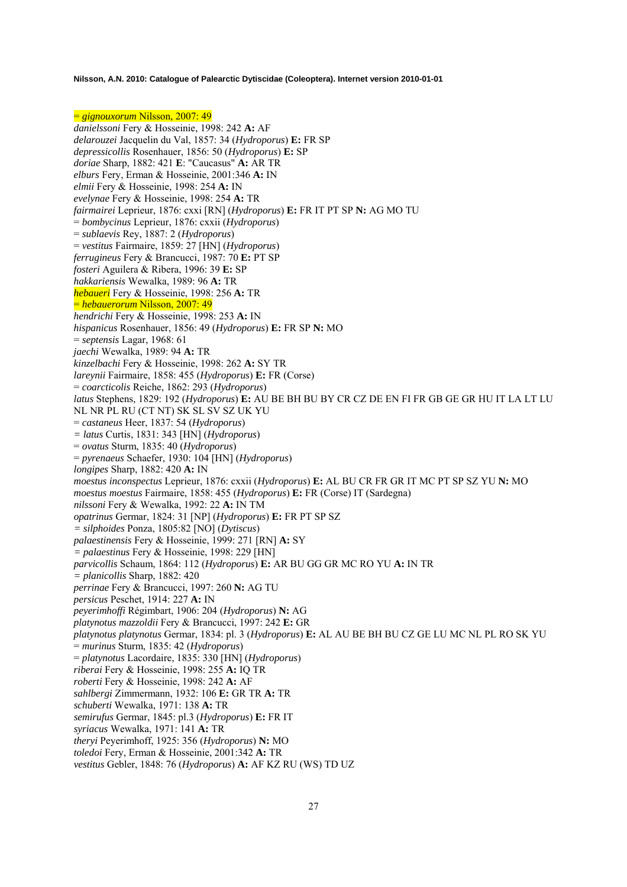= *gignouxorum* Nilsson, 2007: 49 *danielssoni* Fery & Hosseinie, 1998: 242 **A:** AF *delarouzei* Jacquelin du Val, 1857: 34 (*Hydroporus*) **E:** FR SP *depressicollis* Rosenhauer, 1856: 50 (*Hydroporus*) **E:** SP *doriae* Sharp, 1882: 421 **E**: "Caucasus" **A:** AR TR *elburs* Fery, Erman & Hosseinie, 2001:346 **A:** IN *elmii* Fery & Hosseinie, 1998: 254 **A:** IN *evelynae* Fery & Hosseinie, 1998: 254 **A:** TR *fairmairei* Leprieur, 1876: cxxi [RN] (*Hydroporus*) **E:** FR IT PT SP **N:** AG MO TU = *bombycinus* Leprieur, 1876: cxxii (*Hydroporus*) = *sublaevis* Rey, 1887: 2 (*Hydroporus*) = *vestitus* Fairmaire, 1859: 27 [HN] (*Hydroporus*) *ferrugineus* Fery & Brancucci, 1987: 70 **E:** PT SP *fosteri* Aguilera & Ribera, 1996: 39 **E:** SP *hakkariensis* Wewalka, 1989: 96 **A:** TR *hebaueri* Fery & Hosseinie, 1998: 256 **A:** TR = *hebauerorum* Nilsson, 2007: 49 *hendrichi* Fery & Hosseinie, 1998: 253 **A:** IN *hispanicus* Rosenhauer, 1856: 49 (*Hydroporus*) **E:** FR SP **N:** MO = *septensis* Lagar, 1968: 61 *jaechi* Wewalka, 1989: 94 **A:** TR *kinzelbachi* Fery & Hosseinie, 1998: 262 **A:** SY TR *lareynii* Fairmaire, 1858: 455 (*Hydroporus*) **E:** FR (Corse) = *coarcticolis* Reiche, 1862: 293 (*Hydroporus*) *latus* Stephens, 1829: 192 (*Hydroporus*) **E:** AU BE BH BU BY CR CZ DE EN FI FR GB GE GR HU IT LA LT LU NL NR PL RU (CT NT) SK SL SV SZ UK YU = *castaneus* Heer, 1837: 54 (*Hydroporus*) *= latus* Curtis, 1831: 343 [HN] (*Hydroporus*) = *ovatus* Sturm, 1835: 40 (*Hydroporus*) = *pyrenaeus* Schaefer, 1930: 104 [HN] (*Hydroporus*) *longipes* Sharp, 1882: 420 **A:** IN *moestus inconspectus* Leprieur, 1876: cxxii (*Hydroporus*) **E:** AL BU CR FR GR IT MC PT SP SZ YU **N:** MO *moestus moestus* Fairmaire, 1858: 455 (*Hydroporus*) **E:** FR (Corse) IT (Sardegna) *nilssoni* Fery & Wewalka, 1992: 22 **A:** IN TM *opatrinus* Germar, 1824: 31 [NP] (*Hydroporus*) **E:** FR PT SP SZ *= silphoides* Ponza, 1805:82 [NO] (*Dytiscus*) *palaestinensis* Fery & Hosseinie, 1999: 271 [RN] **A:** SY *= palaestinus* Fery & Hosseinie, 1998: 229 [HN] *parvicollis* Schaum, 1864: 112 (*Hydroporus*) **E:** AR BU GG GR MC RO YU **A:** IN TR *= planicollis* Sharp, 1882: 420 *perrinae* Fery & Brancucci, 1997: 260 **N:** AG TU *persicus* Peschet, 1914: 227 **A:** IN *peyerimhoffi* Régimbart, 1906: 204 (*Hydroporus*) **N:** AG *platynotus mazzoldii* Fery & Brancucci, 1997: 242 **E:** GR *platynotus platynotus* Germar, 1834: pl. 3 (*Hydroporus*) **E:** AL AU BE BH BU CZ GE LU MC NL PL RO SK YU = *murinus* Sturm, 1835: 42 (*Hydroporus*) = *platynotus* Lacordaire, 1835: 330 [HN] (*Hydroporus*) *riberai* Fery & Hosseinie, 1998: 255 **A:** IQ TR *roberti* Fery & Hosseinie, 1998: 242 **A:** AF *sahlbergi* Zimmermann, 1932: 106 **E:** GR TR **A:** TR *schuberti* Wewalka, 1971: 138 **A:** TR *semirufus* Germar, 1845: pl.3 (*Hydroporus*) **E:** FR IT *syriacus* Wewalka, 1971: 141 **A:** TR *theryi* Peyerimhoff, 1925: 356 (*Hydroporus*) **N:** MO *toledoi* Fery, Erman & Hosseinie, 2001:342 **A:** TR *vestitus* Gebler, 1848: 76 (*Hydroporus*) **A:** AF KZ RU (WS) TD UZ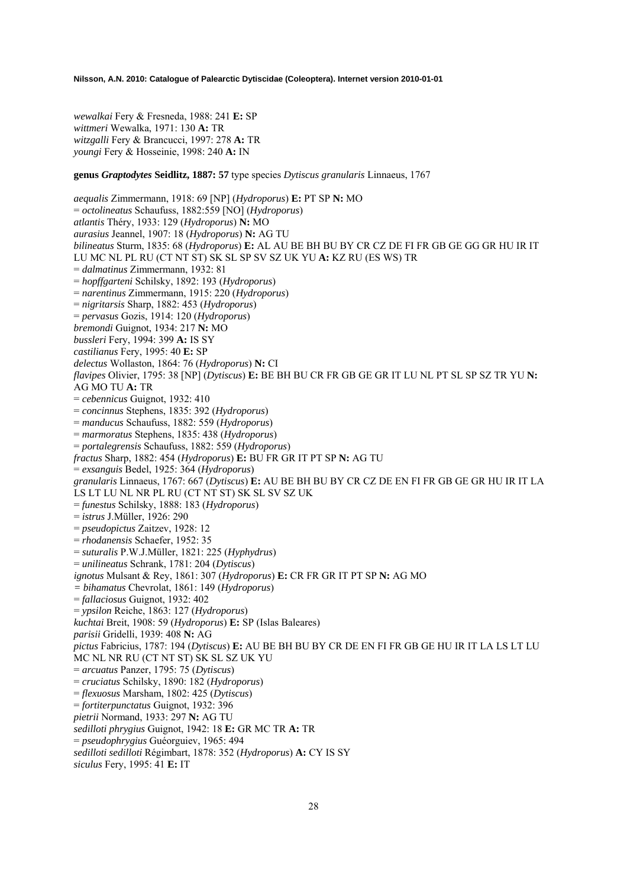*wewalkai* Fery & Fresneda, 1988: 241 **E:** SP *wittmeri* Wewalka, 1971: 130 **A:** TR *witzgalli* Fery & Brancucci, 1997: 278 **A:** TR *youngi* Fery & Hosseinie, 1998: 240 **A:** IN

**genus** *Graptodytes* **Seidlitz, 1887: 57** type species *Dytiscus granularis* Linnaeus, 1767

*aequalis* Zimmermann, 1918: 69 [NP] (*Hydroporus*) **E:** PT SP **N:** MO = *octolineatus* Schaufuss, 1882:559 [NO] (*Hydroporus*) *atlantis* Théry, 1933: 129 (*Hydroporus*) **N:** MO *aurasius* Jeannel, 1907: 18 (*Hydroporus*) **N:** AG TU *bilineatus* Sturm, 1835: 68 (*Hydroporus*) **E:** AL AU BE BH BU BY CR CZ DE FI FR GB GE GG GR HU IR IT LU MC NL PL RU (CT NT ST) SK SL SP SV SZ UK YU **A:** KZ RU (ES WS) TR = *dalmatinus* Zimmermann, 1932: 81 = *hopffgarteni* Schilsky, 1892: 193 (*Hydroporus*) = *narentinus* Zimmermann, 1915: 220 (*Hydroporus*) = *nigritarsis* Sharp, 1882: 453 (*Hydroporus*) = *pervasus* Gozis, 1914: 120 (*Hydroporus*) *bremondi* Guignot, 1934: 217 **N:** MO *bussleri* Fery, 1994: 399 **A:** IS SY *castilianus* Fery, 1995: 40 **E:** SP *delectus* Wollaston, 1864: 76 (*Hydroporus*) **N:** CI *flavipes* Olivier, 1795: 38 [NP] (*Dytiscus*) **E:** BE BH BU CR FR GB GE GR IT LU NL PT SL SP SZ TR YU **N:**  AG MO TU **A:** TR = *cebennicus* Guignot, 1932: 410 = *concinnus* Stephens, 1835: 392 (*Hydroporus*) = *manducus* Schaufuss, 1882: 559 (*Hydroporus*) = *marmoratus* Stephens, 1835: 438 (*Hydroporus*) = *portalegrensis* Schaufuss, 1882: 559 (*Hydroporus*) *fractus* Sharp, 1882: 454 (*Hydroporus*) **E:** BU FR GR IT PT SP **N:** AG TU = *exsanguis* Bedel, 1925: 364 (*Hydroporus*) *granularis* Linnaeus, 1767: 667 (*Dytiscus*) **E:** AU BE BH BU BY CR CZ DE EN FI FR GB GE GR HU IR IT LA LS LT LU NL NR PL RU (CT NT ST) SK SL SV SZ UK = *funestus* Schilsky, 1888: 183 (*Hydroporus*) = *istrus* J.Müller, 1926: 290 = *pseudopictus* Zaitzev, 1928: 12 = *rhodanensis* Schaefer, 1952: 35 = *suturalis* P.W.J.Müller, 1821: 225 (*Hyphydrus*) = *unilineatus* Schrank, 1781: 204 (*Dytiscus*) *ignotus* Mulsant & Rey, 1861: 307 (*Hydroporus*) **E:** CR FR GR IT PT SP **N:** AG MO *= bihamatus* Chevrolat, 1861: 149 (*Hydroporus*) = *fallaciosus* Guignot, 1932: 402 = *ypsilon* Reiche, 1863: 127 (*Hydroporus*) *kuchtai* Breit, 1908: 59 (*Hydroporus*) **E:** SP (Islas Baleares) *parisii* Gridelli, 1939: 408 **N:** AG *pictus* Fabricius, 1787: 194 (*Dytiscus*) **E:** AU BE BH BU BY CR DE EN FI FR GB GE HU IR IT LA LS LT LU MC NL NR RU (CT NT ST) SK SL SZ UK YU = *arcuatus* Panzer, 1795: 75 (*Dytiscus*) = *cruciatus* Schilsky, 1890: 182 (*Hydroporus*) = *flexuosus* Marsham, 1802: 425 (*Dytiscus*) = *fortiterpunctatus* Guignot, 1932: 396 *pietrii* Normand, 1933: 297 **N:** AG TU *sedilloti phrygius* Guignot, 1942: 18 **E:** GR MC TR **A:** TR = *pseudophrygius* Guéorguiev, 1965: 494 *sedilloti sedilloti* Régimbart, 1878: 352 (*Hydroporus*) **A:** CY IS SY *siculus* Fery, 1995: 41 **E:** IT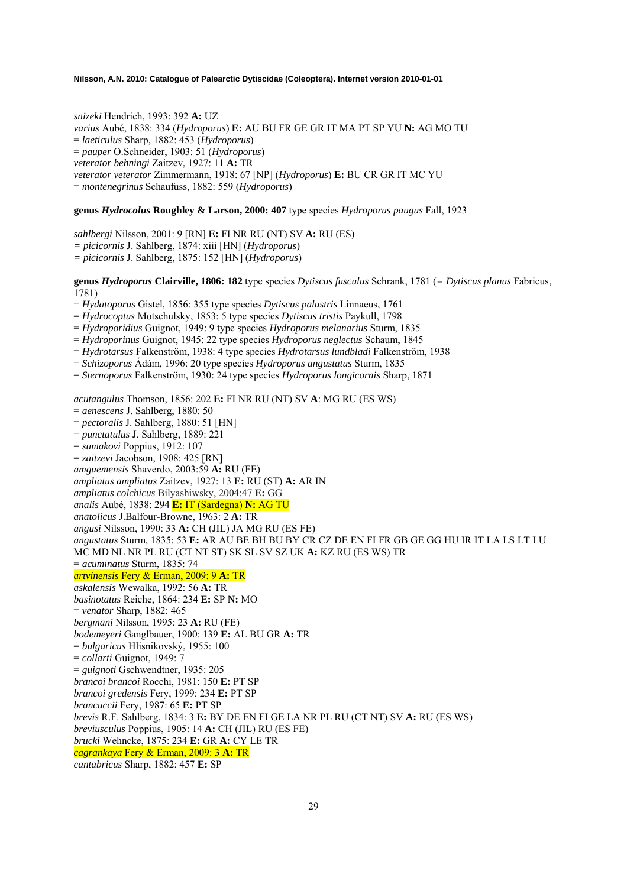*snizeki* Hendrich, 1993: 392 **A:** UZ *varius* Aubé, 1838: 334 (*Hydroporus*) **E:** AU BU FR GE GR IT MA PT SP YU **N:** AG MO TU = *laeticulus* Sharp, 1882: 453 (*Hydroporus*) = *pauper* O.Schneider, 1903: 51 (*Hydroporus*) *veterator behningi* Zaitzev, 1927: 11 **A:** TR *veterator veterator* Zimmermann, 1918: 67 [NP] (*Hydroporus*) **E:** BU CR GR IT MC YU = *montenegrinus* Schaufuss, 1882: 559 (*Hydroporus*)

## **genus** *Hydrocolus* **Roughley & Larson, 2000: 407** type species *Hydroporus paugus* Fall, 1923

*sahlbergi* Nilsson, 2001: 9 [RN] **E:** FI NR RU (NT) SV **A:** RU (ES)

*= picicornis* J. Sahlberg, 1874: xiii [HN] (*Hydroporus*)

*= picicornis* J. Sahlberg, 1875: 152 [HN] (*Hydroporus*)

**genus** *Hydroporus* **Clairville, 1806: 182** type species *Dytiscus fusculus* Schrank, 1781 (*= Dytiscus planus* Fabricus, 1781)

- = *Hydatoporus* Gistel, 1856: 355 type species *Dytiscus palustris* Linnaeus, 1761
- = *Hydrocoptus* Motschulsky, 1853: 5 type species *Dytiscus tristis* Paykull, 1798
- = *Hydroporidius* Guignot, 1949: 9 type species *Hydroporus melanarius* Sturm, 1835
- = *Hydroporinus* Guignot, 1945: 22 type species *Hydroporus neglectus* Schaum, 1845
- = *Hydrotarsus* Falkenström, 1938: 4 type species *Hydrotarsus lundbladi* Falkenström, 1938
- = *Schizoporus* Ádám, 1996: 20 type species *Hydroporus angustatus* Sturm, 1835
- = *Sternoporus* Falkenström, 1930: 24 type species *Hydroporus longicornis* Sharp, 1871

*acutangulus* Thomson, 1856: 202 **E:** FI NR RU (NT) SV **A**: MG RU (ES WS)

- = *aenescens* J. Sahlberg, 1880: 50
- = *pectoralis* J. Sahlberg, 1880: 51 [HN]
- = *punctatulus* J. Sahlberg, 1889: 221
- = *sumakovi* Poppius, 1912: 107
- = *zaitzevi* Jacobson, 1908: 425 [RN]
- *amguemensis* Shaverdo, 2003:59 **A:** RU (FE)

*ampliatus ampliatus* Zaitzev, 1927: 13 **E:** RU (ST) **A:** AR IN

- *ampliatus colchicus* Bilyashiwsky, 2004:47 **E:** GG
- *analis* Aubé, 1838: 294 **E:** IT (Sardegna) **N:** AG TU
- *anatolicus* J.Balfour-Browne, 1963: 2 **A:** TR
- *angusi* Nilsson, 1990: 33 **A:** CH (JIL) JA MG RU (ES FE)
- *angustatus* Sturm, 1835: 53 **E:** AR AU BE BH BU BY CR CZ DE EN FI FR GB GE GG HU IR IT LA LS LT LU MC MD NL NR PL RU (CT NT ST) SK SL SV SZ UK **A:** KZ RU (ES WS) TR
- = *acuminatus* Sturm, 1835: 74

## *artvinensis* Fery & Erman, 2009: 9 **A:** TR

- *askalensis* Wewalka, 1992: 56 **A:** TR
- *basinotatus* Reiche, 1864: 234 **E:** SP **N:** MO
- = *venator* Sharp, 1882: 465
- *bergmani* Nilsson, 1995: 23 **A:** RU (FE)
- *bodemeyeri* Ganglbauer, 1900: 139 **E:** AL BU GR **A:** TR
- = *bulgaricus* Hlisnikovský, 1955: 100
- = *collarti* Guignot, 1949: 7
- = *guignoti* Gschwendtner, 1935: 205
- *brancoi brancoi* Rocchi, 1981: 150 **E:** PT SP
- *brancoi gredensis* Fery, 1999: 234 **E:** PT SP
- *brancuccii* Fery, 1987: 65 **E:** PT SP
- *brevis* R.F. Sahlberg, 1834: 3 **E:** BY DE EN FI GE LA NR PL RU (CT NT) SV **A:** RU (ES WS)
- *breviusculus* Poppius, 1905: 14 **A:** CH (JIL) RU (ES FE)
- *brucki* Wehncke, 1875: 234 **E:** GR **A:** CY LE TR
- *cagrankaya* Fery & Erman, 2009: 3 **A:** TR
- *cantabricus* Sharp, 1882: 457 **E:** SP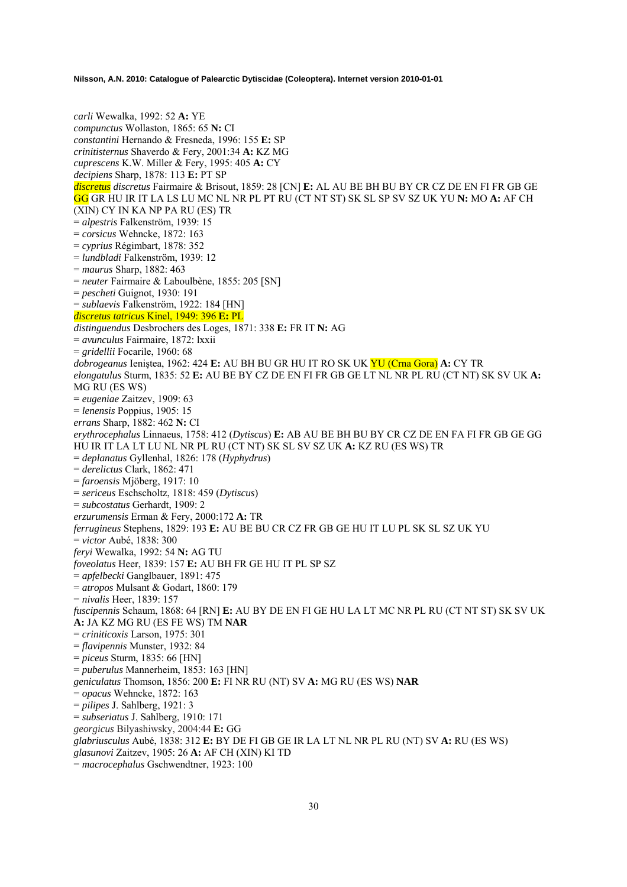*carli* Wewalka, 1992: 52 **A:** YE *compunctus* Wollaston, 1865: 65 **N:** CI *constantini* Hernando & Fresneda, 1996: 155 **E:** SP *crinitisternus* Shaverdo & Fery, 2001:34 **A:** KZ MG *cuprescens* K.W. Miller & Fery, 1995: 405 **A:** CY *decipiens* Sharp, 1878: 113 **E:** PT SP *discretus discretus* Fairmaire & Brisout, 1859: 28 [CN] **E:** AL AU BE BH BU BY CR CZ DE EN FI FR GB GE GG GR HU IR IT LA LS LU MC NL NR PL PT RU (CT NT ST) SK SL SP SV SZ UK YU **N:** MO **A:** AF CH (XIN) CY IN KA NP PA RU (ES) TR = *alpestris* Falkenström, 1939: 15 = *corsicus* Wehncke, 1872: 163 = *cyprius* Régimbart, 1878: 352 = *lundbladi* Falkenström, 1939: 12 = *maurus* Sharp, 1882: 463 = *neuter* Fairmaire & Laboulbène, 1855: 205 [SN] = *pescheti* Guignot, 1930: 191 = *sublaevis* Falkenström, 1922: 184 [HN] *discretus tatricus* Kinel, 1949: 396 **E:** PL *distinguendus* Desbrochers des Loges, 1871: 338 **E:** FR IT **N:** AG = *avunculus* Fairmaire, 1872: lxxii = *gridellii* Focarile, 1960: 68 *dobrogeanus* Ieniştea, 1962: 424 **E:** AU BH BU GR HU IT RO SK UK YU (Crna Gora) **A:** CY TR *elongatulus* Sturm, 1835: 52 **E:** AU BE BY CZ DE EN FI FR GB GE LT NL NR PL RU (CT NT) SK SV UK **A:**  MG RU (ES WS) = *eugeniae* Zaitzev, 1909: 63 = *lenensis* Poppius, 1905: 15 *errans* Sharp, 1882: 462 **N:** CI *erythrocephalus* Linnaeus, 1758: 412 (*Dytiscus*) **E:** AB AU BE BH BU BY CR CZ DE EN FA FI FR GB GE GG HU IR IT LA LT LU NL NR PL RU (CT NT) SK SL SV SZ UK **A:** KZ RU (ES WS) TR = *deplanatus* Gyllenhal, 1826: 178 (*Hyphydrus*) = *derelictus* Clark, 1862: 471 = *faroensis* Mjöberg, 1917: 10 = *sericeus* Eschscholtz, 1818: 459 (*Dytiscus*) = *subcostatus* Gerhardt, 1909: 2 *erzurumensis* Erman & Fery, 2000:172 **A:** TR *ferrugineus* Stephens, 1829: 193 **E:** AU BE BU CR CZ FR GB GE HU IT LU PL SK SL SZ UK YU = *victor* Aubé, 1838: 300 *feryi* Wewalka, 1992: 54 **N:** AG TU *foveolatus* Heer, 1839: 157 **E:** AU BH FR GE HU IT PL SP SZ = *apfelbecki* Ganglbauer, 1891: 475 = *atropos* Mulsant & Godart, 1860: 179 = *nivalis* Heer, 1839: 157 *fuscipennis* Schaum, 1868: 64 [RN] **E:** AU BY DE EN FI GE HU LA LT MC NR PL RU (CT NT ST) SK SV UK **A:** JA KZ MG RU (ES FE WS) TM **NAR**  = *criniticoxis* Larson, 1975: 301 = *flavipennis* Munster, 1932: 84 = *piceus* Sturm, 1835: 66 [HN] = *puberulus* Mannerheim, 1853: 163 [HN] *geniculatus* Thomson, 1856: 200 **E:** FI NR RU (NT) SV **A:** MG RU (ES WS) **NAR**  = *opacus* Wehncke, 1872: 163 = *pilipes* J. Sahlberg, 1921: 3 = *subseriatus* J. Sahlberg, 1910: 171 *georgicus* Bilyashiwsky, 2004:44 **E:** GG *glabriusculus* Aubé, 1838: 312 **E:** BY DE FI GB GE IR LA LT NL NR PL RU (NT) SV **A:** RU (ES WS) *glasunovi* Zaitzev, 1905: 26 **A:** AF CH (XIN) KI TD

= *macrocephalus* Gschwendtner, 1923: 100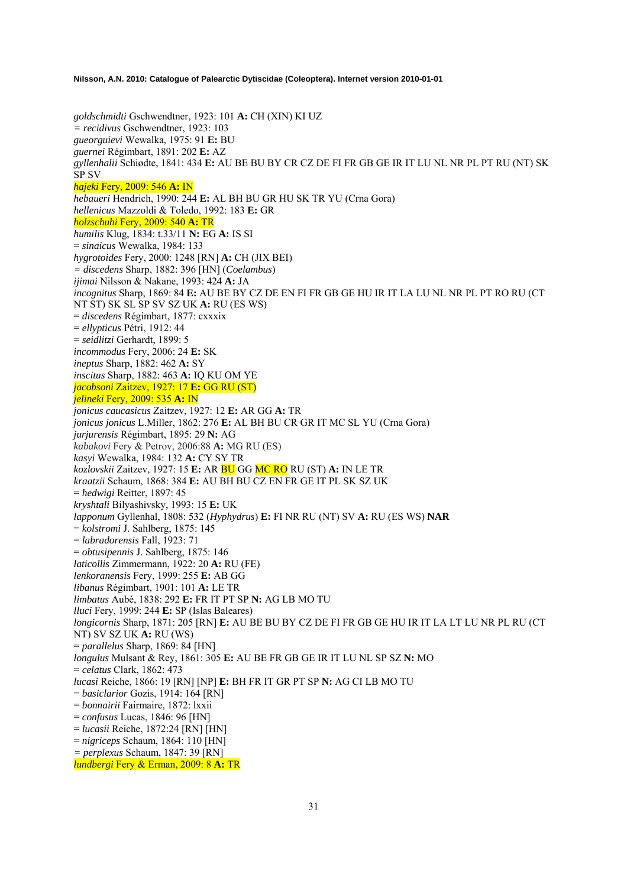*goldschmidti* Gschwendtner, 1923: 101 **A:** CH (XIN) KI UZ *= recidivus* Gschwendtner, 1923: 103 *gueorguievi* Wewalka, 1975: 91 **E:** BU *guernei* Régimbart, 1891: 202 **E:** AZ *gyllenhalii* Schiødte, 1841: 434 **E:** AU BE BU BY CR CZ DE FI FR GB GE IR IT LU NL NR PL PT RU (NT) SK SP SV *hajeki* Fery, 2009: 546 **A:** IN *hebaueri* Hendrich, 1990: 244 **E:** AL BH BU GR HU SK TR YU (Crna Gora) *hellenicus* Mazzoldi & Toledo, 1992: 183 **E:** GR *holzschuhi* Fery, 2009: 540 **A:** TR *humilis* Klug, 1834: t.33/11 **N:** EG **A:** IS SI = *sinaicus* Wewalka, 1984: 133 *hygrotoides* Fery, 2000: 1248 [RN] **A:** CH (JIX BEI) *= discedens* Sharp, 1882: 396 [HN] (*Coelambus*) *ijimai* Nilsson & Nakane, 1993: 424 **A:** JA *incognitus* Sharp, 1869: 84 **E:** AU BE BY CZ DE EN FI FR GB GE HU IR IT LA LU NL NR PL PT RO RU (CT NT ST) SK SL SP SV SZ UK **A:** RU (ES WS) = *discedens* Régimbart, 1877: cxxxix = *ellypticus* Pétri, 1912: 44 = *seidlitzi* Gerhardt, 1899: 5 *incommodus* Fery, 2006: 24 **E:** SK *ineptus* Sharp, 1882: 462 **A:** SY *inscitus* Sharp, 1882: 463 **A:** IQ KU OM YE *jacobsoni* Zaitzev, 1927: 17 **E:** GG RU (ST) *jelineki* Fery, 2009: 535 **A:** IN *jonicus caucasicus* Zaitzev, 1927: 12 **E:** AR GG **A:** TR *jonicus jonicus* L.Miller, 1862: 276 **E:** AL BH BU CR GR IT MC SL YU (Crna Gora) *jurjurensis* Régimbart, 1895: 29 **N:** AG *kabakovi* Fery & Petrov, 2006:88 **A:** MG RU (ES) *kasyi* Wewalka, 1984: 132 **A:** CY SY TR *kozlovskii* Zaitzev, 1927: 15 **E:** AR BU GG MC RO RU (ST) **A:** IN LE TR *kraatzii* Schaum, 1868: 384 **E:** AU BH BU CZ EN FR GE IT PL SK SZ UK = *hedwigi* Reitter, 1897: 45 *kryshtali* Bilyashivsky, 1993: 15 **E:** UK *lapponum* Gyllenhal, 1808: 532 (*Hyphydrus*) **E:** FI NR RU (NT) SV **A:** RU (ES WS) **NAR**  = *kolstromi* J. Sahlberg, 1875: 145 = *labradorensis* Fall, 1923: 71 = *obtusipennis* J. Sahlberg, 1875: 146 *laticollis* Zimmermann, 1922: 20 **A:** RU (FE) *lenkoranensis* Fery, 1999: 255 **E:** AB GG *libanus* Régimbart, 1901: 101 **A:** LE TR *limbatus* Aubé, 1838: 292 **E:** FR IT PT SP **N:** AG LB MO TU *lluci* Fery, 1999: 244 **E:** SP (Islas Baleares) *longicornis* Sharp, 1871: 205 [RN] **E:** AU BE BU BY CZ DE FI FR GB GE HU IR IT LA LT LU NR PL RU (CT NT) SV SZ UK **A:** RU (WS) = *parallelus* Sharp, 1869: 84 [HN] *longulus* Mulsant & Rey, 1861: 305 **E:** AU BE FR GB GE IR IT LU NL SP SZ **N:** MO = *celatus* Clark, 1862: 473 *lucasi* Reiche, 1866: 19 [RN] [NP] **E:** BH FR IT GR PT SP **N:** AG CI LB MO TU = *basiclarior* Gozis, 1914: 164 [RN] = *bonnairii* Fairmaire, 1872: lxxii = *confusus* Lucas, 1846: 96 [HN] = *lucasii* Reiche, 1872:24 [RN] [HN] = *nigriceps* Schaum, 1864: 110 [HN] *= perplexus* Schaum, 1847: 39 [RN] *lundbergi* Fery & Erman, 2009: 8 **A:** TR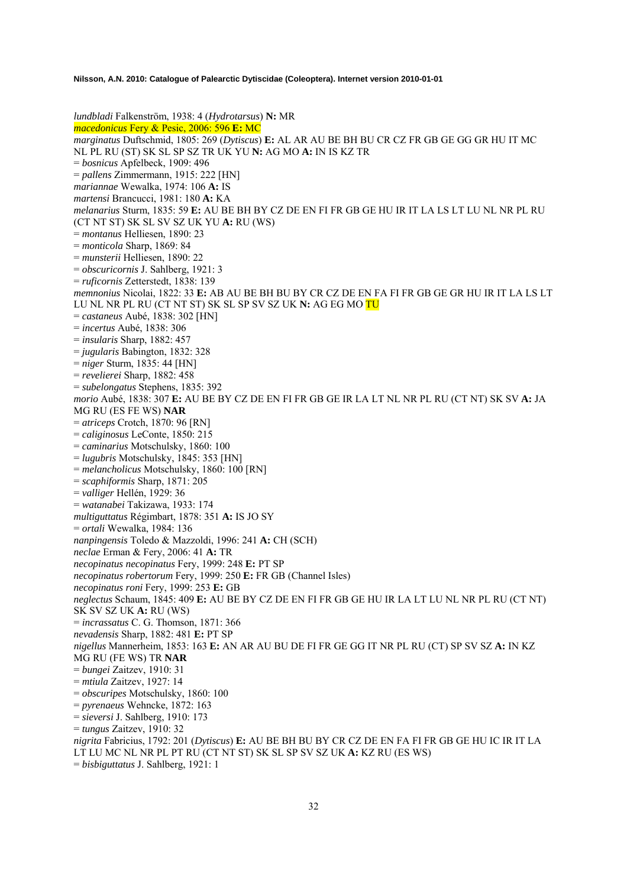*lundbladi* Falkenström, 1938: 4 (*Hydrotarsus*) **N:** MR *macedonicus* Fery & Pesic, 2006: 596 **E:** MC *marginatus* Duftschmid, 1805: 269 (*Dytiscus*) **E:** AL AR AU BE BH BU CR CZ FR GB GE GG GR HU IT MC NL PL RU (ST) SK SL SP SZ TR UK YU **N:** AG MO **A:** IN IS KZ TR = *bosnicus* Apfelbeck, 1909: 496 = *pallens* Zimmermann, 1915: 222 [HN] *mariannae* Wewalka, 1974: 106 **A:** IS *martensi* Brancucci, 1981: 180 **A:** KA *melanarius* Sturm, 1835: 59 **E:** AU BE BH BY CZ DE EN FI FR GB GE HU IR IT LA LS LT LU NL NR PL RU (CT NT ST) SK SL SV SZ UK YU **A:** RU (WS) = *montanus* Helliesen, 1890: 23 = *monticola* Sharp, 1869: 84 = *munsterii* Helliesen, 1890: 22 = *obscuricornis* J. Sahlberg, 1921: 3 = *ruficornis* Zetterstedt, 1838: 139 *memnonius* Nicolai, 1822: 33 **E:** AB AU BE BH BU BY CR CZ DE EN FA FI FR GB GE GR HU IR IT LA LS LT LU NL NR PL RU (CT NT ST) SK SL SP SV SZ UK **N:** AG EG MO TU = *castaneus* Aubé, 1838: 302 [HN] = *incertus* Aubé, 1838: 306 = *insularis* Sharp, 1882: 457 = *jugularis* Babington, 1832: 328 = *niger* Sturm, 1835: 44 [HN] = *revelierei* Sharp, 1882: 458 = *subelongatus* Stephens, 1835: 392 *morio* Aubé, 1838: 307 **E:** AU BE BY CZ DE EN FI FR GB GE IR LA LT NL NR PL RU (CT NT) SK SV **A:** JA MG RU (ES FE WS) **NAR**  = *atriceps* Crotch, 1870: 96 [RN] = *caliginosus* LeConte, 1850: 215 = *caminarius* Motschulsky, 1860: 100 = *lugubris* Motschulsky, 1845: 353 [HN] = *melancholicus* Motschulsky, 1860: 100 [RN] = *scaphiformis* Sharp, 1871: 205 = *valliger* Hellén, 1929: 36 = *watanabei* Takizawa, 1933: 174 *multiguttatus* Régimbart, 1878: 351 **A:** IS JO SY = *ortali* Wewalka, 1984: 136 *nanpingensis* Toledo & Mazzoldi, 1996: 241 **A:** CH (SCH) *neclae* Erman & Fery, 2006: 41 **A:** TR *necopinatus necopinatus* Fery, 1999: 248 **E:** PT SP *necopinatus robertorum* Fery, 1999: 250 **E:** FR GB (Channel Isles) *necopinatus roni* Fery, 1999: 253 **E:** GB *neglectus* Schaum, 1845: 409 **E:** AU BE BY CZ DE EN FI FR GB GE HU IR LA LT LU NL NR PL RU (CT NT) SK SV SZ UK **A:** RU (WS) = *incrassatus* C. G. Thomson, 1871: 366 *nevadensis* Sharp, 1882: 481 **E:** PT SP *nigellus* Mannerheim, 1853: 163 **E:** AN AR AU BU DE FI FR GE GG IT NR PL RU (CT) SP SV SZ **A:** IN KZ MG RU (FE WS) TR **NAR**  = *bungei* Zaitzev, 1910: 31 = *mtiula* Zaitzev, 1927: 14 = *obscuripes* Motschulsky, 1860: 100 = *pyrenaeus* Wehncke, 1872: 163 = *sieversi* J. Sahlberg, 1910: 173 = *tungus* Zaitzev, 1910: 32 *nigrita* Fabricius, 1792: 201 (*Dytiscus*) **E:** AU BE BH BU BY CR CZ DE EN FA FI FR GB GE HU IC IR IT LA LT LU MC NL NR PL PT RU (CT NT ST) SK SL SP SV SZ UK **A:** KZ RU (ES WS) = *bisbiguttatus* J. Sahlberg, 1921: 1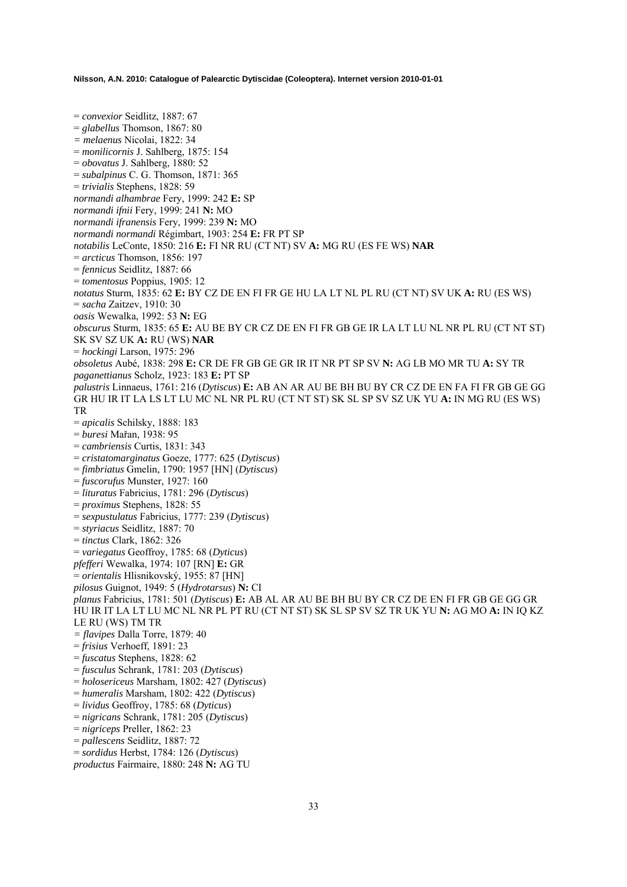= *convexior* Seidlitz, 1887: 67 = *glabellus* Thomson, 1867: 80 *= melaenus* Nicolai, 1822: 34 = *monilicornis* J. Sahlberg, 1875: 154 = *obovatus* J. Sahlberg, 1880: 52 = *subalpinus* C. G. Thomson, 1871: 365 = *trivialis* Stephens, 1828: 59 *normandi alhambrae* Fery, 1999: 242 **E:** SP *normandi ifnii* Fery, 1999: 241 **N:** MO *normandi ifranensis* Fery, 1999: 239 **N:** MO *normandi normandi* Régimbart, 1903: 254 **E:** FR PT SP *notabilis* LeConte, 1850: 216 **E:** FI NR RU (CT NT) SV **A:** MG RU (ES FE WS) **NAR**  = *arcticus* Thomson, 1856: 197 = *fennicus* Seidlitz, 1887: 66 = *tomentosus* Poppius, 1905: 12 *notatus* Sturm, 1835: 62 **E:** BY CZ DE EN FI FR GE HU LA LT NL PL RU (CT NT) SV UK **A:** RU (ES WS) = *sacha* Zaitzev, 1910: 30 *oasis* Wewalka, 1992: 53 **N:** EG *obscurus* Sturm, 1835: 65 **E:** AU BE BY CR CZ DE EN FI FR GB GE IR LA LT LU NL NR PL RU (CT NT ST) SK SV SZ UK **A:** RU (WS) **NAR**  = *hockingi* Larson, 1975: 296 *obsoletus* Aubé, 1838: 298 **E:** CR DE FR GB GE GR IR IT NR PT SP SV **N:** AG LB MO MR TU **A:** SY TR *paganettianus* Scholz, 1923: 183 **E:** PT SP *palustris* Linnaeus, 1761: 216 (*Dytiscus*) **E:** AB AN AR AU BE BH BU BY CR CZ DE EN FA FI FR GB GE GG GR HU IR IT LA LS LT LU MC NL NR PL RU (CT NT ST) SK SL SP SV SZ UK YU **A:** IN MG RU (ES WS) TR = *apicalis* Schilsky, 1888: 183 = *buresi* Mařan, 1938: 95 = *cambriensis* Curtis, 1831: 343 = *cristatomarginatus* Goeze, 1777: 625 (*Dytiscus*) = *fimbriatus* Gmelin, 1790: 1957 [HN] (*Dytiscus*) = *fuscorufus* Munster, 1927: 160 = *lituratus* Fabricius, 1781: 296 (*Dytiscus*) = *proximus* Stephens, 1828: 55 = *sexpustulatus* Fabricius, 1777: 239 (*Dytiscus*) = *styriacus* Seidlitz, 1887: 70 = *tinctus* Clark, 1862: 326 = *variegatus* Geoffroy, 1785: 68 (*Dyticus*) *pfefferi* Wewalka, 1974: 107 [RN] **E:** GR = *orientalis* Hlisnikovský, 1955: 87 [HN] *pilosus* Guignot, 1949: 5 (*Hydrotarsus*) **N:** CI *planus* Fabricius, 1781: 501 (*Dytiscus*) **E:** AB AL AR AU BE BH BU BY CR CZ DE EN FI FR GB GE GG GR HU IR IT LA LT LU MC NL NR PL PT RU (CT NT ST) SK SL SP SV SZ TR UK YU **N:** AG MO **A:** IN IQ KZ LE RU (WS) TM TR *= flavipes* Dalla Torre, 1879: 40 = *frisius* Verhoeff, 1891: 23 = *fuscatus* Stephens, 1828: 62 = *fusculus* Schrank, 1781: 203 (*Dytiscus*) = *holosericeus* Marsham, 1802: 427 (*Dytiscus*) = *humeralis* Marsham, 1802: 422 (*Dytiscus*) = *lividus* Geoffroy, 1785: 68 (*Dyticus*) = *nigricans* Schrank, 1781: 205 (*Dytiscus*) = *nigriceps* Preller, 1862: 23 = *pallescens* Seidlitz, 1887: 72 = *sordidus* Herbst, 1784: 126 (*Dytiscus*)

*productus* Fairmaire, 1880: 248 **N:** AG TU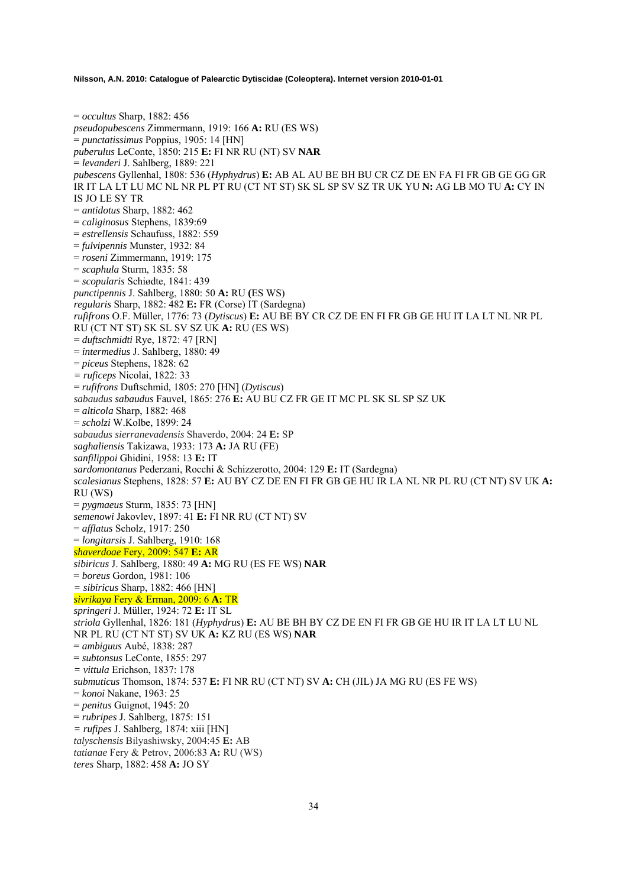= *occultus* Sharp, 1882: 456 *pseudopubescens* Zimmermann, 1919: 166 **A:** RU (ES WS) = *punctatissimus* Poppius, 1905: 14 [HN] *puberulus* LeConte, 1850: 215 **E:** FI NR RU (NT) SV **NAR**  = *levanderi* J. Sahlberg, 1889: 221 *pubescens* Gyllenhal, 1808: 536 (*Hyphydrus*) **E:** AB AL AU BE BH BU CR CZ DE EN FA FI FR GB GE GG GR IR IT LA LT LU MC NL NR PL PT RU (CT NT ST) SK SL SP SV SZ TR UK YU **N:** AG LB MO TU **A:** CY IN IS JO LE SY TR = *antidotus* Sharp, 1882: 462 = *caliginosus* Stephens, 1839:69 = *estrellensis* Schaufuss, 1882: 559 = *fulvipennis* Munster, 1932: 84 = *roseni* Zimmermann, 1919: 175 = *scaphula* Sturm, 1835: 58 = *scopularis* Schiødte, 1841: 439 *punctipennis* J. Sahlberg, 1880: 50 **A:** RU **(**ES WS) *regularis* Sharp, 1882: 482 **E:** FR (Corse) IT (Sardegna) *rufifrons* O.F. Müller, 1776: 73 (*Dytiscus*) **E:** AU BE BY CR CZ DE EN FI FR GB GE HU IT LA LT NL NR PL RU (CT NT ST) SK SL SV SZ UK **A:** RU (ES WS) = *duftschmidti* Rye, 1872: 47 [RN] = *intermedius* J. Sahlberg, 1880: 49 = *piceus* Stephens, 1828: 62 *= ruficeps* Nicolai, 1822: 33 = *rufifrons* Duftschmid, 1805: 270 [HN] (*Dytiscus*) *sabaudus sabaudus* Fauvel, 1865: 276 **E:** AU BU CZ FR GE IT MC PL SK SL SP SZ UK = *alticola* Sharp, 1882: 468 = *scholzi* W.Kolbe, 1899: 24 *sabaudus sierranevadensis* Shaverdo, 2004: 24 **E:** SP *saghaliensis* Takizawa, 1933: 173 **A:** JA RU (FE) *sanfilippoi* Ghidini, 1958: 13 **E:** IT *sardomontanus* Pederzani, Rocchi & Schizzerotto, 2004: 129 **E:** IT (Sardegna) *scalesianus* Stephens, 1828: 57 **E:** AU BY CZ DE EN FI FR GB GE HU IR LA NL NR PL RU (CT NT) SV UK **A:** RU (WS) = *pygmaeus* Sturm, 1835: 73 [HN] *semenowi* Jakovlev, 1897: 41 **E:** FI NR RU (CT NT) SV = *afflatus* Scholz, 1917: 250 = *longitarsis* J. Sahlberg, 1910: 168 *shaverdoae* Fery, 2009: 547 **E:** AR *sibiricus* J. Sahlberg, 1880: 49 **A:** MG RU (ES FE WS) **NAR**  = *boreus* Gordon, 1981: 106 *= sibiricus* Sharp, 1882: 466 [HN] *sivrikaya* Fery & Erman, 2009: 6 **A:** TR *springeri* J. Müller, 1924: 72 **E:** IT SL *striola* Gyllenhal, 1826: 181 (*Hyphydrus*) **E:** AU BE BH BY CZ DE EN FI FR GB GE HU IR IT LA LT LU NL NR PL RU (CT NT ST) SV UK **A:** KZ RU (ES WS) **NAR**  = *ambiguus* Aubé, 1838: 287 = *subtonsus* LeConte, 1855: 297 *= vittula* Erichson, 1837: 178 *submuticus* Thomson, 1874: 537 **E:** FI NR RU (CT NT) SV **A:** CH (JIL) JA MG RU (ES FE WS) = *konoi* Nakane, 1963: 25 = *penitus* Guignot, 1945: 20 = *rubripes* J. Sahlberg, 1875: 151 *= rufipes* J. Sahlberg, 1874: xiii [HN] *talyschensis* Bilyashiwsky, 2004:45 **E:** AB *tatianae* Fery & Petrov, 2006:83 **A:** RU (WS) *teres* Sharp, 1882: 458 **A:** JO SY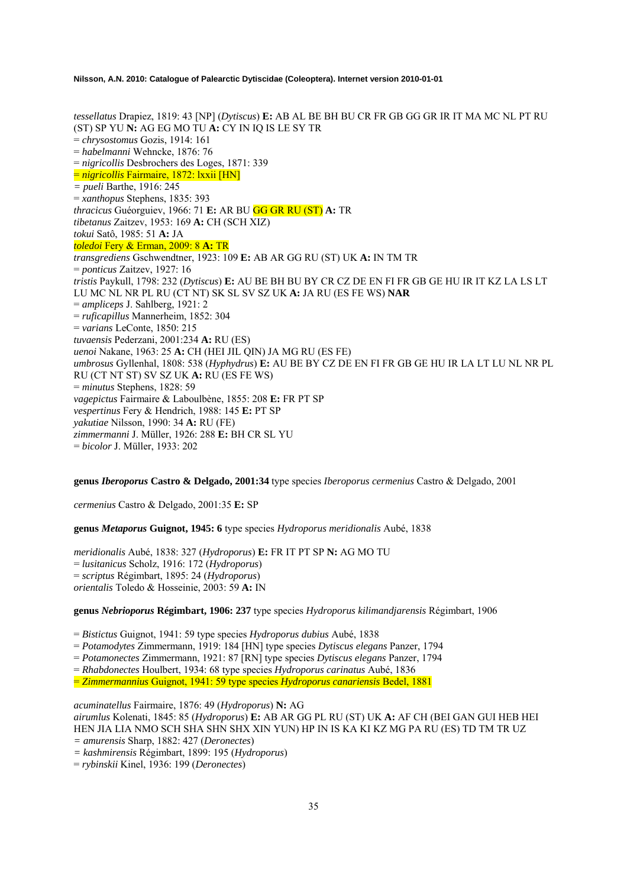*tessellatus* Drapiez, 1819: 43 [NP] (*Dytiscus*) **E:** AB AL BE BH BU CR FR GB GG GR IR IT MA MC NL PT RU (ST) SP YU **N:** AG EG MO TU **A:** CY IN IQ IS LE SY TR = *chrysostomus* Gozis, 1914: 161 = *habelmanni* Wehncke, 1876: 76 = *nigricollis* Desbrochers des Loges, 1871: 339 = *nigricollis* Fairmaire, 1872: lxxii [HN] *= pueli* Barthe, 1916: 245 = *xanthopus* Stephens, 1835: 393 *thracicus* Guéorguiev, 1966: 71 **E:** AR BU GG GR RU (ST) **A:** TR *tibetanus* Zaitzev, 1953: 169 **A:** CH (SCH XIZ) *tokui* Satô, 1985: 51 **A:** JA *toledoi* Fery & Erman, 2009: 8 **A:** TR *transgrediens* Gschwendtner, 1923: 109 **E:** AB AR GG RU (ST) UK **A:** IN TM TR = *ponticus* Zaitzev, 1927: 16 *tristis* Paykull, 1798: 232 (*Dytiscus*) **E:** AU BE BH BU BY CR CZ DE EN FI FR GB GE HU IR IT KZ LA LS LT LU MC NL NR PL RU (CT NT) SK SL SV SZ UK **A:** JA RU (ES FE WS) **NAR**  = *ampliceps* J. Sahlberg, 1921: 2 = *ruficapillus* Mannerheim, 1852: 304 = *varians* LeConte, 1850: 215 *tuvaensis* Pederzani, 2001:234 **A:** RU (ES) *uenoi* Nakane, 1963: 25 **A:** CH (HEI JIL QIN) JA MG RU (ES FE) *umbrosus* Gyllenhal, 1808: 538 (*Hyphydrus*) **E:** AU BE BY CZ DE EN FI FR GB GE HU IR LA LT LU NL NR PL RU (CT NT ST) SV SZ UK **A:** RU (ES FE WS) = *minutus* Stephens, 1828: 59 *vagepictus* Fairmaire & Laboulbène, 1855: 208 **E:** FR PT SP *vespertinus* Fery & Hendrich, 1988: 145 **E:** PT SP *yakutiae* Nilsson, 1990: 34 **A:** RU (FE) *zimmermanni* J. Müller, 1926: 288 **E:** BH CR SL YU = *bicolor* J. Müller, 1933: 202

**genus** *Iberoporus* **Castro & Delgado, 2001:34** type species *Iberoporus cermenius* Castro & Delgado, 2001

*cermenius* Castro & Delgado, 2001:35 **E:** SP

**genus** *Metaporus* **Guignot, 1945: 6** type species *Hydroporus meridionalis* Aubé, 1838

*meridionalis* Aubé, 1838: 327 (*Hydroporus*) **E:** FR IT PT SP **N:** AG MO TU = *lusitanicus* Scholz, 1916: 172 (*Hydroporus*) = *scriptus* Régimbart, 1895: 24 (*Hydroporus*) *orientalis* Toledo & Hosseinie, 2003: 59 **A:** IN

**genus** *Nebrioporus* **Régimbart, 1906: 237** type species *Hydroporus kilimandjarensis* Régimbart, 1906

= *Bistictus* Guignot, 1941: 59 type species *Hydroporus dubius* Aubé, 1838

= *Potamodytes* Zimmermann, 1919: 184 [HN] type species *Dytiscus elegans* Panzer, 1794

= *Potamonectes* Zimmermann, 1921: 87 [RN] type species *Dytiscus elegans* Panzer, 1794

= *Rhabdonectes* Houlbert, 1934: 68 type species *Hydroporus carinatus* Aubé, 1836

= *Zimmermannius* Guignot, 1941: 59 type species *Hydroporus canariensis* Bedel, 1881

*acuminatellus* Fairmaire, 1876: 49 (*Hydroporus*) **N:** AG

*airumlus* Kolenati, 1845: 85 (*Hydroporus*) **E:** AB AR GG PL RU (ST) UK **A:** AF CH (BEI GAN GUI HEB HEI HEN JIA LIA NMO SCH SHA SHN SHX XIN YUN) HP IN IS KA KI KZ MG PA RU (ES) TD TM TR UZ *= amurensis* Sharp, 1882: 427 (*Deronectes*)

*= kashmirensis* Régimbart, 1899: 195 (*Hydroporus*)

= *rybinskii* Kinel, 1936: 199 (*Deronectes*)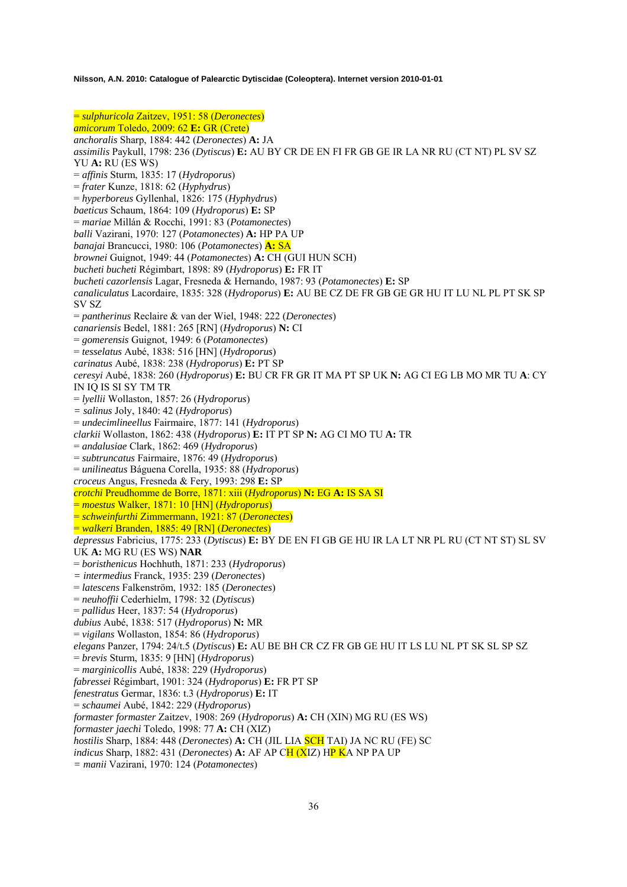= *sulphuricola* Zaitzev, 1951: 58 (*Deronectes*) *amicorum* Toledo, 2009: 62 **E:** GR (Crete) *anchoralis* Sharp, 1884: 442 (*Deronectes*) **A:** JA *assimilis* Paykull, 1798: 236 (*Dytiscus*) **E:** AU BY CR DE EN FI FR GB GE IR LA NR RU (CT NT) PL SV SZ YU **A:** RU (ES WS) = *affinis* Sturm, 1835: 17 (*Hydroporus*) = *frater* Kunze, 1818: 62 (*Hyphydrus*) = *hyperboreus* Gyllenhal, 1826: 175 (*Hyphydrus*) *baeticus* Schaum, 1864: 109 (*Hydroporus*) **E:** SP = *mariae* Millán & Rocchi, 1991: 83 (*Potamonectes*) *balli* Vazirani, 1970: 127 (*Potamonectes*) **A:** HP PA UP *banajai* Brancucci, 1980: 106 (*Potamonectes*) **A:** SA *brownei* Guignot, 1949: 44 (*Potamonectes*) **A:** CH (GUI HUN SCH) *bucheti bucheti* Régimbart, 1898: 89 (*Hydroporus*) **E:** FR IT *bucheti cazorlensis* Lagar, Fresneda & Hernando, 1987: 93 (*Potamonectes*) **E:** SP *canaliculatus* Lacordaire, 1835: 328 (*Hydroporus*) **E:** AU BE CZ DE FR GB GE GR HU IT LU NL PL PT SK SP SV SZ = *pantherinus* Reclaire & van der Wiel, 1948: 222 (*Deronectes*) *canariensis* Bedel, 1881: 265 [RN] (*Hydroporus*) **N:** CI = *gomerensis* Guignot, 1949: 6 (*Potamonectes*) = *tesselatus* Aubé, 1838: 516 [HN] (*Hydroporus*) *carinatus* Aubé, 1838: 238 (*Hydroporus*) **E:** PT SP *ceresyi* Aubé, 1838: 260 (*Hydroporus*) **E:** BU CR FR GR IT MA PT SP UK **N:** AG CI EG LB MO MR TU **A**: CY IN IQ IS SI SY TM TR = *lyellii* Wollaston, 1857: 26 (*Hydroporus*) *= salinus* Joly, 1840: 42 (*Hydroporus*) = *undecimlineellus* Fairmaire, 1877: 141 (*Hydroporus*) *clarkii* Wollaston, 1862: 438 (*Hydroporus*) **E:** IT PT SP **N:** AG CI MO TU **A:** TR = *andalusiae* Clark, 1862: 469 (*Hydroporus*) = *subtruncatus* Fairmaire, 1876: 49 (*Hydroporus*) = *unilineatus* Báguena Corella, 1935: 88 (*Hydroporus*) *croceus* Angus, Fresneda & Fery, 1993: 298 **E:** SP *crotchi* Preudhomme de Borre, 1871: xiii (*Hydroporus*) **N:** EG **A:** IS SA SI = *moestus* Walker, 1871: 10 [HN] (*Hydroporus*) = *schweinfurthi* Zimmermann, 1921: 87 (*Deronectes*) = *walkeri* Branden, 1885: 49 [RN] (*Deronectes*) *depressus* Fabricius, 1775: 233 (*Dytiscus*) **E:** BY DE EN FI GB GE HU IR LA LT NR PL RU (CT NT ST) SL SV UK **A:** MG RU (ES WS) **NAR**  = *boristhenicus* Hochhuth, 1871: 233 (*Hydroporus*) *= intermedius* Franck, 1935: 239 (*Deronectes*) = *latescens* Falkenström, 1932: 185 (*Deronectes*) = *neuhoffii* Cederhielm, 1798: 32 (*Dytiscus*) = *pallidus* Heer, 1837: 54 (*Hydroporus*) *dubius* Aubé, 1838: 517 (*Hydroporus*) **N:** MR = *vigilans* Wollaston, 1854: 86 (*Hydroporus*) *elegans* Panzer, 1794: 24/t.5 (*Dytiscus*) **E:** AU BE BH CR CZ FR GB GE HU IT LS LU NL PT SK SL SP SZ = *brevis* Sturm, 1835: 9 [HN] (*Hydroporus*) = *marginicollis* Aubé, 1838: 229 (*Hydroporus*) *fabressei* Régimbart, 1901: 324 (*Hydroporus*) **E:** FR PT SP *fenestratus* Germar, 1836: t.3 (*Hydroporus*) **E:** IT = *schaumei* Aubé, 1842: 229 (*Hydroporus*) *formaster formaster* Zaitzev, 1908: 269 (*Hydroporus*) **A:** CH (XIN) MG RU (ES WS) *formaster jaechi* Toledo, 1998: 77 **A:** CH (XIZ) *hostilis* Sharp, 1884: 448 (*Deronectes*) **A:** CH (JIL LIA SCH TAI) JA NC RU (FE) SC *indicus* Sharp, 1882: 431 (*Deronectes*) **A:** AF AP CH (XIZ) HP KA NP PA UP *= manii* Vazirani, 1970: 124 (*Potamonectes*)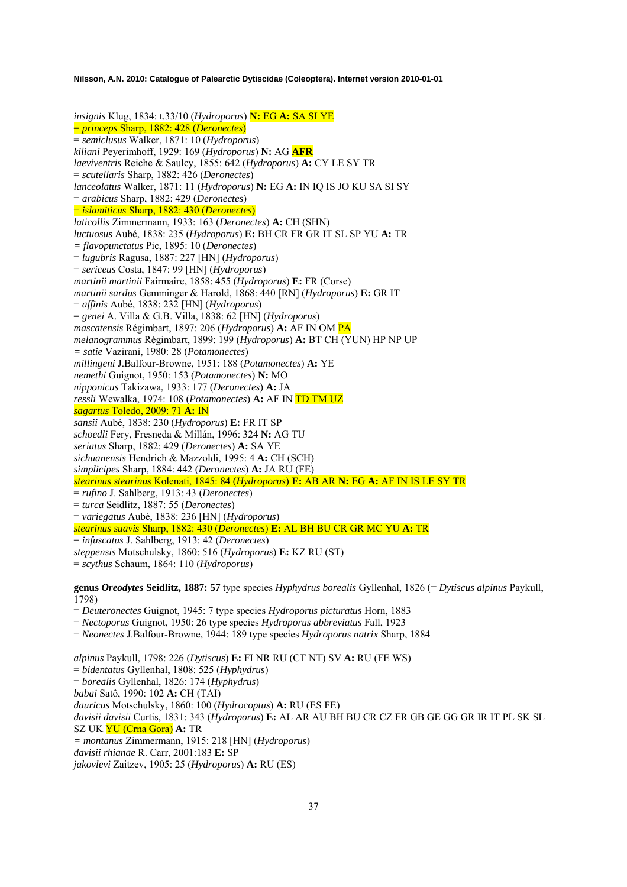*insignis* Klug, 1834: t.33/10 (*Hydroporus*) **N:** EG **A:** SA SI YE = *princeps* Sharp, 1882: 428 (*Deronectes*) = *semiclusus* Walker, 1871: 10 (*Hydroporus*) *kiliani* Peyerimhoff, 1929: 169 (*Hydroporus*) **N:** AG **AFR** *laeviventris* Reiche & Saulcy, 1855: 642 (*Hydroporus*) **A:** CY LE SY TR = *scutellaris* Sharp, 1882: 426 (*Deronectes*) *lanceolatus* Walker, 1871: 11 (*Hydroporus*) **N:** EG **A:** IN IQ IS JO KU SA SI SY = *arabicus* Sharp, 1882: 429 (*Deronectes*) = *islamiticus* Sharp, 1882: 430 (*Deronectes*) *laticollis* Zimmermann, 1933: 163 (*Deronectes*) **A:** CH (SHN) *luctuosus* Aubé, 1838: 235 (*Hydroporus*) **E:** BH CR FR GR IT SL SP YU **A:** TR *= flavopunctatus* Pic, 1895: 10 (*Deronectes*) = *lugubris* Ragusa, 1887: 227 [HN] (*Hydroporus*) = *sericeus* Costa, 1847: 99 [HN] (*Hydroporus*) *martinii martinii* Fairmaire, 1858: 455 (*Hydroporus*) **E:** FR (Corse) *martinii sardus* Gemminger & Harold, 1868: 440 [RN] (*Hydroporus*) **E:** GR IT = *affinis* Aubé, 1838: 232 [HN] (*Hydroporus*) = *genei* A. Villa & G.B. Villa, 1838: 62 [HN] (*Hydroporus*) *mascatensis* Régimbart, 1897: 206 (*Hydroporus*) **A:** AF IN OM PA *melanogrammus* Régimbart, 1899: 199 (*Hydroporus*) **A:** BT CH (YUN) HP NP UP *= satie* Vazirani, 1980: 28 (*Potamonectes*) *millingeni* J.Balfour-Browne, 1951: 188 (*Potamonectes*) **A:** YE *nemethi* Guignot, 1950: 153 (*Potamonectes*) **N:** MO *nipponicus* Takizawa, 1933: 177 (*Deronectes*) **A:** JA *ressli* Wewalka, 1974: 108 (*Potamonectes*) **A:** AF IN TD TM UZ *sagartus* Toledo, 2009: 71 **A:** IN *sansii* Aubé, 1838: 230 (*Hydroporus*) **E:** FR IT SP *schoedli* Fery, Fresneda & Millán, 1996: 324 **N:** AG TU *seriatus* Sharp, 1882: 429 (*Deronectes*) **A:** SA YE *sichuanensis* Hendrich & Mazzoldi, 1995: 4 **A:** CH (SCH) *simplicipes* Sharp, 1884: 442 (*Deronectes*) **A:** JA RU (FE) *stearinus stearinus* Kolenati, 1845: 84 (*Hydroporus*) **E:** AB AR **N:** EG **A:** AF IN IS LE SY TR = *rufino* J. Sahlberg, 1913: 43 (*Deronectes*) = *turca* Seidlitz, 1887: 55 (*Deronectes*) = *variegatus* Aubé, 1838: 236 [HN] (*Hydroporus*) *stearinus suavis* Sharp, 1882: 430 (*Deronectes*) **E:** AL BH BU CR GR MC YU **A:** TR = *infuscatus* J. Sahlberg, 1913: 42 (*Deronectes*) *steppensis* Motschulsky, 1860: 516 (*Hydroporus*) **E:** KZ RU (ST) = *scythus* Schaum, 1864: 110 (*Hydroporus*) **genus** *Oreodytes* **Seidlitz, 1887: 57** type species *Hyphydrus borealis* Gyllenhal, 1826 (= *Dytiscus alpinus* Paykull, 1798) = *Deuteronectes* Guignot, 1945: 7 type species *Hydroporus picturatus* Horn, 1883 = *Nectoporus* Guignot, 1950: 26 type species *Hydroporus abbreviatus* Fall, 1923 = *Neonectes* J.Balfour-Browne, 1944: 189 type species *Hydroporus natrix* Sharp, 1884

*alpinus* Paykull, 1798: 226 (*Dytiscus*) **E:** FI NR RU (CT NT) SV **A:** RU (FE WS) = *bidentatus* Gyllenhal, 1808: 525 (*Hyphydrus*) = *borealis* Gyllenhal, 1826: 174 (*Hyphydrus*) *babai* Satô, 1990: 102 **A:** CH (TAI) *dauricus* Motschulsky, 1860: 100 (*Hydrocoptus*) **A:** RU (ES FE) *davisii davisii* Curtis, 1831: 343 (*Hydroporus*) **E:** AL AR AU BH BU CR CZ FR GB GE GG GR IR IT PL SK SL SZ UK YU (Crna Gora) **A:** TR *= montanus* Zimmermann, 1915: 218 [HN] (*Hydroporus*) *davisii rhianae* R. Carr, 2001:183 **E:** SP *jakovlevi* Zaitzev, 1905: 25 (*Hydroporus*) **A:** RU (ES)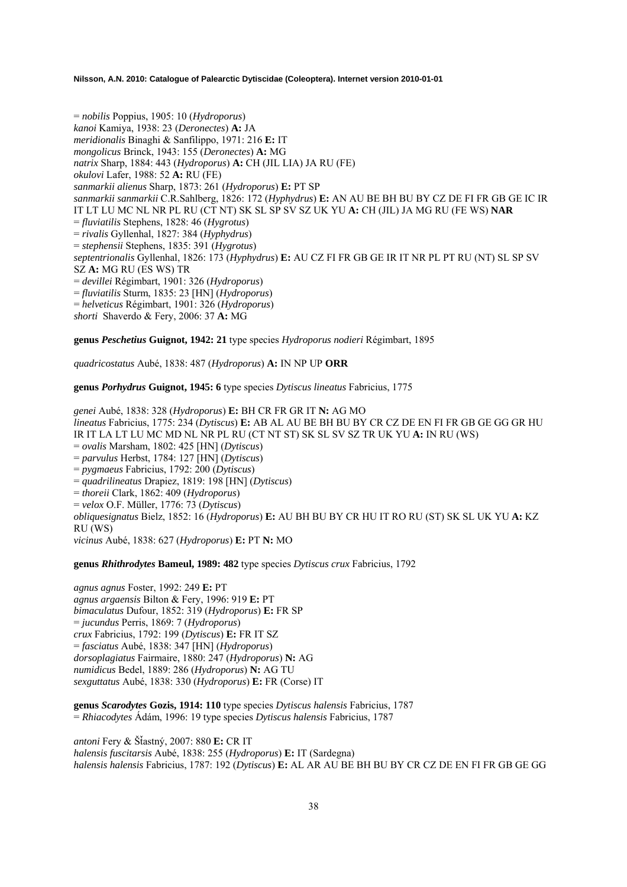= *nobilis* Poppius, 1905: 10 (*Hydroporus*) *kanoi* Kamiya, 1938: 23 (*Deronectes*) **A:** JA *meridionalis* Binaghi & Sanfilippo, 1971: 216 **E:** IT *mongolicus* Brinck, 1943: 155 (*Deronectes*) **A:** MG *natrix* Sharp, 1884: 443 (*Hydroporus*) **A:** CH (JIL LIA) JA RU (FE) *okulovi* Lafer, 1988: 52 **A:** RU (FE) *sanmarkii alienus* Sharp, 1873: 261 (*Hydroporus*) **E:** PT SP *sanmarkii sanmarkii* C.R.Sahlberg, 1826: 172 (*Hyphydrus*) **E:** AN AU BE BH BU BY CZ DE FI FR GB GE IC IR IT LT LU MC NL NR PL RU (CT NT) SK SL SP SV SZ UK YU **A:** CH (JIL) JA MG RU (FE WS) **NAR**  = *fluviatilis* Stephens, 1828: 46 (*Hygrotus*) = *rivalis* Gyllenhal, 1827: 384 (*Hyphydrus*) = *stephensii* Stephens, 1835: 391 (*Hygrotus*) *septentrionalis* Gyllenhal, 1826: 173 (*Hyphydrus*) **E:** AU CZ FI FR GB GE IR IT NR PL PT RU (NT) SL SP SV SZ **A:** MG RU (ES WS) TR = *devillei* Régimbart, 1901: 326 (*Hydroporus*) = *fluviatilis* Sturm, 1835: 23 [HN] (*Hydroporus*) = *helveticus* Régimbart, 1901: 326 (*Hydroporus*) *shorti* Shaverdo & Fery, 2006: 37 **A:** MG

**genus** *Peschetius* **Guignot, 1942: 21** type species *Hydroporus nodieri* Régimbart, 1895

*quadricostatus* Aubé, 1838: 487 (*Hydroporus*) **A:** IN NP UP **ORR** 

**genus** *Porhydrus* **Guignot, 1945: 6** type species *Dytiscus lineatus* Fabricius, 1775

*genei* Aubé, 1838: 328 (*Hydroporus*) **E:** BH CR FR GR IT **N:** AG MO *lineatus* Fabricius, 1775: 234 (*Dytiscus*) **E:** AB AL AU BE BH BU BY CR CZ DE EN FI FR GB GE GG GR HU IR IT LA LT LU MC MD NL NR PL RU (CT NT ST) SK SL SV SZ TR UK YU **A:** IN RU (WS) = *ovalis* Marsham, 1802: 425 [HN] (*Dytiscus*) = *parvulus* Herbst, 1784: 127 [HN] (*Dytiscus*) = *pygmaeus* Fabricius, 1792: 200 (*Dytiscus*) = *quadrilineatus* Drapiez, 1819: 198 [HN] (*Dytiscus*) = *thoreii* Clark, 1862: 409 (*Hydroporus*) = *velox* O.F. Müller, 1776: 73 (*Dytiscus*) *obliquesignatus* Bielz, 1852: 16 (*Hydroporus*) **E:** AU BH BU BY CR HU IT RO RU (ST) SK SL UK YU **A:** KZ RU (WS) *vicinus* Aubé, 1838: 627 (*Hydroporus*) **E:** PT **N:** MO

**genus** *Rhithrodytes* **Bameul, 1989: 482** type species *Dytiscus crux* Fabricius, 1792

*agnus agnus* Foster, 1992: 249 **E:** PT *agnus argaensis* Bilton & Fery, 1996: 919 **E:** PT *bimaculatus* Dufour, 1852: 319 (*Hydroporus*) **E:** FR SP = *jucundus* Perris, 1869: 7 (*Hydroporus*) *crux* Fabricius, 1792: 199 (*Dytiscus*) **E:** FR IT SZ = *fasciatus* Aubé, 1838: 347 [HN] (*Hydroporus*) *dorsoplagiatus* Fairmaire, 1880: 247 (*Hydroporus*) **N:** AG *numidicus* Bedel, 1889: 286 (*Hydroporus*) **N:** AG TU *sexguttatus* Aubé, 1838: 330 (*Hydroporus*) **E:** FR (Corse) IT

**genus** *Scarodytes* **Gozis, 1914: 110** type species *Dytiscus halensis* Fabricius, 1787 = *Rhiacodytes* Ádám, 1996: 19 type species *Dytiscus halensis* Fabricius, 1787

*antoni* Fery & ŠÄastný, 2007: 880 **E:** CR IT *halensis fuscitarsis* Aubé, 1838: 255 (*Hydroporus*) **E:** IT (Sardegna) *halensis halensis* Fabricius, 1787: 192 (*Dytiscus*) **E:** AL AR AU BE BH BU BY CR CZ DE EN FI FR GB GE GG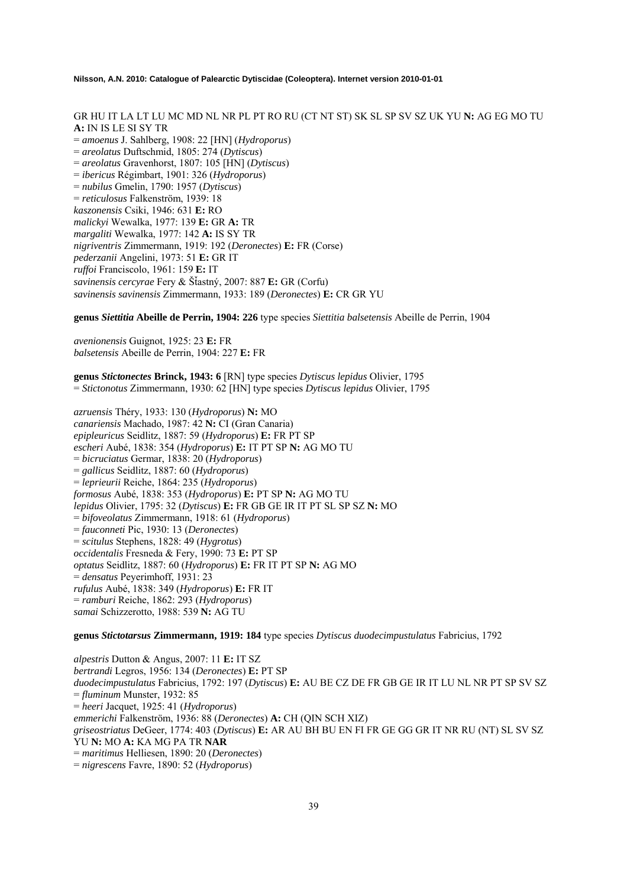GR HU IT LA LT LU MC MD NL NR PL PT RO RU (CT NT ST) SK SL SP SV SZ UK YU **N:** AG EG MO TU **A:** IN IS LE SI SY TR = *amoenus* J. Sahlberg, 1908: 22 [HN] (*Hydroporus*) = *areolatus* Duftschmid, 1805: 274 (*Dytiscus*) = *areolatus* Gravenhorst, 1807: 105 [HN] (*Dytiscus*) = *ibericus* Régimbart, 1901: 326 (*Hydroporus*) = *nubilus* Gmelin, 1790: 1957 (*Dytiscus*) = *reticulosus* Falkenström, 1939: 18 *kaszonensis* Csiki, 1946: 631 **E:** RO *malickyi* Wewalka, 1977: 139 **E:** GR **A:** TR *margaliti* Wewalka, 1977: 142 **A:** IS SY TR *nigriventris* Zimmermann, 1919: 192 (*Deronectes*) **E:** FR (Corse) *pederzanii* Angelini, 1973: 51 **E:** GR IT *ruffoi* Franciscolo, 1961: 159 **E:** IT *savinensis cercyrae* Fery & ŠÄastný, 2007: 887 **E:** GR (Corfu) *savinensis savinensis* Zimmermann, 1933: 189 (*Deronectes*) **E:** CR GR YU

**genus** *Siettitia* **Abeille de Perrin, 1904: 226** type species *Siettitia balsetensis* Abeille de Perrin, 1904

*avenionensis* Guignot, 1925: 23 **E:** FR *balsetensis* Abeille de Perrin, 1904: 227 **E:** FR

**genus** *Stictonectes* **Brinck, 1943: 6** [RN] type species *Dytiscus lepidus* Olivier, 1795 = *Stictonotus* Zimmermann, 1930: 62 [HN] type species *Dytiscus lepidus* Olivier, 1795

*azruensis* Théry, 1933: 130 (*Hydroporus*) **N:** MO *canariensis* Machado, 1987: 42 **N:** CI (Gran Canaria) *epipleuricus* Seidlitz, 1887: 59 (*Hydroporus*) **E:** FR PT SP *escheri* Aubé, 1838: 354 (*Hydroporus*) **E:** IT PT SP **N:** AG MO TU = *bicruciatus* Germar, 1838: 20 (*Hydroporus*) = *gallicus* Seidlitz, 1887: 60 (*Hydroporus*) = *leprieurii* Reiche, 1864: 235 (*Hydroporus*) *formosus* Aubé, 1838: 353 (*Hydroporus*) **E:** PT SP **N:** AG MO TU *lepidus* Olivier, 1795: 32 (*Dytiscus*) **E:** FR GB GE IR IT PT SL SP SZ **N:** MO = *bifoveolatus* Zimmermann, 1918: 61 (*Hydroporus*) = *fauconneti* Pic, 1930: 13 (*Deronectes*) = *scitulus* Stephens, 1828: 49 (*Hygrotus*) *occidentalis* Fresneda & Fery, 1990: 73 **E:** PT SP *optatus* Seidlitz, 1887: 60 (*Hydroporus*) **E:** FR IT PT SP **N:** AG MO = *densatus* Peyerimhoff, 1931: 23 *rufulus* Aubé, 1838: 349 (*Hydroporus*) **E:** FR IT = *ramburi* Reiche, 1862: 293 (*Hydroporus*) *samai* Schizzerotto, 1988: 539 **N:** AG TU

**genus** *Stictotarsus* **Zimmermann, 1919: 184** type species *Dytiscus duodecimpustulatus* Fabricius, 1792

*alpestris* Dutton & Angus, 2007: 11 **E:** IT SZ *bertrandi* Legros, 1956: 134 (*Deronectes*) **E:** PT SP *duodecimpustulatus* Fabricius, 1792: 197 (*Dytiscus*) **E:** AU BE CZ DE FR GB GE IR IT LU NL NR PT SP SV SZ = *fluminum* Munster, 1932: 85 = *heeri* Jacquet, 1925: 41 (*Hydroporus*) *emmerichi* Falkenström, 1936: 88 (*Deronectes*) **A:** CH (QIN SCH XIZ) *griseostriatus* DeGeer, 1774: 403 (*Dytiscus*) **E:** AR AU BH BU EN FI FR GE GG GR IT NR RU (NT) SL SV SZ YU **N:** MO **A:** KA MG PA TR **NAR** = *maritimus* Helliesen, 1890: 20 (*Deronectes*) = *nigrescens* Favre, 1890: 52 (*Hydroporus*)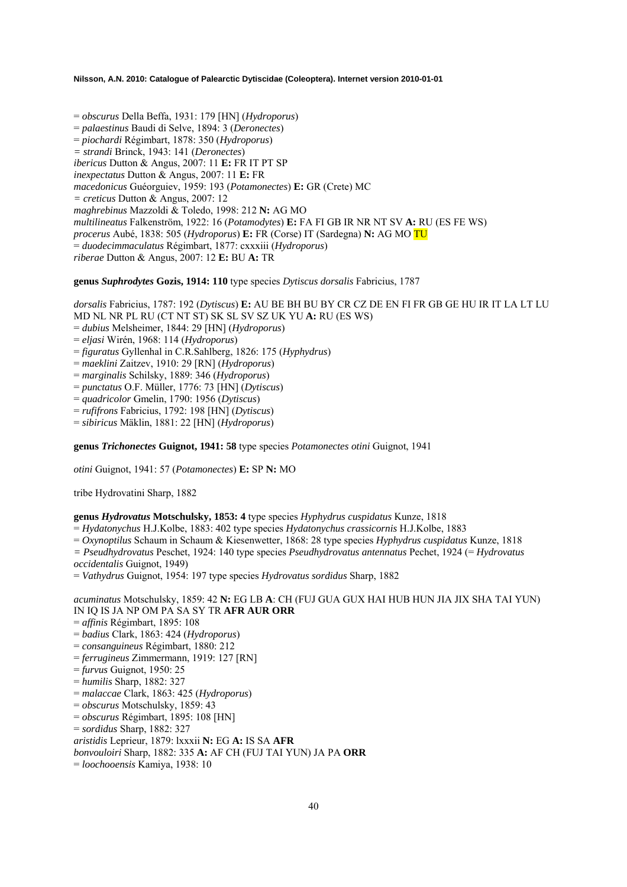= *obscurus* Della Beffa, 1931: 179 [HN] (*Hydroporus*) = *palaestinus* Baudi di Selve, 1894: 3 (*Deronectes*) = *piochardi* Régimbart, 1878: 350 (*Hydroporus*) *= strandi* Brinck, 1943: 141 (*Deronectes*) *ibericus* Dutton & Angus, 2007: 11 **E:** FR IT PT SP *inexpectatus* Dutton & Angus, 2007: 11 **E:** FR *macedonicus* Guéorguiev, 1959: 193 (*Potamonectes*) **E:** GR (Crete) MC *= creticus* Dutton & Angus, 2007: 12 *maghrebinus* Mazzoldi & Toledo, 1998: 212 **N:** AG MO *multilineatus* Falkenström, 1922: 16 (*Potamodytes*) **E:** FA FI GB IR NR NT SV **A:** RU (ES FE WS) *procerus* Aubé, 1838: 505 (*Hydroporus*) **E:** FR (Corse) IT (Sardegna) **N:** AG MO TU = *duodecimmaculatus* Régimbart, 1877: cxxxiii (*Hydroporus*) *riberae* Dutton & Angus, 2007: 12 **E:** BU **A:** TR

### **genus** *Suphrodytes* **Gozis, 1914: 110** type species *Dytiscus dorsalis* Fabricius, 1787

*dorsalis* Fabricius, 1787: 192 (*Dytiscus*) **E:** AU BE BH BU BY CR CZ DE EN FI FR GB GE HU IR IT LA LT LU MD NL NR PL RU (CT NT ST) SK SL SV SZ UK YU **A:** RU (ES WS) = *dubius* Melsheimer, 1844: 29 [HN] (*Hydroporus*) = *eljasi* Wirén, 1968: 114 (*Hydroporus*) = *figuratus* Gyllenhal in C.R.Sahlberg, 1826: 175 (*Hyphydrus*) = *maeklini* Zaitzev, 1910: 29 [RN] (*Hydroporus*) = *marginalis* Schilsky, 1889: 346 (*Hydroporus*) = *punctatus* O.F. Müller, 1776: 73 [HN] (*Dytiscus*) = *quadricolor* Gmelin, 1790: 1956 (*Dytiscus*) = *rufifrons* Fabricius, 1792: 198 [HN] (*Dytiscus*) = *sibiricus* Mäklin, 1881: 22 [HN] (*Hydroporus*) **genus** *Trichonectes* **Guignot, 1941: 58** type species *Potamonectes otini* Guignot, 1941 *otini* Guignot, 1941: 57 (*Potamonectes*) **E:** SP **N:** MO

tribe Hydrovatini Sharp, 1882

## **genus** *Hydrovatus* **Motschulsky, 1853: 4** type species *Hyphydrus cuspidatus* Kunze, 1818

= *Hydatonychus* H.J.Kolbe, 1883: 402 type species *Hydatonychus crassicornis* H.J.Kolbe, 1883

= *Oxynoptilus* Schaum in Schaum & Kiesenwetter, 1868: 28 type species *Hyphydrus cuspidatus* Kunze, 1818

*= Pseudhydrovatus* Peschet, 1924: 140 type species *Pseudhydrovatus antennatus* Pechet, 1924 (= *Hydrovatus occidentalis* Guignot, 1949)

= *Vathydrus* Guignot, 1954: 197 type species *Hydrovatus sordidus* Sharp, 1882

*acuminatus* Motschulsky, 1859: 42 **N:** EG LB **A**: CH (FUJ GUA GUX HAI HUB HUN JIA JIX SHA TAI YUN) IN IQ IS JA NP OM PA SA SY TR **AFR AUR ORR** 

- = *affinis* Régimbart, 1895: 108
- = *badius* Clark, 1863: 424 (*Hydroporus*)
- = *consanguineus* Régimbart, 1880: 212
- = *ferrugineus* Zimmermann, 1919: 127 [RN]
- = *furvus* Guignot, 1950: 25
- = *humilis* Sharp, 1882: 327
- = *malaccae* Clark, 1863: 425 (*Hydroporus*)
- = *obscurus* Motschulsky, 1859: 43
- = *obscurus* Régimbart, 1895: 108 [HN]
- = *sordidus* Sharp, 1882: 327
- *aristidis* Leprieur, 1879: lxxxii **N:** EG **A:** IS SA **AFR**
- *bonvouloiri* Sharp, 1882: 335 **A:** AF CH (FUJ TAI YUN) JA PA **ORR**
- = *loochooensis* Kamiya, 1938: 10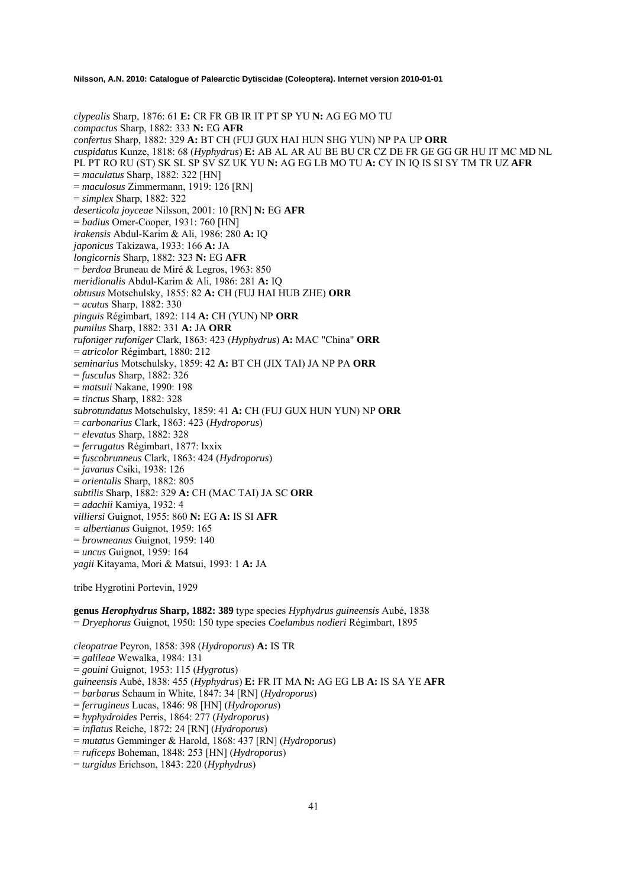*clypealis* Sharp, 1876: 61 **E:** CR FR GB IR IT PT SP YU **N:** AG EG MO TU *compactus* Sharp, 1882: 333 **N:** EG **AFR**  *confertus* Sharp, 1882: 329 **A:** BT CH (FUJ GUX HAI HUN SHG YUN) NP PA UP **ORR**  *cuspidatus* Kunze, 1818: 68 (*Hyphydrus*) **E:** AB AL AR AU BE BU CR CZ DE FR GE GG GR HU IT MC MD NL PL PT RO RU (ST) SK SL SP SV SZ UK YU **N:** AG EG LB MO TU **A:** CY IN IQ IS SI SY TM TR UZ **AFR**  = *maculatus* Sharp, 1882: 322 [HN] = *maculosus* Zimmermann, 1919: 126 [RN] = *simplex* Sharp, 1882: 322 *deserticola joyceae* Nilsson, 2001: 10 [RN] **N:** EG **AFR**  = *badius* Omer-Cooper, 1931: 760 [HN] *irakensis* Abdul-Karim & Ali, 1986: 280 **A:** IQ *japonicus* Takizawa, 1933: 166 **A:** JA *longicornis* Sharp, 1882: 323 **N:** EG **AFR**  = *berdoa* Bruneau de Miré & Legros, 1963: 850 *meridionalis* Abdul-Karim & Ali, 1986: 281 **A:** IQ *obtusus* Motschulsky, 1855: 82 **A:** CH (FUJ HAI HUB ZHE) **ORR**  = *acutus* Sharp, 1882: 330 *pinguis* Régimbart, 1892: 114 **A:** CH (YUN) NP **ORR**  *pumilus* Sharp, 1882: 331 **A:** JA **ORR**  *rufoniger rufoniger* Clark, 1863: 423 (*Hyphydrus*) **A:** MAC "China" **ORR**  = *atricolor* Régimbart, 1880: 212 *seminarius* Motschulsky, 1859: 42 **A:** BT CH (JIX TAI) JA NP PA **ORR**  = *fusculus* Sharp, 1882: 326 = *matsuii* Nakane, 1990: 198 = *tinctus* Sharp, 1882: 328 *subrotundatus* Motschulsky, 1859: 41 **A:** CH (FUJ GUX HUN YUN) NP **ORR**  = *carbonarius* Clark, 1863: 423 (*Hydroporus*) = *elevatus* Sharp, 1882: 328 = *ferrugatus* Régimbart, 1877: lxxix = *fuscobrunneus* Clark, 1863: 424 (*Hydroporus*) = *javanus* Csiki, 1938: 126 = *orientalis* Sharp, 1882: 805 *subtilis* Sharp, 1882: 329 **A:** CH (MAC TAI) JA SC **ORR**  = *adachii* Kamiya, 1932: 4 *villiersi* Guignot, 1955: 860 **N:** EG **A:** IS SI **AFR**  *= albertianus* Guignot, 1959: 165 = *browneanus* Guignot, 1959: 140 = *uncus* Guignot, 1959: 164 *yagii* Kitayama, Mori & Matsui, 1993: 1 **A:** JA tribe Hygrotini Portevin, 1929

**genus** *Herophydrus* **Sharp, 1882: 389** type species *Hyphydrus guineensis* Aubé, 1838 = *Dryephorus* Guignot, 1950: 150 type species *Coelambus nodieri* Régimbart, 1895

*cleopatrae* Peyron, 1858: 398 (*Hydroporus*) **A:** IS TR = *galileae* Wewalka, 1984: 131 = *gouini* Guignot, 1953: 115 (*Hygrotus*) *guineensis* Aubé, 1838: 455 (*Hyphydrus*) **E:** FR IT MA **N:** AG EG LB **A:** IS SA YE **AFR**  = *barbarus* Schaum in White, 1847: 34 [RN] (*Hydroporus*) = *ferrugineus* Lucas, 1846: 98 [HN] (*Hydroporus*) = *hyphydroides* Perris, 1864: 277 (*Hydroporus*) = *inflatus* Reiche, 1872: 24 [RN] (*Hydroporus*)

= *mutatus* Gemminger & Harold, 1868: 437 [RN] (*Hydroporus*)

= *ruficeps* Boheman, 1848: 253 [HN] (*Hydroporus*)

= *turgidus* Erichson, 1843: 220 (*Hyphydrus*)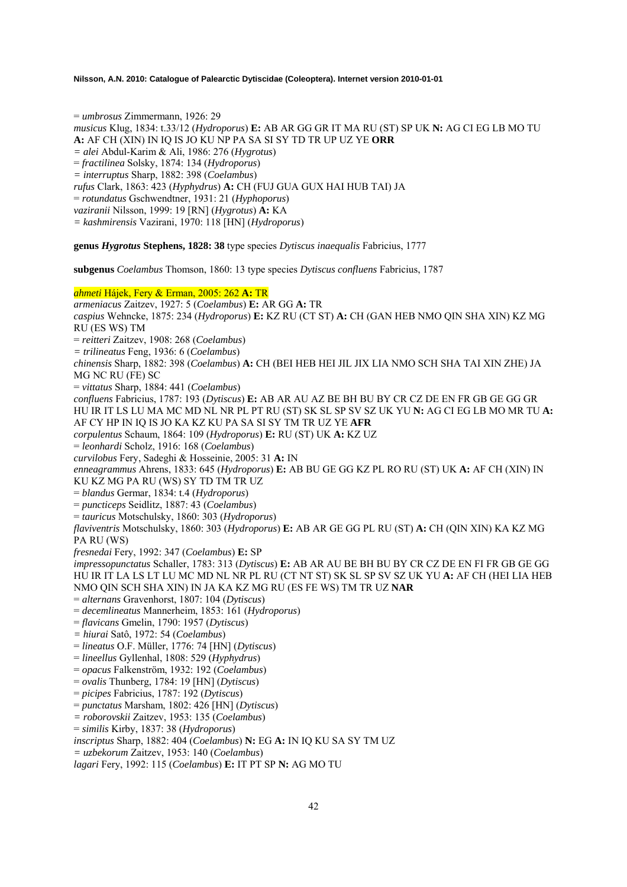= *umbrosus* Zimmermann, 1926: 29 *musicus* Klug, 1834: t.33/12 (*Hydroporus*) **E:** AB AR GG GR IT MA RU (ST) SP UK **N:** AG CI EG LB MO TU **A:** AF CH (XIN) IN IQ IS JO KU NP PA SA SI SY TD TR UP UZ YE **ORR**  *= alei* Abdul-Karim & Ali, 1986: 276 (*Hygrotus*) = *fractilinea* Solsky, 1874: 134 (*Hydroporus*) *= interruptus* Sharp, 1882: 398 (*Coelambus*) *rufus* Clark, 1863: 423 (*Hyphydrus*) **A:** CH (FUJ GUA GUX HAI HUB TAI) JA = *rotundatus* Gschwendtner, 1931: 21 (*Hyphoporus*) *vaziranii* Nilsson, 1999: 19 [RN] (*Hygrotus*) **A:** KA *= kashmirensis* Vazirani, 1970: 118 [HN] (*Hydroporus*)

**genus** *Hygrotus* **Stephens, 1828: 38** type species *Dytiscus inaequalis* Fabricius, 1777

**subgenus** *Coelambus* Thomson, 1860: 13 type species *Dytiscus confluens* Fabricius, 1787

### *ahmeti* Hájek, Fery & Erman, 2005: 262 **A:** TR

*armeniacus* Zaitzev, 1927: 5 (*Coelambus*) **E:** AR GG **A:** TR *caspius* Wehncke, 1875: 234 (*Hydroporus*) **E:** KZ RU (CT ST) **A:** CH (GAN HEB NMO QIN SHA XIN) KZ MG RU (ES WS) TM = *reitteri* Zaitzev, 1908: 268 (*Coelambus*) *= trilineatus* Feng, 1936: 6 (*Coelambus*) *chinensis* Sharp, 1882: 398 (*Coelambus*) **A:** CH (BEI HEB HEI JIL JIX LIA NMO SCH SHA TAI XIN ZHE) JA MG NC RU (FE) SC = *vittatus* Sharp, 1884: 441 (*Coelambus*) *confluens* Fabricius, 1787: 193 (*Dytiscus*) **E:** AB AR AU AZ BE BH BU BY CR CZ DE EN FR GB GE GG GR HU IR IT LS LU MA MC MD NL NR PL PT RU (ST) SK SL SP SV SZ UK YU **N:** AG CI EG LB MO MR TU **A:**  AF CY HP IN IQ IS JO KA KZ KU PA SA SI SY TM TR UZ YE **AFR** *corpulentus* Schaum, 1864: 109 (*Hydroporus*) **E:** RU (ST) UK **A:** KZ UZ = *leonhardi* Scholz, 1916: 168 (*Coelambus*) *curvilobus* Fery, Sadeghi & Hosseinie, 2005: 31 **A:** IN *enneagrammus* Ahrens, 1833: 645 (*Hydroporus*) **E:** AB BU GE GG KZ PL RO RU (ST) UK **A:** AF CH (XIN) IN KU KZ MG PA RU (WS) SY TD TM TR UZ = *blandus* Germar, 1834: t.4 (*Hydroporus*) = *puncticeps* Seidlitz, 1887: 43 (*Coelambus*) = *tauricus* Motschulsky, 1860: 303 (*Hydroporus*) *flaviventris* Motschulsky, 1860: 303 (*Hydroporus*) **E:** AB AR GE GG PL RU (ST) **A:** CH (QIN XIN) KA KZ MG PA RU (WS) *fresnedai* Fery, 1992: 347 (*Coelambus*) **E:** SP *impressopunctatus* Schaller, 1783: 313 (*Dytiscus*) **E:** AB AR AU BE BH BU BY CR CZ DE EN FI FR GB GE GG HU IR IT LA LS LT LU MC MD NL NR PL RU (CT NT ST) SK SL SP SV SZ UK YU **A:** AF CH (HEI LIA HEB NMO QIN SCH SHA XIN) IN JA KA KZ MG RU (ES FE WS) TM TR UZ **NAR**  = *alternans* Gravenhorst, 1807: 104 (*Dytiscus*) = *decemlineatus* Mannerheim, 1853: 161 (*Hydroporus*) = *flavicans* Gmelin, 1790: 1957 (*Dytiscus*) *= hiurai* Satô, 1972: 54 (*Coelambus*) = *lineatus* O.F. Müller, 1776: 74 [HN] (*Dytiscus*) = *lineellus* Gyllenhal, 1808: 529 (*Hyphydrus*) = *opacus* Falkenström, 1932: 192 (*Coelambus*) = *ovalis* Thunberg, 1784: 19 [HN] (*Dytiscus*) = *picipes* Fabricius, 1787: 192 (*Dytiscus*) = *punctatus* Marsham, 1802: 426 [HN] (*Dytiscus*) *= roborovskii* Zaitzev, 1953: 135 (*Coelambus*) = *similis* Kirby, 1837: 38 (*Hydroporus*) *inscriptus* Sharp, 1882: 404 (*Coelambus*) **N:** EG **A:** IN IQ KU SA SY TM UZ *= uzbekorum* Zaitzev, 1953: 140 (*Coelambus*)

*lagari* Fery, 1992: 115 (*Coelambus*) **E:** IT PT SP **N:** AG MO TU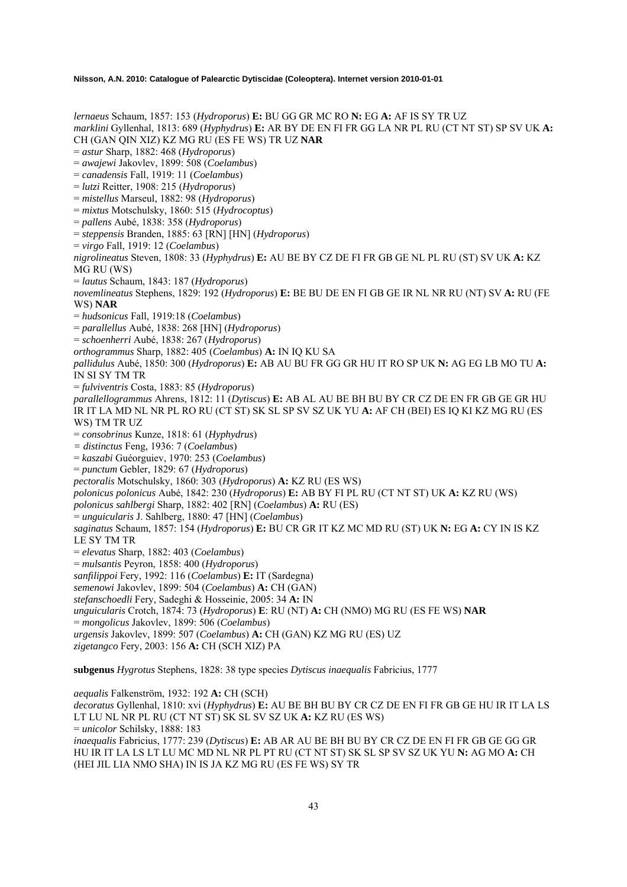*lernaeus* Schaum, 1857: 153 (*Hydroporus*) **E:** BU GG GR MC RO **N:** EG **A:** AF IS SY TR UZ *marklini* Gyllenhal, 1813: 689 (*Hyphydrus*) **E:** AR BY DE EN FI FR GG LA NR PL RU (CT NT ST) SP SV UK **A:**  CH (GAN QIN XIZ) KZ MG RU (ES FE WS) TR UZ **NAR**  = *astur* Sharp, 1882: 468 (*Hydroporus*) = *awajewi* Jakovlev, 1899: 508 (*Coelambus*) = *canadensis* Fall, 1919: 11 (*Coelambus*) = *lutzi* Reitter, 1908: 215 (*Hydroporus*) = *mistellus* Marseul, 1882: 98 (*Hydroporus*) = *mixtus* Motschulsky, 1860: 515 (*Hydrocoptus*) = *pallens* Aubé, 1838: 358 (*Hydroporus*) = *steppensis* Branden, 1885: 63 [RN] [HN] (*Hydroporus*) = *virgo* Fall, 1919: 12 (*Coelambus*) *nigrolineatus* Steven, 1808: 33 (*Hyphydrus*) **E:** AU BE BY CZ DE FI FR GB GE NL PL RU (ST) SV UK **A:** KZ MG RU (WS) = *lautus* Schaum, 1843: 187 (*Hydroporus*) *novemlineatus* Stephens, 1829: 192 (*Hydroporus*) **E:** BE BU DE EN FI GB GE IR NL NR RU (NT) SV **A:** RU (FE WS) **NAR**  = *hudsonicus* Fall, 1919:18 (*Coelambus*) = *parallellus* Aubé, 1838: 268 [HN] (*Hydroporus*) = *schoenherri* Aubé, 1838: 267 (*Hydroporus*) *orthogrammus* Sharp, 1882: 405 (*Coelambus*) **A:** IN IQ KU SA *pallidulus* Aubé, 1850: 300 (*Hydroporus*) **E:** AB AU BU FR GG GR HU IT RO SP UK **N:** AG EG LB MO TU **A:**  IN SI SY TM TR = *fulviventris* Costa, 1883: 85 (*Hydroporus*) *parallellogrammus* Ahrens, 1812: 11 (*Dytiscus*) **E:** AB AL AU BE BH BU BY CR CZ DE EN FR GB GE GR HU IR IT LA MD NL NR PL RO RU (CT ST) SK SL SP SV SZ UK YU **A:** AF CH (BEI) ES IQ KI KZ MG RU (ES WS) TM TR UZ = *consobrinus* Kunze, 1818: 61 (*Hyphydrus*) *= distinctus* Feng, 1936: 7 (*Coelambus*) = *kaszabi* Guéorguiev, 1970: 253 (*Coelambus*) = *punctum* Gebler, 1829: 67 (*Hydroporus*) *pectoralis* Motschulsky, 1860: 303 (*Hydroporus*) **A:** KZ RU (ES WS) *polonicus polonicus* Aubé, 1842: 230 (*Hydroporus*) **E:** AB BY FI PL RU (CT NT ST) UK **A:** KZ RU (WS) *polonicus sahlbergi* Sharp, 1882: 402 [RN] (*Coelambus*) **A:** RU (ES) = *unguicularis* J. Sahlberg, 1880: 47 [HN] (*Coelambus*) *saginatus* Schaum, 1857: 154 (*Hydroporus*) **E:** BU CR GR IT KZ MC MD RU (ST) UK **N:** EG **A:** CY IN IS KZ LE SY TM TR = *elevatus* Sharp, 1882: 403 (*Coelambus*) = *mulsantis* Peyron, 1858: 400 (*Hydroporus*) *sanfilippoi* Fery, 1992: 116 (*Coelambus*) **E:** IT (Sardegna) *semenowi* Jakovlev, 1899: 504 (*Coelambus*) **A:** CH (GAN) *stefanschoedli* Fery, Sadeghi & Hosseinie, 2005: 34 **A:** IN *unguicularis* Crotch, 1874: 73 (*Hydroporus*) **E**: RU (NT) **A:** CH (NMO) MG RU (ES FE WS) **NAR**  = *mongolicus* Jakovlev, 1899: 506 (*Coelambus*) *urgensis* Jakovlev, 1899: 507 (*Coelambus*) **A:** CH (GAN) KZ MG RU (ES) UZ *zigetangco* Fery, 2003: 156 **A:** CH (SCH XIZ) PA **subgenus** *Hygrotus* Stephens, 1828: 38 type species *Dytiscus inaequalis* Fabricius, 1777 *aequalis* Falkenström, 1932: 192 **A:** CH (SCH) *decoratus* Gyllenhal, 1810: xvi (*Hyphydrus*) **E:** AU BE BH BU BY CR CZ DE EN FI FR GB GE HU IR IT LA LS

LT LU NL NR PL RU (CT NT ST) SK SL SV SZ UK **A:** KZ RU (ES WS)

= *unicolor* Schilsky, 1888: 183

*inaequalis* Fabricius, 1777: 239 (*Dytiscus*) **E:** AB AR AU BE BH BU BY CR CZ DE EN FI FR GB GE GG GR HU IR IT LA LS LT LU MC MD NL NR PL PT RU (CT NT ST) SK SL SP SV SZ UK YU **N:** AG MO **A:** CH (HEI JIL LIA NMO SHA) IN IS JA KZ MG RU (ES FE WS) SY TR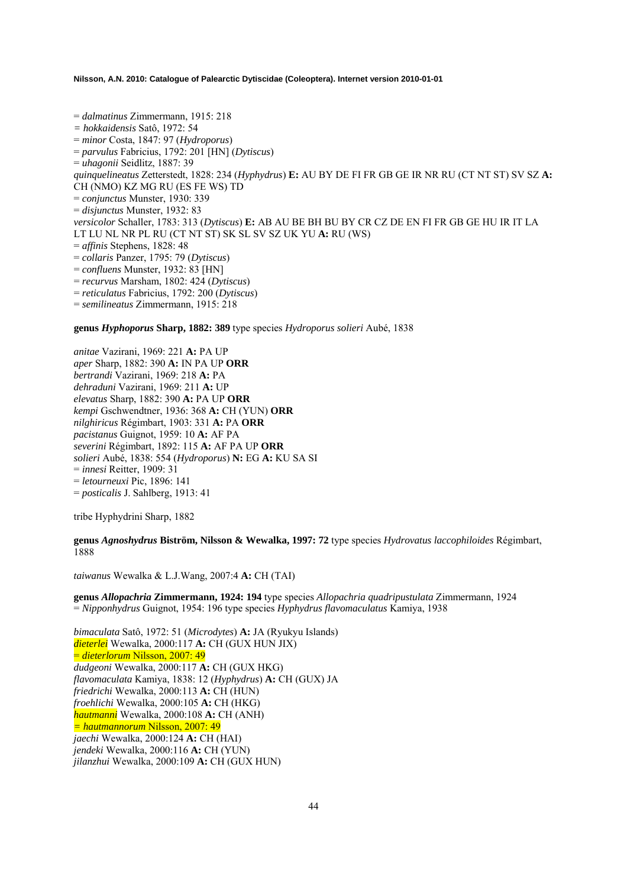= *dalmatinus* Zimmermann, 1915: 218 *= hokkaidensis* Satô, 1972: 54 = *minor* Costa, 1847: 97 (*Hydroporus*) = *parvulus* Fabricius, 1792: 201 [HN] (*Dytiscus*) = *uhagonii* Seidlitz, 1887: 39 *quinquelineatus* Zetterstedt, 1828: 234 (*Hyphydrus*) **E:** AU BY DE FI FR GB GE IR NR RU (CT NT ST) SV SZ **A:**  CH (NMO) KZ MG RU (ES FE WS) TD = *conjunctus* Munster, 1930: 339 = *disjunctus* Munster, 1932: 83 *versicolor* Schaller, 1783: 313 (*Dytiscus*) **E:** AB AU BE BH BU BY CR CZ DE EN FI FR GB GE HU IR IT LA LT LU NL NR PL RU (CT NT ST) SK SL SV SZ UK YU **A:** RU (WS) = *affinis* Stephens, 1828: 48 = *collaris* Panzer, 1795: 79 (*Dytiscus*) = *confluens* Munster, 1932: 83 [HN] = *recurvus* Marsham, 1802: 424 (*Dytiscus*) = *reticulatus* Fabricius, 1792: 200 (*Dytiscus*) = *semilineatus* Zimmermann, 1915: 218

**genus** *Hyphoporus* **Sharp, 1882: 389** type species *Hydroporus solieri* Aubé, 1838

*anitae* Vazirani, 1969: 221 **A:** PA UP *aper* Sharp, 1882: 390 **A:** IN PA UP **ORR**  *bertrandi* Vazirani, 1969: 218 **A:** PA *dehraduni* Vazirani, 1969: 211 **A:** UP *elevatus* Sharp, 1882: 390 **A:** PA UP **ORR**  *kempi* Gschwendtner, 1936: 368 **A:** CH (YUN) **ORR**  *nilghiricus* Régimbart, 1903: 331 **A:** PA **ORR**  *pacistanus* Guignot, 1959: 10 **A:** AF PA *severini* Régimbart, 1892: 115 **A:** AF PA UP **ORR**  *solieri* Aubé, 1838: 554 (*Hydroporus*) **N:** EG **A:** KU SA SI = *innesi* Reitter, 1909: 31 = *letourneuxi* Pic, 1896: 141 = *posticalis* J. Sahlberg, 1913: 41

tribe Hyphydrini Sharp, 1882

**genus** *Agnoshydrus* **Biström, Nilsson & Wewalka, 1997: 72** type species *Hydrovatus laccophiloides* Régimbart, 1888

*taiwanus* Wewalka & L.J.Wang, 2007:4 **A:** CH (TAI)

**genus** *Allopachria* **Zimmermann, 1924: 194** type species *Allopachria quadripustulata* Zimmermann, 1924 = *Nipponhydrus* Guignot, 1954: 196 type species *Hyphydrus flavomaculatus* Kamiya, 1938

*bimaculata* Satô, 1972: 51 (*Microdytes*) **A:** JA (Ryukyu Islands) *dieterlei* Wewalka, 2000:117 **A:** CH (GUX HUN JIX) = *dieterlorum* Nilsson, 2007: 49 *dudgeoni* Wewalka, 2000:117 **A:** CH (GUX HKG) *flavomaculata* Kamiya, 1838: 12 (*Hyphydrus*) **A:** CH (GUX) JA *friedrichi* Wewalka, 2000:113 **A:** CH (HUN) *froehlichi* Wewalka, 2000:105 **A:** CH (HKG) *hautmanni* Wewalka, 2000:108 **A:** CH (ANH) *= hautmannorum* Nilsson, 2007: 49 *jaechi* Wewalka, 2000:124 **A:** CH (HAI) *jendeki* Wewalka, 2000:116 **A:** CH (YUN) *jilanzhui* Wewalka, 2000:109 **A:** CH (GUX HUN)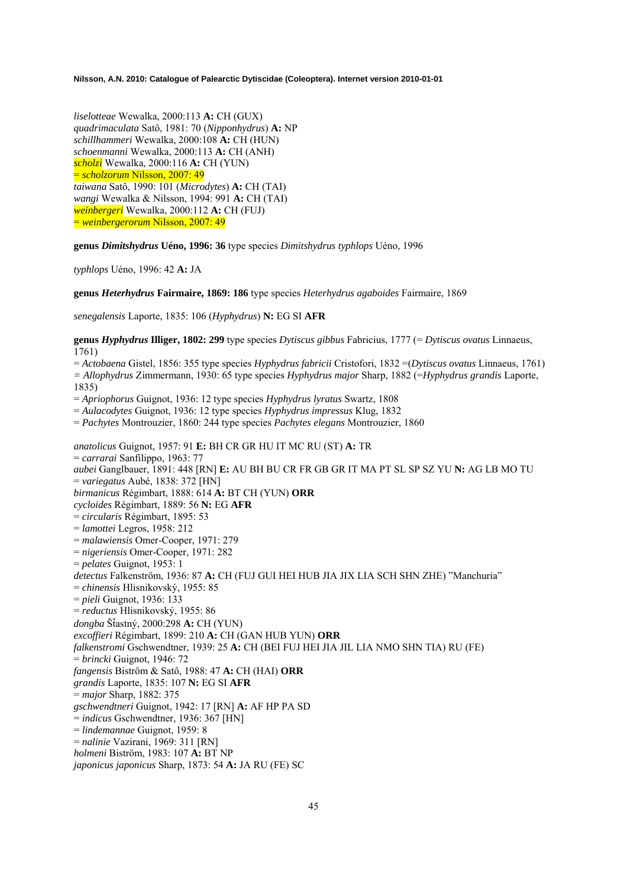*liselotteae* Wewalka, 2000:113 **A:** CH (GUX) *quadrimaculata* Satô, 1981: 70 (*Nipponhydrus*) **A:** NP *schillhammeri* Wewalka, 2000:108 **A:** CH (HUN) *schoenmanni* Wewalka, 2000:113 **A:** CH (ANH) *scholzi* Wewalka, 2000:116 **A:** CH (YUN) = *scholzorum* Nilsson, 2007: 49 *taiwana* Satô, 1990: 101 (*Microdytes*) **A:** CH (TAI) *wangi* Wewalka & Nilsson, 1994: 991 **A:** CH (TAI) *weinbergeri* Wewalka, 2000:112 **A:** CH (FUJ) = *weinbergerorum* Nilsson, 2007: 49

**genus** *Dimitshydrus* **Uéno, 1996: 36** type species *Dimitshydrus typhlops* Uéno, 1996

*typhlops* Uéno, 1996: 42 **A:** JA

**genus** *Heterhydrus* **Fairmaire, 1869: 186** type species *Heterhydrus agaboides* Fairmaire, 1869

*senegalensis* Laporte, 1835: 106 (*Hyphydrus*) **N:** EG SI **AFR**

**genus** *Hyphydrus* **Illiger, 1802: 299** type species *Dytiscus gibbus* Fabricius, 1777 (= *Dytiscus ovatus* Linnaeus, 1761)

= *Actobaena* Gistel, 1856: 355 type species *Hyphydrus fabricii* Cristofori, 1832 =(*Dytiscus ovatus* Linnaeus, 1761) *= Allophydrus* Zimmermann, 1930: 65 type species *Hyphydrus major* Sharp, 1882 (=*Hyphydrus grandis* Laporte, 1835)

= *Apriophorus* Guignot, 1936: 12 type species *Hyphydrus lyratus* Swartz, 1808

= *Aulacodytes* Guignot, 1936: 12 type species *Hyphydrus impressus* Klug, 1832

= *Pachytes* Montrouzier, 1860: 244 type species *Pachytes elegans* Montrouzier, 1860

*anatolicus* Guignot, 1957: 91 **E:** BH CR GR HU IT MC RU (ST) **A:** TR = *carrarai* Sanfilippo, 1963: 77 *aubei* Ganglbauer, 1891: 448 [RN] **E:** AU BH BU CR FR GB GR IT MA PT SL SP SZ YU **N:** AG LB MO TU = *variegatus* Aubé, 1838: 372 [HN] *birmanicus* Régimbart, 1888: 614 **A:** BT CH (YUN) **ORR** *cycloides* Régimbart, 1889: 56 **N:** EG **AFR** = *circularis* Régimbart, 1895: 53 = *lamottei* Legros, 1958: 212 = *malawiensis* Omer-Cooper, 1971: 279 = *nigeriensis* Omer-Cooper, 1971: 282 = *pelates* Guignot, 1953: 1 *detectus* Falkenström, 1936: 87 **A:** CH (FUJ GUI HEI HUB JIA JIX LIA SCH SHN ZHE) "Manchuria" = *chinensis* Hlisnikovský, 1955: 85 = *pieli* Guignot, 1936: 133 = *reductus* Hlisnikovský, 1955: 86 *dongba* ŠÄastný, 2000:298 **A:** CH (YUN) *excoffieri* Régimbart, 1899: 210 **A:** CH (GAN HUB YUN) **ORR** *falkenstromi* Gschwendtner, 1939: 25 **A:** CH (BEI FUJ HEI JIA JIL LIA NMO SHN TIA) RU (FE) = *brincki* Guignot, 1946: 72 *fangensis* Biström & Satô, 1988: 47 **A:** CH (HAI) **ORR** *grandis* Laporte, 1835: 107 **N:** EG SI **AFR** = *major* Sharp, 1882: 375 *gschwendtneri* Guignot, 1942: 17 [RN] **A:** AF HP PA SD = *indicus* Gschwendtner, 1936: 367 [HN] = *lindemannae* Guignot, 1959: 8 = *nalinie* Vazirani, 1969: 311 [RN] *holmeni* Biström, 1983: 107 **A:** BT NP *japonicus japonicus* Sharp, 1873: 54 **A:** JA RU (FE) SC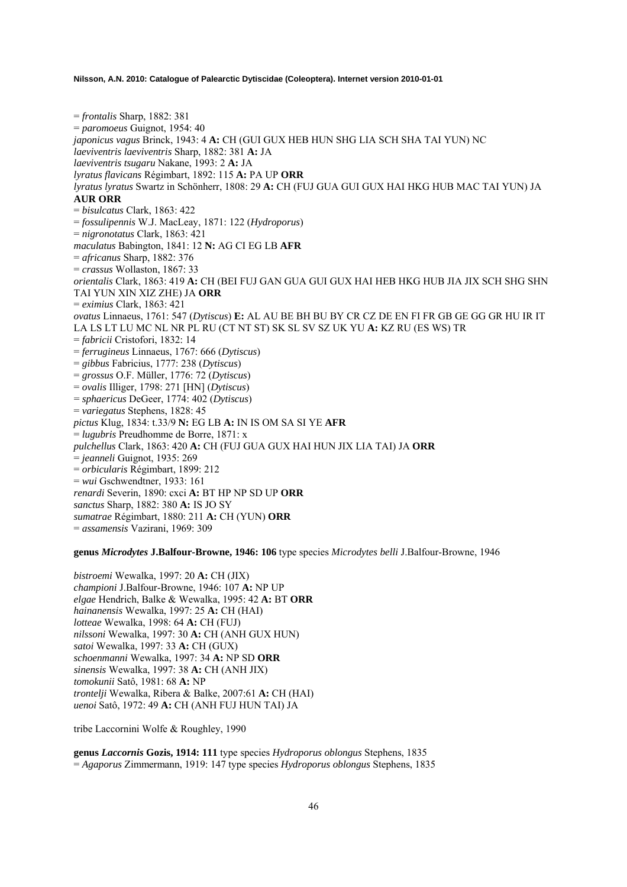= *frontalis* Sharp, 1882: 381 = *paromoeus* Guignot, 1954: 40 *japonicus vagus* Brinck, 1943: 4 **A:** CH (GUI GUX HEB HUN SHG LIA SCH SHA TAI YUN) NC *laeviventris laeviventris* Sharp, 1882: 381 **A:** JA *laeviventris tsugaru* Nakane, 1993: 2 **A:** JA *lyratus flavicans* Régimbart, 1892: 115 **A:** PA UP **ORR** *lyratus lyratus* Swartz in Schönherr, 1808: 29 **A:** CH (FUJ GUA GUI GUX HAI HKG HUB MAC TAI YUN) JA **AUR ORR** = *bisulcatus* Clark, 1863: 422 = *fossulipennis* W.J. MacLeay, 1871: 122 (*Hydroporus*) = *nigronotatus* Clark, 1863: 421 *maculatus* Babington, 1841: 12 **N:** AG CI EG LB **AFR** = *africanus* Sharp, 1882: 376 = *crassus* Wollaston, 1867: 33 *orientalis* Clark, 1863: 419 **A:** CH (BEI FUJ GAN GUA GUI GUX HAI HEB HKG HUB JIA JIX SCH SHG SHN TAI YUN XIN XIZ ZHE) JA **ORR** = *eximius* Clark, 1863: 421 *ovatus* Linnaeus, 1761: 547 (*Dytiscus*) **E:** AL AU BE BH BU BY CR CZ DE EN FI FR GB GE GG GR HU IR IT LA LS LT LU MC NL NR PL RU (CT NT ST) SK SL SV SZ UK YU **A:** KZ RU (ES WS) TR = *fabricii* Cristofori, 1832: 14 = *ferrugineus* Linnaeus, 1767: 666 (*Dytiscus*) = *gibbus* Fabricius, 1777: 238 (*Dytiscus*) = *grossus* O.F. Müller, 1776: 72 (*Dytiscus*) = *ovalis* Illiger, 1798: 271 [HN] (*Dytiscus*) = *sphaericus* DeGeer, 1774: 402 (*Dytiscus*) = *variegatus* Stephens, 1828: 45 *pictus* Klug, 1834: t.33/9 **N:** EG LB **A:** IN IS OM SA SI YE **AFR** = *lugubris* Preudhomme de Borre, 1871: x *pulchellus* Clark, 1863: 420 **A:** CH (FUJ GUA GUX HAI HUN JIX LIA TAI) JA **ORR** = *jeanneli* Guignot, 1935: 269 = *orbicularis* Régimbart, 1899: 212 = *wui* Gschwendtner, 1933: 161 *renardi* Severin, 1890: cxci **A:** BT HP NP SD UP **ORR** *sanctus* Sharp, 1882: 380 **A:** IS JO SY *sumatrae* Régimbart, 1880: 211 **A:** CH (YUN) **ORR** = *assamensis* Vazirani, 1969: 309

## **genus** *Microdytes* **J.Balfour-Browne, 1946: 106** type species *Microdytes belli* J.Balfour-Browne, 1946

*bistroemi* Wewalka, 1997: 20 **A:** CH (JIX) *championi* J.Balfour-Browne, 1946: 107 **A:** NP UP *elgae* Hendrich, Balke & Wewalka, 1995: 42 **A:** BT **ORR** *hainanensis* Wewalka, 1997: 25 **A:** CH (HAI) *lotteae* Wewalka, 1998: 64 **A:** CH (FUJ) *nilssoni* Wewalka, 1997: 30 **A:** CH (ANH GUX HUN) *satoi* Wewalka, 1997: 33 **A:** CH (GUX) *schoenmanni* Wewalka, 1997: 34 **A:** NP SD **ORR** *sinensis* Wewalka, 1997: 38 **A:** CH (ANH JIX) *tomokunii* Satô, 1981: 68 **A:** NP *trontelji* Wewalka, Ribera & Balke, 2007:61 **A:** CH (HAI) *uenoi* Satô, 1972: 49 **A:** CH (ANH FUJ HUN TAI) JA

tribe Laccornini Wolfe & Roughley, 1990

**genus** *Laccornis* **Gozis, 1914: 111** type species *Hydroporus oblongus* Stephens, 1835 = *Agaporus* Zimmermann, 1919: 147 type species *Hydroporus oblongus* Stephens, 1835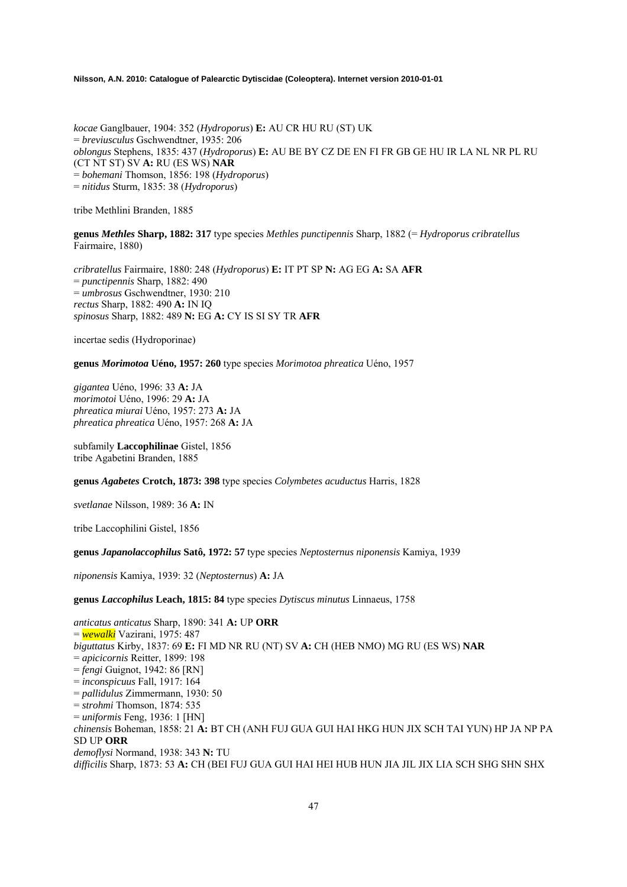*kocae* Ganglbauer, 1904: 352 (*Hydroporus*) **E:** AU CR HU RU (ST) UK = *breviusculus* Gschwendtner, 1935: 206 *oblongus* Stephens, 1835: 437 (*Hydroporus*) **E:** AU BE BY CZ DE EN FI FR GB GE HU IR LA NL NR PL RU (CT NT ST) SV **A:** RU (ES WS) **NAR**  = *bohemani* Thomson, 1856: 198 (*Hydroporus*) = *nitidus* Sturm, 1835: 38 (*Hydroporus*)

tribe Methlini Branden, 1885

**genus** *Methles* **Sharp, 1882: 317** type species *Methles punctipennis* Sharp, 1882 (= *Hydroporus cribratellus* Fairmaire, 1880)

*cribratellus* Fairmaire, 1880: 248 (*Hydroporus*) **E:** IT PT SP **N:** AG EG **A:** SA **AFR**  = *punctipennis* Sharp, 1882: 490 = *umbrosus* Gschwendtner, 1930: 210 *rectus* Sharp, 1882: 490 **A:** IN IQ *spinosus* Sharp, 1882: 489 **N:** EG **A:** CY IS SI SY TR **AFR**

incertae sedis (Hydroporinae)

**genus** *Morimotoa* **Uéno, 1957: 260** type species *Morimotoa phreatica* Uéno, 1957

*gigantea* Uéno, 1996: 33 **A:** JA *morimotoi* Uéno, 1996: 29 **A:** JA *phreatica miurai* Uéno, 1957: 273 **A:** JA *phreatica phreatica* Uéno, 1957: 268 **A:** JA

subfamily **Laccophilinae** Gistel, 1856 tribe Agabetini Branden, 1885

**genus** *Agabetes* **Crotch, 1873: 398** type species *Colymbetes acuductus* Harris, 1828

*svetlanae* Nilsson, 1989: 36 **A:** IN

tribe Laccophilini Gistel, 1856

**genus** *Japanolaccophilus* **Satô, 1972: 57** type species *Neptosternus niponensis* Kamiya, 1939

*niponensis* Kamiya, 1939: 32 (*Neptosternus*) **A:** JA

**genus** *Laccophilus* **Leach, 1815: 84** type species *Dytiscus minutus* Linnaeus, 1758

*anticatus anticatus* Sharp, 1890: 341 **A:** UP **ORR**  = *wewalki* Vazirani, 1975: 487 *biguttatus* Kirby, 1837: 69 **E:** FI MD NR RU (NT) SV **A:** CH (HEB NMO) MG RU (ES WS) **NAR**  = *apicicornis* Reitter, 1899: 198 = *fengi* Guignot, 1942: 86 [RN] = *inconspicuus* Fall, 1917: 164 = *pallidulus* Zimmermann, 1930: 50 = *strohmi* Thomson, 1874: 535 = *uniformis* Feng, 1936: 1 [HN] *chinensis* Boheman, 1858: 21 **A:** BT CH (ANH FUJ GUA GUI HAI HKG HUN JIX SCH TAI YUN) HP JA NP PA SD UP **ORR**  *demoflysi* Normand, 1938: 343 **N:** TU *difficilis* Sharp, 1873: 53 **A:** CH (BEI FUJ GUA GUI HAI HEI HUB HUN JIA JIL JIX LIA SCH SHG SHN SHX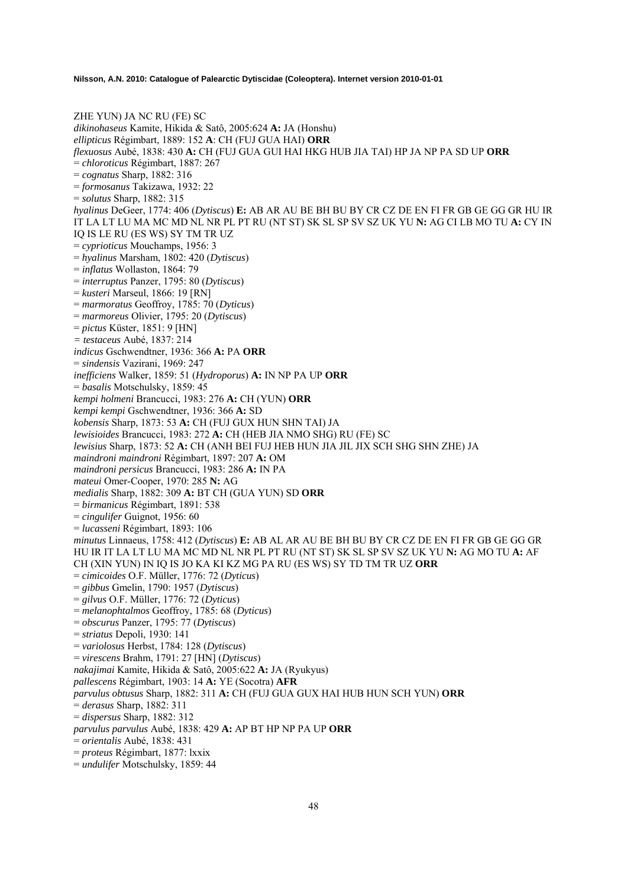ZHE YUN) JA NC RU (FE) SC *dikinohaseus* Kamite, Hikida & Satô, 2005:624 **A:** JA (Honshu) *ellipticus* Régimbart, 1889: 152 **A**: CH (FUJ GUA HAI) **ORR**  *flexuosus* Aubé, 1838: 430 **A:** CH (FUJ GUA GUI HAI HKG HUB JIA TAI) HP JA NP PA SD UP **ORR**  = *chloroticus* Régimbart, 1887: 267 = *cognatus* Sharp, 1882: 316 = *formosanus* Takizawa, 1932: 22 = *solutus* Sharp, 1882: 315 *hyalinus* DeGeer, 1774: 406 (*Dytiscus*) **E:** AB AR AU BE BH BU BY CR CZ DE EN FI FR GB GE GG GR HU IR IT LA LT LU MA MC MD NL NR PL PT RU (NT ST) SK SL SP SV SZ UK YU **N:** AG CI LB MO TU **A:** CY IN IQ IS LE RU (ES WS) SY TM TR UZ = *cyprioticus* Mouchamps, 1956: 3 = *hyalinus* Marsham, 1802: 420 (*Dytiscus*) = *inflatus* Wollaston, 1864: 79 = *interruptus* Panzer, 1795: 80 (*Dytiscus*) = *kusteri* Marseul, 1866: 19 [RN] = *marmoratus* Geoffroy, 1785: 70 (*Dyticus*) = *marmoreus* Olivier, 1795: 20 (*Dytiscus*) = *pictus* Küster, 1851: 9 [HN] *= testaceus* Aubé, 1837: 214 *indicus* Gschwendtner, 1936: 366 **A:** PA **ORR**  = *sindensis* Vazirani, 1969: 247 *inefficiens* Walker, 1859: 51 (*Hydroporus*) **A:** IN NP PA UP **ORR**  = *basalis* Motschulsky, 1859: 45 *kempi holmeni* Brancucci, 1983: 276 **A:** CH (YUN) **ORR**  *kempi kempi* Gschwendtner, 1936: 366 **A:** SD *kobensis* Sharp, 1873: 53 **A:** CH (FUJ GUX HUN SHN TAI) JA *lewisioides* Brancucci, 1983: 272 **A:** CH (HEB JIA NMO SHG) RU (FE) SC *lewisius* Sharp, 1873: 52 **A:** CH (ANH BEI FUJ HEB HUN JIA JIL JIX SCH SHG SHN ZHE) JA *maindroni maindroni* Régimbart, 1897: 207 **A:** OM *maindroni persicus* Brancucci, 1983: 286 **A:** IN PA *mateui* Omer-Cooper, 1970: 285 **N:** AG *medialis* Sharp, 1882: 309 **A:** BT CH (GUA YUN) SD **ORR**  = *birmanicus* Régimbart, 1891: 538 = *cingulifer* Guignot, 1956: 60 = *lucasseni* Régimbart, 1893: 106 *minutus* Linnaeus, 1758: 412 (*Dytiscus*) **E:** AB AL AR AU BE BH BU BY CR CZ DE EN FI FR GB GE GG GR HU IR IT LA LT LU MA MC MD NL NR PL PT RU (NT ST) SK SL SP SV SZ UK YU **N:** AG MO TU **A:** AF CH (XIN YUN) IN IQ IS JO KA KI KZ MG PA RU (ES WS) SY TD TM TR UZ **ORR**  = *cimicoides* O.F. Müller, 1776: 72 (*Dyticus*) = *gibbus* Gmelin, 1790: 1957 (*Dytiscus*) = *gilvus* O.F. Müller, 1776: 72 (*Dyticus*) = *melanophtalmos* Geoffroy, 1785: 68 (*Dyticus*) = *obscurus* Panzer, 1795: 77 (*Dytiscus*) = *striatus* Depoli, 1930: 141 = *variolosus* Herbst, 1784: 128 (*Dytiscus*) = *virescens* Brahm, 1791: 27 [HN] (*Dytiscus*) *nakajimai* Kamite, Hikida & Satô, 2005:622 **A:** JA (Ryukyus) *pallescens* Régimbart, 1903: 14 **A:** YE (Socotra) **AFR** *parvulus obtusus* Sharp, 1882: 311 **A:** CH (FUJ GUA GUX HAI HUB HUN SCH YUN) **ORR** = *derasus* Sharp, 1882: 311 = *dispersus* Sharp, 1882: 312 *parvulus parvulus* Aubé, 1838: 429 **A:** AP BT HP NP PA UP **ORR** = *orientalis* Aubé, 1838: 431 = *proteus* Régimbart, 1877: lxxix = *undulifer* Motschulsky, 1859: 44